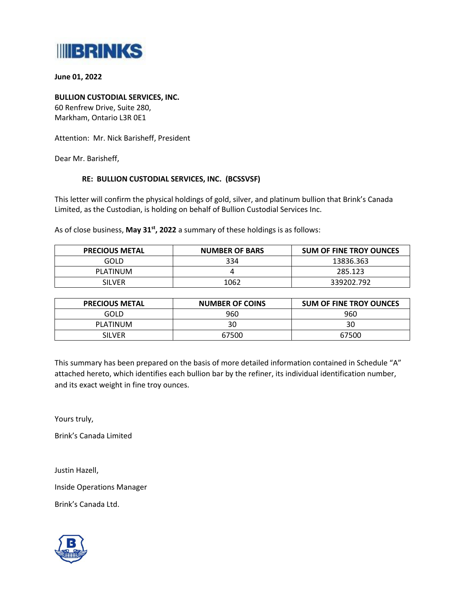

**June 01, 2022**

**BULLION CUSTODIAL SERVICES, INC.** 60 Renfrew Drive, Suite 280, Markham, Ontario L3R 0E1

Attention: Mr. Nick Barisheff, President

Dear Mr. Barisheff,

## **RE: BULLION CUSTODIAL SERVICES, INC. (BCSSVSF)**

This letter will confirm the physical holdings of gold, silver, and platinum bullion that Brink's Canada Limited, as the Custodian, is holding on behalf of Bullion Custodial Services Inc.

As of close business, **May 31st , 2022** a summary of these holdings is as follows:

| <b>PRECIOUS METAL</b> | <b>NUMBER OF BARS</b> | <b>SUM OF FINE TROY OUNCES</b> |
|-----------------------|-----------------------|--------------------------------|
| GOLD                  | 334                   | 13836.363                      |
| PLATINUM              |                       | 285.123                        |
| <b>SILVER</b>         | 1062                  | 339202.792                     |

| <b>PRECIOUS METAL</b> | <b>NUMBER OF COINS</b> | <b>SUM OF FINE TROY OUNCES</b> |
|-----------------------|------------------------|--------------------------------|
| GOLD                  | 960                    | 960                            |
| PLATINUM              | 30                     | 30                             |
| <b>SILVER</b>         | 67500                  | 67500                          |

This summary has been prepared on the basis of more detailed information contained in Schedule "A" attached hereto, which identifies each bullion bar by the refiner, its individual identification number, and its exact weight in fine troy ounces.

Yours truly,

Brink's Canada Limited

Justin Hazell,

Inside Operations Manager

Brink's Canada Ltd.

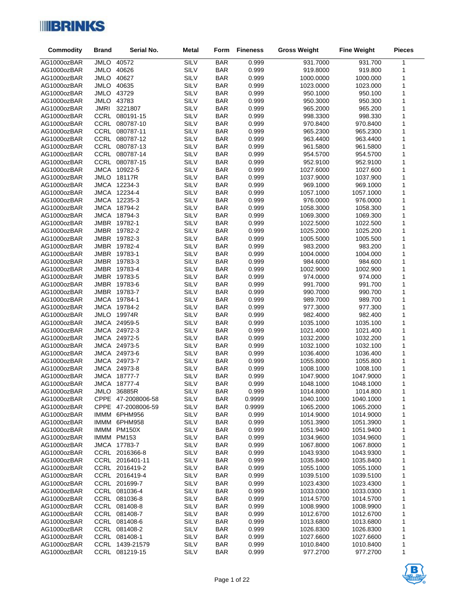

| <b>Commodity</b>           | <b>Brand</b> | Serial No.                   | <b>Metal</b>        | Form                     | <b>Fineness</b> | <b>Gross Weight</b>    | <b>Fine Weight</b>     | <b>Pieces</b> |
|----------------------------|--------------|------------------------------|---------------------|--------------------------|-----------------|------------------------|------------------------|---------------|
| AG1000ozBAR                | JMLO         | 40572                        | SILV                | <b>BAR</b>               | 0.999           | 931.7000               | 931.700                | 1             |
| AG1000ozBAR                | <b>JMLO</b>  | 40626                        | <b>SILV</b>         | <b>BAR</b>               | 0.999           | 919.8000               | 919.800                | 1             |
| AG1000ozBAR                |              | JMLO 40627                   | <b>SILV</b>         | <b>BAR</b>               | 0.999           | 1000.0000              | 1000.000               | $\mathbf{1}$  |
| AG1000ozBAR                |              | JMLO 40635                   | <b>SILV</b>         | <b>BAR</b>               | 0.999           | 1023.0000              | 1023.000               | $\mathbf{1}$  |
| AG1000ozBAR                |              | JMLO 43729                   | <b>SILV</b>         | <b>BAR</b>               | 0.999           | 950.1000               | 950.100                | 1             |
| AG1000ozBAR                |              | JMLO 43783                   | <b>SILV</b>         | <b>BAR</b>               | 0.999           | 950.3000               | 950.300                | $\mathbf{1}$  |
| AG1000ozBAR                | <b>JMRI</b>  | 3221807                      | SILV                | <b>BAR</b>               | 0.999           | 965.2000               | 965.200                | $\mathbf{1}$  |
| AG1000ozBAR                |              | CCRL 080191-15               | <b>SILV</b>         | <b>BAR</b>               | 0.999           | 998.3300               | 998.330                | 1             |
| AG1000ozBAR                |              | CCRL 080787-10               | <b>SILV</b>         | <b>BAR</b>               | 0.999           | 970.8400               | 970.8400               | $\mathbf{1}$  |
| AG1000ozBAR                |              | CCRL 080787-11               | SILV                | <b>BAR</b>               | 0.999           | 965.2300               | 965.2300               | 1             |
| AG1000ozBAR                |              | CCRL 080787-12               | <b>SILV</b>         | <b>BAR</b>               | 0.999           | 963.4400               | 963.4400               | 1             |
| AG1000ozBAR                |              | CCRL 080787-13               | <b>SILV</b>         | <b>BAR</b>               | 0.999           | 961.5800               | 961.5800               | $\mathbf{1}$  |
| AG1000ozBAR                |              | CCRL 080787-14               | SILV                | <b>BAR</b>               | 0.999           | 954.5700               | 954.5700               | 1             |
| AG1000ozBAR                |              | CCRL 080787-15               | <b>SILV</b>         | <b>BAR</b>               | 0.999           | 952.9100               | 952.9100               | 1             |
| AG1000ozBAR                |              | JMCA 10922-5                 | <b>SILV</b>         | <b>BAR</b>               | 0.999           | 1027.6000              | 1027.600               | 1             |
| AG1000ozBAR                |              | JMLO 18117R                  | <b>SILV</b>         | <b>BAR</b>               | 0.999           | 1037.9000              | 1037.900               | 1<br>1        |
| AG1000ozBAR                |              | JMCA 12234-3<br>JMCA 12234-4 | <b>SILV</b><br>SILV | <b>BAR</b>               | 0.999           | 969.1000               | 969.1000               | $\mathbf{1}$  |
| AG1000ozBAR<br>AG1000ozBAR |              | JMCA 12235-3                 | SILV                | <b>BAR</b><br><b>BAR</b> | 0.999<br>0.999  | 1057.1000<br>976.0000  | 1057.1000<br>976.0000  | 1             |
| AG1000ozBAR                |              | JMCA 18794-2                 | SILV                | <b>BAR</b>               | 0.999           | 1058.3000              | 1058.300               | 1             |
| AG1000ozBAR                |              | JMCA 18794-3                 | SILV                | <b>BAR</b>               | 0.999           | 1069.3000              | 1069.300               | 1             |
| AG1000ozBAR                |              | JMBR 19782-1                 | SILV                | <b>BAR</b>               | 0.999           | 1022.5000              | 1022.500               | 1             |
| AG1000ozBAR                |              | JMBR 19782-2                 | SILV                | <b>BAR</b>               | 0.999           | 1025.2000              | 1025.200               | 1             |
| AG1000ozBAR                |              | JMBR 19782-3                 | SILV                | <b>BAR</b>               | 0.999           | 1005.5000              | 1005.500               | 1             |
| AG1000ozBAR                |              | JMBR 19782-4                 | SILV                | <b>BAR</b>               | 0.999           | 983.2000               | 983.200                | $\mathbf{1}$  |
| AG1000ozBAR                |              | JMBR 19783-1                 | SILV                | <b>BAR</b>               | 0.999           | 1004.0000              | 1004.000               | $\mathbf{1}$  |
| AG1000ozBAR                |              | JMBR 19783-3                 | SILV                | <b>BAR</b>               | 0.999           | 984.6000               | 984.600                | 1             |
| AG1000ozBAR                |              | JMBR 19783-4                 | SILV                | <b>BAR</b>               | 0.999           | 1002.9000              | 1002.900               | 1             |
| AG1000ozBAR                |              | JMBR 19783-5                 | SILV                | <b>BAR</b>               | 0.999           | 974.0000               | 974.000                | $\mathbf{1}$  |
| AG1000ozBAR                |              | JMBR 19783-6                 | SILV                | <b>BAR</b>               | 0.999           | 991.7000               | 991.700                | 1             |
| AG1000ozBAR                |              | JMBR 19783-7                 | SILV                | <b>BAR</b>               | 0.999           | 990.7000               | 990.700                | $\mathbf{1}$  |
| AG1000ozBAR                |              | JMCA 19784-1                 | SILV                | <b>BAR</b>               | 0.999           | 989.7000               | 989.700                | $\mathbf{1}$  |
| AG1000ozBAR                |              | JMCA 19784-2                 | SILV                | <b>BAR</b>               | 0.999           | 977.3000               | 977.300                | 1             |
| AG1000ozBAR                |              | JMLO 19974R                  | SILV                | <b>BAR</b>               | 0.999           | 982.4000               | 982.400                | $\mathbf{1}$  |
| AG1000ozBAR                |              | JMCA 24959-5                 | SILV                | <b>BAR</b>               | 0.999           | 1035.1000              | 1035.100               | 1             |
| AG1000ozBAR                |              | JMCA 24972-3                 | SILV                | <b>BAR</b>               | 0.999           | 1021.4000              | 1021.400               | 1             |
| AG1000ozBAR                |              | JMCA 24972-5                 | SILV                | <b>BAR</b>               | 0.999           | 1032.2000              | 1032.200               | $\mathbf{1}$  |
| AG1000ozBAR                |              | JMCA 24973-5                 | <b>SILV</b>         | <b>BAR</b>               | 0.999           | 1032.1000              | 1032.100               | 1             |
| AG1000ozBAR                |              | JMCA 24973-6                 | SILV                | <b>BAR</b>               | 0.999           | 1036.4000              | 1036.400               | 1             |
| AG1000ozBAR                |              | JMCA 24973-7                 | SILV                | <b>BAR</b>               | 0.999           | 1055.8000              | 1055.800               | 1             |
| AG1000ozBAR                |              | JMCA 24973-8<br>JMCA 18777-7 | SILV                | <b>BAR</b>               | 0.999<br>0.999  | 1008.1000              | 1008.100               | 1<br>1        |
| AG1000ozBAR<br>AG1000ozBAR |              | JMCA 18777-4                 | SILV<br>SILV        | <b>BAR</b><br><b>BAR</b> | 0.999           | 1047.9000<br>1048.1000 | 1047.9000<br>1048.1000 | $\mathbf{1}$  |
| AG1000ozBAR                | JMLO         | 36885R                       | SILV                | <b>BAR</b>               | 0.999           | 1014.8000              | 1014.800               | 1             |
| AG1000ozBAR                |              | CPPE 47-2008006-58           | SILV                | <b>BAR</b>               | 0.9999          | 1040.1000              | 1040.1000              | 1             |
| AG1000ozBAR                |              | CPPE 47-2008006-59           | SILV                | <b>BAR</b>               | 0.9999          | 1065.2000              | 1065.2000              | 1             |
| AG1000ozBAR                |              | IMMM 6PHM956                 | SILV                | <b>BAR</b>               | 0.999           | 1014.9000              | 1014.9000              | 1             |
| AG1000ozBAR                |              | IMMM 6PHM958                 | SILV                | <b>BAR</b>               | 0.999           | 1051.3900              | 1051.3900              | 1             |
| AG1000ozBAR                |              | IMMM PM150X                  | SILV                | <b>BAR</b>               | 0.999           | 1051.9400              | 1051.9400              | 1             |
| AG1000ozBAR                |              | IMMM PM153                   | SILV                | <b>BAR</b>               | 0.999           | 1034.9600              | 1034.9600              | 1             |
| AG1000ozBAR                |              | JMCA 17783-7                 | SILV                | <b>BAR</b>               | 0.999           | 1067.8000              | 1067.8000              | 1             |
| AG1000ozBAR                |              | CCRL 2016366-8               | SILV                | <b>BAR</b>               | 0.999           | 1043.9300              | 1043.9300              | 1             |
| AG1000ozBAR                |              | CCRL 2016401-11              | SILV                | <b>BAR</b>               | 0.999           | 1035.8400              | 1035.8400              | 1             |
| AG1000ozBAR                |              | CCRL 2016419-2               | SILV                | <b>BAR</b>               | 0.999           | 1055.1000              | 1055.1000              | 1             |
| AG1000ozBAR                |              | CCRL 2016419-4               | SILV                | <b>BAR</b>               | 0.999           | 1039.5100              | 1039.5100              | 1             |
| AG1000ozBAR                |              | CCRL 201699-7                | SILV                | <b>BAR</b>               | 0.999           | 1023.4300              | 1023.4300              | 1             |
| AG1000ozBAR                |              | CCRL 081036-4                | SILV                | <b>BAR</b>               | 0.999           | 1033.0300              | 1033.0300              | 1             |
| AG1000ozBAR                |              | CCRL 081036-8                | SILV                | <b>BAR</b>               | 0.999           | 1014.5700              | 1014.5700              | 1             |
| AG1000ozBAR                |              | CCRL 081408-8                | SILV                | <b>BAR</b>               | 0.999           | 1008.9900              | 1008.9900              | 1             |
| AG1000ozBAR                |              | CCRL 081408-7                | SILV                | <b>BAR</b>               | 0.999           | 1012.6700              | 1012.6700              | 1             |
| AG1000ozBAR                |              | CCRL 081408-6                | SILV                | <b>BAR</b>               | 0.999           | 1013.6800              | 1013.6800              | 1             |
| AG1000ozBAR                |              | CCRL 081408-2                | SILV                | <b>BAR</b>               | 0.999           | 1026.8300              | 1026.8300              | 1             |
| AG1000ozBAR                |              | CCRL 081408-1                | SILV                | <b>BAR</b>               | 0.999           | 1027.6600              | 1027.6600              | 1             |
| AG1000ozBAR                |              | CCRL 1439-21579              | SILV                | <b>BAR</b>               | 0.999           | 1010.8400              | 1010.8400              | 1             |
| AG1000ozBAR                |              | CCRL 081219-15               | SILV                | <b>BAR</b>               | 0.999           | 977.2700               | 977.2700               | 1             |

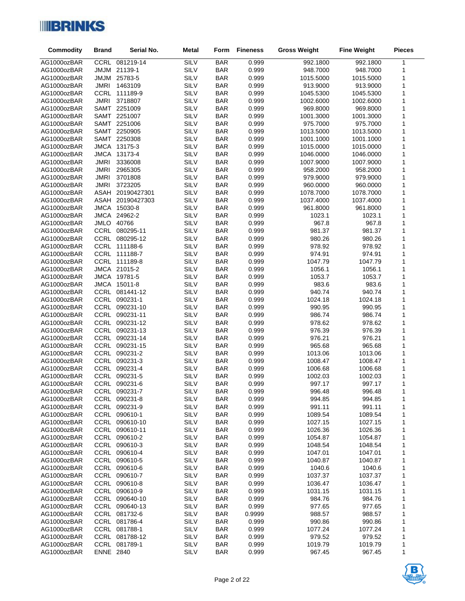

| Commodity                  | <b>Brand</b>     | Serial No.                       | <b>Metal</b> | Form                     | <b>Fineness</b> | <b>Gross Weight</b> | <b>Fine Weight</b> | <b>Pieces</b> |
|----------------------------|------------------|----------------------------------|--------------|--------------------------|-----------------|---------------------|--------------------|---------------|
| AG1000ozBAR                |                  | CCRL 081219-14                   | SILV         | <b>BAR</b>               | 0.999           | 992.1800            | 992.1800           | 1             |
| AG1000ozBAR                | <b>MUML</b>      | 21139-1                          | SILV         | <b>BAR</b>               | 0.999           | 948.7000            | 948.7000           | 1             |
| AG1000ozBAR                | <b>MUM</b>       | 25783-5                          | SILV         | <b>BAR</b>               | 0.999           | 1015.5000           | 1015.5000          | $\mathbf 1$   |
| AG1000ozBAR                | JMRI             | 1463109                          | SILV         | <b>BAR</b>               | 0.999           | 913.9000            | 913.9000           | 1             |
| AG1000ozBAR                | CCRL             | 111189-9                         | SILV         | <b>BAR</b>               | 0.999           | 1045.5300           | 1045.5300          | 1             |
| AG1000ozBAR                | <b>JMRI</b>      | 3718807                          | SILV         | <b>BAR</b>               | 0.999           | 1002.6000           | 1002.6000          | 1             |
| AG1000ozBAR                |                  | SAMT 2251009                     | SILV         | <b>BAR</b>               | 0.999           | 969.8000            | 969.8000           | 1             |
| AG1000ozBAR                |                  | SAMT 2251007                     | SILV         | <b>BAR</b>               | 0.999           | 1001.3000           | 1001.3000          | 1             |
| AG1000ozBAR                |                  | SAMT 2251006                     | SILV         | <b>BAR</b>               | 0.999           | 975.7000            | 975.7000           | 1             |
| AG1000ozBAR                |                  | SAMT 2250905                     | SILV         | <b>BAR</b>               | 0.999           | 1013.5000           | 1013.5000          | 1             |
| AG1000ozBAR                |                  | SAMT 2250308                     | SILV         | <b>BAR</b>               | 0.999           | 1001.1000           | 1001.1000          | 1             |
| AG1000ozBAR                |                  | JMCA 13175-3                     | SILV         | <b>BAR</b>               | 0.999           | 1015.0000           | 1015.0000          | 1             |
| AG1000ozBAR                | <b>JMCA</b>      | 13173-4                          | SILV         | <b>BAR</b>               | 0.999           | 1046.0000           | 1046.0000          | 1             |
| AG1000ozBAR                | <b>JMRI</b>      | 3336008                          | SILV         | <b>BAR</b>               | 0.999           | 1007.9000           | 1007.9000          | 1             |
| AG1000ozBAR                | <b>JMRI</b>      | 2965305                          | SILV         | <b>BAR</b>               | 0.999           | 958.2000            | 958.2000           | 1             |
| AG1000ozBAR                | <b>JMRI</b>      | 3701808                          | <b>SILV</b>  | <b>BAR</b>               | 0.999           | 979.9000            | 979.9000           | 1             |
| AG1000ozBAR                | <b>JMRI</b>      | 3723205                          | SILV         | <b>BAR</b>               | 0.999           | 960.0000            | 960.0000           | 1             |
| AG1000ozBAR                | ASAH             | 20190427301                      | SILV         | <b>BAR</b>               | 0.999           | 1078.7000           | 1078.7000          | 1             |
| AG1000ozBAR                |                  | ASAH 20190427303                 | SILV         | <b>BAR</b>               | 0.999           | 1037.4000           | 1037.4000          | 1             |
| AG1000ozBAR                |                  | JMCA 15030-8                     | SILV         | <b>BAR</b>               | 0.999           | 961.8000            | 961.8000           | 1             |
| AG1000ozBAR                |                  | JMCA 24962-2                     | <b>SILV</b>  | <b>BAR</b>               | 0.999           | 1023.1              | 1023.1             | 1             |
| AG1000ozBAR                |                  | JMLO 40766                       | SILV         | <b>BAR</b>               | 0.999           | 967.8               | 967.8              | 1             |
| AG1000ozBAR                |                  | CCRL 080295-11                   | SILV         | <b>BAR</b>               | 0.999           | 981.37              | 981.37             | 1             |
| AG1000ozBAR                |                  | CCRL 080295-12                   | SILV         | <b>BAR</b>               | 0.999           | 980.26              | 980.26             | 1             |
| AG1000ozBAR                |                  | CCRL 111188-6                    | SILV         | <b>BAR</b>               | 0.999           | 978.92              | 978.92             | 1             |
| AG1000ozBAR                |                  | CCRL 111188-7                    | SILV         | <b>BAR</b>               | 0.999           | 974.91              | 974.91             | 1             |
| AG1000ozBAR                |                  | CCRL 111189-8                    | SILV         | <b>BAR</b>               | 0.999           | 1047.79             | 1047.79            | 1             |
| AG1000ozBAR                |                  | JMCA 21015-2                     | <b>SILV</b>  | <b>BAR</b>               | 0.999           | 1056.1              | 1056.1             | 1             |
| AG1000ozBAR                |                  | JMCA 19781-5                     | SILV         | <b>BAR</b>               | 0.999           | 1053.7              | 1053.7             | 1             |
| AG1000ozBAR                |                  | JMCA 15011-8                     | SILV         | <b>BAR</b>               | 0.999           | 983.6               | 983.6              | 1             |
| AG1000ozBAR                |                  | CCRL 081441-12                   | SILV         | <b>BAR</b>               | 0.999           | 940.74              | 940.74             | 1             |
| AG1000ozBAR                |                  | CCRL 090231-1                    | SILV         | <b>BAR</b>               | 0.999           | 1024.18             | 1024.18            | 1             |
| AG1000ozBAR                |                  | CCRL 090231-10                   | SILV<br>SILV | <b>BAR</b>               | 0.999<br>0.999  | 990.95              | 990.95             | 1             |
| AG1000ozBAR<br>AG1000ozBAR |                  | CCRL 090231-11<br>CCRL 090231-12 | SILV         | <b>BAR</b><br><b>BAR</b> | 0.999           | 986.74<br>978.62    | 986.74<br>978.62   | 1<br>1        |
| AG1000ozBAR                |                  | CCRL 090231-13                   | SILV         | <b>BAR</b>               | 0.999           | 976.39              | 976.39             | 1             |
| AG1000ozBAR                |                  | CCRL 090231-14                   | SILV         | <b>BAR</b>               | 0.999           | 976.21              | 976.21             | 1             |
| AG1000ozBAR                |                  | CCRL 090231-15                   | SILV         | <b>BAR</b>               | 0.999           | 965.68              | 965.68             | 1             |
| AG1000ozBAR                |                  | CCRL 090231-2                    | SILV         | <b>BAR</b>               | 0.999           | 1013.06             | 1013.06            | 1             |
| AG1000ozBAR                |                  | CCRL 090231-3                    | SILV         | <b>BAR</b>               | 0.999           | 1008.47             | 1008.47            | 1             |
| AG1000ozBAR                |                  | CCRL 090231-4                    | SILV         | <b>BAR</b>               | 0.999           | 1006.68             | 1006.68            | 1             |
| AG1000ozBAR                |                  | CCRL 090231-5                    | SILV         | <b>BAR</b>               | 0.999           | 1002.03             | 1002.03            | 1             |
| AG1000ozBAR                |                  | CCRL 090231-6                    | SILV         | <b>BAR</b>               | 0.999           | 997.17              | 997.17             | 1             |
| AG1000ozBAR                |                  | CCRL 090231-7                    | SILV         | <b>BAR</b>               | 0.999           | 996.48              | 996.48             | 1             |
| AG1000ozBAR                |                  | CCRL 090231-8                    | SILV         | <b>BAR</b>               | 0.999           | 994.85              | 994.85             | 1             |
| AG1000ozBAR                |                  | CCRL 090231-9                    | SILV         | <b>BAR</b>               | 0.999           | 991.11              | 991.11             | 1             |
| AG1000ozBAR                |                  | CCRL 090610-1                    | SILV         | <b>BAR</b>               | 0.999           | 1089.54             | 1089.54            | 1             |
| AG1000ozBAR                |                  | CCRL 090610-10                   | SILV         | <b>BAR</b>               | 0.999           | 1027.15             | 1027.15            | 1             |
| AG1000ozBAR                |                  | CCRL 090610-11                   | SILV         | <b>BAR</b>               | 0.999           | 1026.36             | 1026.36            | 1             |
| AG1000ozBAR                |                  | CCRL 090610-2                    | SILV         | <b>BAR</b>               | 0.999           | 1054.87             | 1054.87            | 1             |
| AG1000ozBAR                |                  | CCRL 090610-3                    | SILV         | <b>BAR</b>               | 0.999           | 1048.54             | 1048.54            | 1             |
| AG1000ozBAR                |                  | CCRL 090610-4                    | SILV         | <b>BAR</b>               | 0.999           | 1047.01             | 1047.01            | 1             |
| AG1000ozBAR                |                  | CCRL 090610-5                    | SILV         | <b>BAR</b>               | 0.999           | 1040.87             | 1040.87            | 1             |
| AG1000ozBAR                |                  | CCRL 090610-6                    | SILV         | <b>BAR</b>               | 0.999           | 1040.6              | 1040.6             | 1             |
| AG1000ozBAR                |                  | CCRL 090610-7                    | SILV         | <b>BAR</b>               | 0.999           | 1037.37             | 1037.37            | 1             |
| AG1000ozBAR                |                  | CCRL 090610-8                    | SILV         | <b>BAR</b>               | 0.999           | 1036.47             | 1036.47            | 1             |
| AG1000ozBAR                |                  | CCRL 090610-9                    | SILV         | <b>BAR</b>               | 0.999           | 1031.15             | 1031.15            | 1             |
| AG1000ozBAR                |                  | CCRL 090640-10                   | <b>SILV</b>  | <b>BAR</b>               | 0.999           | 984.76              | 984.76             | 1             |
| AG1000ozBAR                |                  | CCRL 090640-13                   | SILV         | <b>BAR</b>               | 0.999           | 977.65              | 977.65             | 1             |
| AG1000ozBAR                |                  | CCRL 081732-6                    | SILV         | <b>BAR</b>               | 0.9999          | 988.57              | 988.57             | 1             |
| AG1000ozBAR                |                  | CCRL 081786-4                    | <b>SILV</b>  | <b>BAR</b>               | 0.999           | 990.86              | 990.86             | 1             |
| AG1000ozBAR                |                  | CCRL 081788-1                    | SILV         | <b>BAR</b>               | 0.999           | 1077.24             | 1077.24            | 1             |
| AG1000ozBAR                |                  | CCRL 081788-12                   | SILV         | <b>BAR</b>               | 0.999           | 979.52              | 979.52             | 1             |
| AG1000ozBAR<br>AG1000ozBAR | <b>ENNE 2840</b> | CCRL 081789-1                    | SILV<br>SILV | <b>BAR</b><br><b>BAR</b> | 0.999<br>0.999  | 1019.79<br>967.45   | 1019.79<br>967.45  | 1<br>1        |
|                            |                  |                                  |              |                          |                 |                     |                    |               |

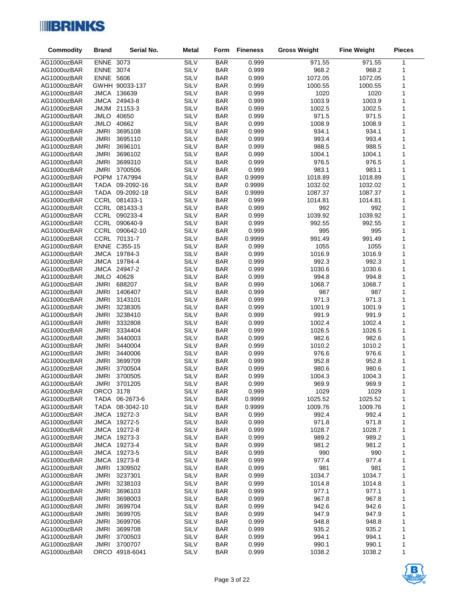

| Commodity                  | <b>Brand</b>        | Serial No.         | <b>Metal</b>        | Form                     | <b>Fineness</b> | <b>Gross Weight</b> | <b>Fine Weight</b> | <b>Pieces</b> |
|----------------------------|---------------------|--------------------|---------------------|--------------------------|-----------------|---------------------|--------------------|---------------|
| AG1000ozBAR                | ENNE 3073           |                    | <b>SILV</b>         | <b>BAR</b>               | 0.999           | 971.55              | 971.55             | 1             |
| AG1000ozBAR                | ENNE 3074           |                    | <b>SILV</b>         | <b>BAR</b>               | 0.999           | 968.2               | 968.2              | 1             |
| AG1000ozBAR                | <b>ENNE 5606</b>    |                    | <b>SILV</b>         | <b>BAR</b>               | 0.999           | 1072.05             | 1072.05            | 1             |
| AG1000ozBAR                |                     | GWHH 90033-137     | <b>SILV</b>         | <b>BAR</b>               | 0.999           | 1000.55             | 1000.55            | 1             |
| AG1000ozBAR                |                     | JMCA 136639        | SILV                | <b>BAR</b>               | 0.999           | 1020                | 1020               | 1             |
| AG1000ozBAR                | <b>JMCA</b>         | 24943-8            | <b>SILV</b>         | <b>BAR</b>               | 0.999           | 1003.9              | 1003.9             | 1             |
| AG1000ozBAR                | <b>MUML</b>         | 21153-3            | SILV                | <b>BAR</b>               | 0.999           | 1002.5              | 1002.5             | 1             |
| AG1000ozBAR                | <b>JMLO</b>         | 40650              | <b>SILV</b>         | <b>BAR</b>               | 0.999           | 971.5               | 971.5              | 1             |
| AG1000ozBAR                | <b>JMLO</b>         | 40662              | <b>SILV</b>         | <b>BAR</b>               | 0.999           | 1008.9              | 1008.9             | 1             |
| AG1000ozBAR                | <b>JMRI</b>         | 3695108            | SILV                | <b>BAR</b>               | 0.999           | 934.1               | 934.1              | 1             |
| AG1000ozBAR                | JMRI                | 3695110            | <b>SILV</b>         | <b>BAR</b>               | 0.999           | 993.4               | 993.4              | 1             |
| AG1000ozBAR                | <b>JMRI</b>         | 3696101            | SILV                | <b>BAR</b>               | 0.999           | 988.5               | 988.5              | 1             |
| AG1000ozBAR                | <b>JMRI</b>         | 3696102            | SILV                | <b>BAR</b>               | 0.999           | 1004.1              | 1004.1             | 1             |
| AG1000ozBAR                | JMRI                | 3699310            | SILV                | <b>BAR</b>               | 0.999           | 976.5               | 976.5              | 1             |
| AG1000ozBAR                | <b>JMRI</b>         | 3700506            | SILV                | <b>BAR</b>               | 0.999           | 983.1               | 983.1              | 1             |
| AG1000ozBAR                |                     | POPM 17A7994       | SILV                | <b>BAR</b>               | 0.9999          | 1018.89             | 1018.89            | 1             |
| AG1000ozBAR                | <b>TADA</b>         | 09-2092-16         | <b>SILV</b>         | <b>BAR</b>               | 0.9999          | 1032.02             | 1032.02            | 1             |
| AG1000ozBAR                | TADA                | 09-2092-18         | SILV                | <b>BAR</b>               | 0.9999          | 1087.37             | 1087.37            | 1             |
| AG1000ozBAR                |                     | CCRL 081433-1      | SILV                | <b>BAR</b>               | 0.999           | 1014.81             | 1014.81            | 1             |
| AG1000ozBAR                |                     | CCRL 081433-3      | <b>SILV</b>         | <b>BAR</b>               | 0.999           | 992                 | 992                | 1             |
| AG1000ozBAR                |                     | CCRL 090233-4      | SILV                | <b>BAR</b>               | 0.999           | 1039.92             | 1039.92            | 1             |
| AG1000ozBAR                |                     | CCRL 090640-9      | SILV                | <b>BAR</b>               | 0.999           | 992.55              | 992.55             | 1             |
| AG1000ozBAR                |                     | CCRL 090642-10     | <b>SILV</b>         | <b>BAR</b>               | 0.999           | 995                 | 995                | 1             |
| AG1000ozBAR                |                     | CCRL 70131-7       | SILV                | <b>BAR</b>               | 0.9999          | 991.49              | 991.49             | 1             |
| AG1000ozBAR                |                     | ENNE C355-15       | SILV                | <b>BAR</b>               | 0.999           | 1055                | 1055               | 1             |
| AG1000ozBAR                |                     | JMCA 19784-3       | SILV                | <b>BAR</b>               | 0.999           | 1016.9              | 1016.9             | 1             |
| AG1000ozBAR                |                     | JMCA 19784-4       | SILV                | <b>BAR</b>               | 0.999           | 992.3               | 992.3              | 1             |
| AG1000ozBAR                |                     | JMCA 24947-2       | SILV                | <b>BAR</b>               | 0.999           | 1030.6              | 1030.6             | 1             |
| AG1000ozBAR                | JMLO 40628          |                    | <b>SILV</b>         | <b>BAR</b>               | 0.999           | 994.8               | 994.8              | 1             |
| AG1000ozBAR                | <b>JMRI</b>         | 688207             | <b>SILV</b>         | <b>BAR</b>               | 0.999           | 1068.7              | 1068.7             | 1             |
| AG1000ozBAR                | <b>JMRI</b>         | 1406407            | <b>SILV</b>         | <b>BAR</b>               | 0.999           | 987                 | 987                | 1             |
| AG1000ozBAR                | JMRI                | 3143101            | SILV                | <b>BAR</b>               | 0.999           | 971.3               | 971.3              | 1             |
| AG1000ozBAR                | <b>JMRI</b>         | 3238305            | <b>SILV</b>         | <b>BAR</b>               | 0.999           | 1001.9              | 1001.9             | 1             |
| AG1000ozBAR                | <b>JMRI</b>         | 3238410            | <b>SILV</b>         | <b>BAR</b>               | 0.999           | 991.9               | 991.9              | 1             |
| AG1000ozBAR                | <b>JMRI</b>         | 3332808            | SILV                | <b>BAR</b>               | 0.999           | 1002.4              | 1002.4             | 1             |
| AG1000ozBAR                | JMRI                | 3334404            | <b>SILV</b>         | <b>BAR</b>               | 0.999           | 1026.5              | 1026.5             | 1             |
| AG1000ozBAR                | <b>JMRI</b>         | 3440003            | SILV                | <b>BAR</b>               | 0.999           | 982.6               | 982.6              | 1             |
| AG1000ozBAR                | JMRI<br><b>JMRI</b> | 3440004<br>3440006 | SILV<br><b>SILV</b> | <b>BAR</b><br><b>BAR</b> | 0.999<br>0.999  | 1010.2<br>976.6     | 1010.2<br>976.6    | 1<br>1        |
| AG1000ozBAR<br>AG1000ozBAR | <b>JMRI</b>         | 3699709            | SILV                | <b>BAR</b>               | 0.999           | 952.8               | 952.8              | 1             |
| AG1000ozBAR                | <b>JMRI</b>         | 3700504            | SILV                | <b>BAR</b>               | 0.999           | 980.6               | 980.6              | 1             |
| AG1000ozBAR                | JMRI                | 3700505            | <b>SILV</b>         | <b>BAR</b>               | 0.999           | 1004.3              | 1004.3             | 1             |
| AG1000ozBAR                | JMRI                | 3701205            | SILV                | <b>BAR</b>               | 0.999           | 969.9               | 969.9              | $\mathbf{1}$  |
| AG1000ozBAR                | ORCO 3178           |                    | SILV                | <b>BAR</b>               | 0.999           | 1029                | 1029               | 1             |
| AG1000ozBAR                |                     | TADA 06-2673-6     | <b>SILV</b>         | <b>BAR</b>               | 0.9999          | 1025.52             | 1025.52            | 1             |
| AG1000ozBAR                | TADA                | 08-3042-10         | SILV                | <b>BAR</b>               | 0.9999          | 1009.76             | 1009.76            | 1             |
| AG1000ozBAR                |                     | JMCA 19272-3       | <b>SILV</b>         | <b>BAR</b>               | 0.999           | 992.4               | 992.4              | 1             |
| AG1000ozBAR                |                     | JMCA 19272-5       | <b>SILV</b>         | <b>BAR</b>               | 0.999           | 971.8               | 971.8              | 1             |
| AG1000ozBAR                |                     | JMCA 19272-8       | SILV                | <b>BAR</b>               | 0.999           | 1028.7              | 1028.7             | 1             |
| AG1000ozBAR                |                     | JMCA 19273-3       | <b>SILV</b>         | <b>BAR</b>               | 0.999           | 989.2               | 989.2              | 1             |
| AG1000ozBAR                |                     | JMCA 19273-4       | SILV                | <b>BAR</b>               | 0.999           | 981.2               | 981.2              | 1             |
| AG1000ozBAR                |                     | JMCA 19273-5       | <b>SILV</b>         | <b>BAR</b>               | 0.999           | 990                 | 990                | 1             |
| AG1000ozBAR                | <b>JMCA</b>         | 19273-8            | <b>SILV</b>         | <b>BAR</b>               | 0.999           | 977.4               | 977.4              | 1             |
| AG1000ozBAR                | <b>JMRI</b>         | 1309502            | SILV                | <b>BAR</b>               | 0.999           | 981                 | 981                | 1             |
| AG1000ozBAR                | JMRI                | 3237301            | SILV                | <b>BAR</b>               | 0.999           | 1034.7              | 1034.7             | 1             |
| AG1000ozBAR                | <b>JMRI</b>         | 3238103            | <b>SILV</b>         | <b>BAR</b>               | 0.999           | 1014.8              | 1014.8             | $\mathbf 1$   |
| AG1000ozBAR                | <b>JMRI</b>         | 3696103            | SILV                | <b>BAR</b>               | 0.999           | 977.1               | 977.1              | 1             |
| AG1000ozBAR                | JMRI                | 3698003            | <b>SILV</b>         | <b>BAR</b>               | 0.999           | 967.8               | 967.8              | 1             |
| AG1000ozBAR                | <b>JMRI</b>         | 3699704            | <b>SILV</b>         | <b>BAR</b>               | 0.999           | 942.6               | 942.6              | 1             |
| AG1000ozBAR                | <b>JMRI</b>         | 3699705            | SILV                | <b>BAR</b>               | 0.999           | 947.9               | 947.9              | 1             |
| AG1000ozBAR                | JMRI                | 3699706            | <b>SILV</b>         | <b>BAR</b>               | 0.999           | 948.8               | 948.8              | 1             |
| AG1000ozBAR                | <b>JMRI</b>         | 3699708            | SILV                | <b>BAR</b>               | 0.999           | 935.2               | 935.2              | 1             |
| AG1000ozBAR                | <b>JMRI</b>         | 3700503            | <b>SILV</b>         | <b>BAR</b>               | 0.999           | 994.1               | 994.1              | 1             |
| AG1000ozBAR                | <b>JMRI</b>         | 3700707            | <b>SILV</b>         | <b>BAR</b>               | 0.999           | 990.1               | 990.1              | 1             |
| AG1000ozBAR                |                     | ORCO 4918-6041     | SILV                | <b>BAR</b>               | 0.999           | 1038.2              | 1038.2             | 1             |

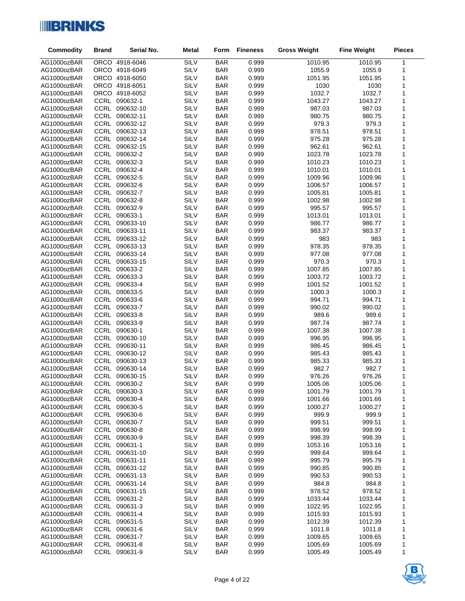

| SILV<br><b>BAR</b><br>AG1000ozBAR<br>ORCO 4918-6046<br>0.999<br>1010.95<br>1010.95<br>1<br>ORCO 4918-6049<br>SILV<br><b>BAR</b><br>0.999<br>AG1000ozBAR<br>1055.9<br>1055.9<br>1<br>SILV<br>ORCO 4918-6050<br><b>BAR</b><br>0.999<br>AG1000ozBAR<br>1051.95<br>1051.95<br>1<br>SILV<br>ORCO 4918-6051<br><b>BAR</b><br>0.999<br>1030<br>1<br>AG1000ozBAR<br>1030<br><b>SILV</b><br><b>BAR</b><br>0.999<br>1032.7<br>AG1000ozBAR<br>ORCO 4918-6052<br>1032.7<br>1<br>SILV<br>CCRL 090632-1<br><b>BAR</b><br>1043.27<br>1043.27<br>AG1000ozBAR<br>0.999<br>1<br>CCRL 090632-10<br><b>SILV</b><br><b>BAR</b><br>1<br>AG1000ozBAR<br>0.999<br>987.03<br>987.03<br>CCRL 090632-11<br><b>SILV</b><br><b>BAR</b><br>1<br>AG1000ozBAR<br>0.999<br>980.75<br>980.75<br>CCRL 090632-12<br>SILV<br><b>BAR</b><br>0.999<br>979.3<br>979.3<br>1<br>AG1000ozBAR<br>SILV<br>CCRL 090632-13<br><b>BAR</b><br>0.999<br>978.51<br>1<br>AG1000ozBAR<br>978.51<br>SILV<br>CCRL 090632-14<br><b>BAR</b><br>0.999<br>975.28<br>975.28<br>1<br>AG1000ozBAR<br>CCRL 090632-15<br><b>SILV</b><br><b>BAR</b><br>962.61<br>AG1000ozBAR<br>0.999<br>962.61<br>1<br>CCRL 090632-2<br><b>SILV</b><br>1<br><b>BAR</b><br>0.999<br>1023.78<br>1023.78<br>AG1000ozBAR<br>CCRL 090632-3<br>SILV<br><b>BAR</b><br>1<br>0.999<br>1010.23<br>1010.23<br>AG1000ozBAR<br>SILV<br>CCRL 090632-4<br><b>BAR</b><br>0.999<br>AG1000ozBAR<br>1010.01<br>1010.01<br>1<br>CCRL 090632-5<br><b>SILV</b><br><b>BAR</b><br>0.999<br>1<br>AG1000ozBAR<br>1009.96<br>1009.96<br>SILV<br>CCRL 090632-6<br><b>BAR</b><br>0.999<br>1<br>AG1000ozBAR<br>1006.57<br>1006.57<br>CCRL 090632-7<br><b>SILV</b><br><b>BAR</b><br>1<br>0.999<br>AG1000ozBAR<br>1005.81<br>1005.81<br>CCRL 090632-8<br><b>SILV</b><br><b>BAR</b><br>0.999<br>1<br>AG1000ozBAR<br>1002.98<br>1002.98<br>CCRL 090632-9<br>SILV<br><b>BAR</b><br>0.999<br>AG1000ozBAR<br>995.57<br>995.57<br>1<br>CCRL 090633-1<br><b>SILV</b><br><b>BAR</b><br>1<br>AG1000ozBAR<br>0.999<br>1013.01<br>1013.01<br>CCRL 090633-10<br><b>SILV</b><br><b>BAR</b><br>0.999<br>1<br>AG1000ozBAR<br>986.77<br>986.77<br>SILV<br>CCRL 090633-11<br><b>BAR</b><br>0.999<br>AG1000ozBAR<br>983.37<br>983.37<br>1<br><b>SILV</b><br><b>BAR</b><br>AG1000ozBAR<br>CCRL 090633-12<br>0.999<br>983<br>983<br>1<br>CCRL 090633-13<br>SILV<br><b>BAR</b><br>1<br>AG1000ozBAR<br>0.999<br>978.35<br>978.35<br>SILV<br>CCRL 090633-14<br><b>BAR</b><br>0.999<br>1<br>AG1000ozBAR<br>977.08<br>977.08<br>CCRL 090633-15<br><b>SILV</b><br><b>BAR</b><br>0.999<br>1<br>AG1000ozBAR<br>970.3<br>970.3<br>CCRL 090633-2<br>SILV<br><b>BAR</b><br>0.999<br>1<br>AG1000ozBAR<br>1007.85<br>1007.85<br>SILV<br>CCRL 090633-3<br><b>BAR</b><br>0.999<br>1<br>AG1000ozBAR<br>1003.72<br>1003.72<br>CCRL 090633-4<br><b>SILV</b><br>AG1000ozBAR<br><b>BAR</b><br>0.999<br>1001.52<br>1001.52<br>1<br>CCRL 090633-5<br>SILV<br><b>BAR</b><br>1<br>AG1000ozBAR<br>0.999<br>1000.3<br>1000.3<br>CCRL 090633-6<br><b>SILV</b><br><b>BAR</b><br>1<br>0.999<br>994.71<br>994.71<br>AG1000ozBAR<br>CCRL 090633-7<br><b>SILV</b><br><b>BAR</b><br>1<br>AG1000ozBAR<br>0.999<br>990.02<br>990.02<br>CCRL 090633-8<br>SILV<br><b>BAR</b><br>0.999<br>989.6<br>AG1000ozBAR<br>989.6<br>1<br>CCRL 090633-9<br><b>SILV</b><br><b>BAR</b><br>0.999<br>1<br>AG1000ozBAR<br>987.74<br>987.74<br>SILV<br>CCRL 090630-1<br><b>BAR</b><br>1007.38<br>1<br>AG1000ozBAR<br>0.999<br>1007.38<br><b>CCRL</b><br>090630-10<br><b>SILV</b><br><b>BAR</b><br>AG1000ozBAR<br>0.999<br>996.95<br>996.95<br>1<br>CCRL<br>090630-11<br><b>SILV</b><br><b>BAR</b><br>0.999<br>1<br>AG1000ozBAR<br>986.45<br>986.45<br>CCRL 090630-12<br>SILV<br><b>BAR</b><br>AG1000ozBAR<br>0.999<br>985.43<br>985.43<br>1<br><b>CCRL</b><br>SILV<br><b>BAR</b><br>1<br>AG1000ozBAR<br>090630-13<br>0.999<br>985.33<br>985.33<br>CCRL 090630-14<br><b>SILV</b><br><b>BAR</b><br>0.999<br>982.7<br>982.7<br>1<br>AG1000ozBAR<br>SILV<br>CCRL 090630-15<br><b>BAR</b><br>0.999<br>976.26<br>976.26<br>AG1000ozBAR<br>1<br>CCRL<br><b>SILV</b><br>0.999<br>1<br>090630-2<br><b>BAR</b><br>1005.06<br>AG1000ozBAR<br>1005.06<br><b>SILV</b><br>1<br>AG1000ozBAR<br>CCRL 090630-3<br><b>BAR</b><br>0.999<br>1001.79<br>1001.79<br>CCRL<br><b>SILV</b><br>0.999<br>AG1000ozBAR<br>090630-4<br><b>BAR</b><br>1001.66<br>1001.66<br>1<br><b>SILV</b><br>AG1000ozBAR<br>CCRL 090630-5<br><b>BAR</b><br>0.999<br>1000.27<br>1000.27<br>1<br>CCRL 090630-6<br><b>SILV</b><br>AG1000ozBAR<br><b>BAR</b><br>0.999<br>999.9<br>999.9<br>1<br>CCRL 090630-7<br><b>SILV</b><br>0.999<br>AG1000ozBAR<br><b>BAR</b><br>999.51<br>999.51<br>1<br><b>SILV</b><br>CCRL 090630-8<br><b>BAR</b><br>0.999<br>998.99<br>998.99<br>1<br>AG1000ozBAR<br>CCRL 090630-9<br><b>SILV</b><br>0.999<br>998.39<br>AG1000ozBAR<br><b>BAR</b><br>998.39<br>1<br>CCRL 090631-1<br><b>SILV</b><br><b>BAR</b><br>0.999<br>1053.16<br>AG1000ozBAR<br>1053.16<br>1<br><b>SILV</b><br>AG1000ozBAR<br>CCRL 090631-10<br><b>BAR</b><br>0.999<br>999.64<br>999.64<br>1<br>SILV<br>AG1000ozBAR<br>CCRL 090631-11<br><b>BAR</b><br>0.999<br>995.79<br>995.79<br>1<br><b>SILV</b><br>CCRL 090631-12<br><b>BAR</b><br>0.999<br>990.85<br>990.85<br>1<br>AG1000ozBAR<br>CCRL 090631-13<br><b>SILV</b><br>AG1000ozBAR<br><b>BAR</b><br>0.999<br>990.53<br>990.53<br>1<br>CCRL 090631-14<br><b>SILV</b><br><b>BAR</b><br>0.999<br>AG1000ozBAR<br>984.8<br>984.8<br>1<br><b>SILV</b><br>CCRL 090631-15<br><b>BAR</b><br>0.999<br>978.52<br>978.52<br>1<br>AG1000ozBAR<br><b>SILV</b><br>AG1000ozBAR<br>CCRL 090631-2<br><b>BAR</b><br>0.999<br>1033.44<br>1033.44<br>1<br>CCRL 090631-3<br>SILV<br>AG1000ozBAR<br><b>BAR</b><br>0.999<br>1022.95<br>1022.95<br>1<br><b>SILV</b><br>AG1000ozBAR<br>CCRL 090631-4<br><b>BAR</b><br>0.999<br>1015.93<br>1<br>1015.93<br>SILV<br>CCRL 090631-5<br><b>BAR</b><br>0.999<br>1012.39<br>AG1000ozBAR<br>1012.39<br>1<br>CCRL 090631-6<br>SILV<br><b>BAR</b><br>0.999<br>1011.8<br>1011.8<br>1<br>AG1000ozBAR<br>CCRL 090631-7<br><b>SILV</b><br>0.999<br>1009.65<br>1009.65<br>AG1000ozBAR<br><b>BAR</b><br>1<br>CCRL 090631-8<br>SILV<br>AG1000ozBAR<br><b>BAR</b><br>0.999<br>1005.69<br>1005.69<br>1<br><b>CCRL</b><br><b>SILV</b><br>AG1000ozBAR<br>090631-9<br><b>BAR</b><br>0.999<br>1005.49<br>1<br>1005.49 | <b>Commodity</b> | <b>Brand</b> | Serial No. | <b>Metal</b> | Form | <b>Fineness</b> | <b>Gross Weight</b> | <b>Fine Weight</b> | <b>Pieces</b> |
|-----------------------------------------------------------------------------------------------------------------------------------------------------------------------------------------------------------------------------------------------------------------------------------------------------------------------------------------------------------------------------------------------------------------------------------------------------------------------------------------------------------------------------------------------------------------------------------------------------------------------------------------------------------------------------------------------------------------------------------------------------------------------------------------------------------------------------------------------------------------------------------------------------------------------------------------------------------------------------------------------------------------------------------------------------------------------------------------------------------------------------------------------------------------------------------------------------------------------------------------------------------------------------------------------------------------------------------------------------------------------------------------------------------------------------------------------------------------------------------------------------------------------------------------------------------------------------------------------------------------------------------------------------------------------------------------------------------------------------------------------------------------------------------------------------------------------------------------------------------------------------------------------------------------------------------------------------------------------------------------------------------------------------------------------------------------------------------------------------------------------------------------------------------------------------------------------------------------------------------------------------------------------------------------------------------------------------------------------------------------------------------------------------------------------------------------------------------------------------------------------------------------------------------------------------------------------------------------------------------------------------------------------------------------------------------------------------------------------------------------------------------------------------------------------------------------------------------------------------------------------------------------------------------------------------------------------------------------------------------------------------------------------------------------------------------------------------------------------------------------------------------------------------------------------------------------------------------------------------------------------------------------------------------------------------------------------------------------------------------------------------------------------------------------------------------------------------------------------------------------------------------------------------------------------------------------------------------------------------------------------------------------------------------------------------------------------------------------------------------------------------------------------------------------------------------------------------------------------------------------------------------------------------------------------------------------------------------------------------------------------------------------------------------------------------------------------------------------------------------------------------------------------------------------------------------------------------------------------------------------------------------------------------------------------------------------------------------------------------------------------------------------------------------------------------------------------------------------------------------------------------------------------------------------------------------------------------------------------------------------------------------------------------------------------------------------------------------------------------------------------------------------------------------------------------------------------------------------------------------------------------------------------------------------------------------------------------------------------------------------------------------------------------------------------------------------------------------------------------------------------------------------------------------------------------------------------------------------------------------------------------------------------------------------------------------------------------------------------------------------------------------------------------------------------------------------------------------------------------------------------------------------------------------------------------------------------------------------------------------------------------------------------------------------------------------------------------------------------------------------------------------------------------------------------------------------------------------------------------------------------------------------------------------------------------------------------------------------------------------------------------------------------------------------------------------------------------------------------------------------------------------------------------------------------------------------------------------------------------------------------------------------------------------------------------------------------------|------------------|--------------|------------|--------------|------|-----------------|---------------------|--------------------|---------------|
|                                                                                                                                                                                                                                                                                                                                                                                                                                                                                                                                                                                                                                                                                                                                                                                                                                                                                                                                                                                                                                                                                                                                                                                                                                                                                                                                                                                                                                                                                                                                                                                                                                                                                                                                                                                                                                                                                                                                                                                                                                                                                                                                                                                                                                                                                                                                                                                                                                                                                                                                                                                                                                                                                                                                                                                                                                                                                                                                                                                                                                                                                                                                                                                                                                                                                                                                                                                                                                                                                                                                                                                                                                                                                                                                                                                                                                                                                                                                                                                                                                                                                                                                                                                                                                                                                                                                                                                                                                                                                                                                                                                                                                                                                                                                                                                                                                                                                                                                                                                                                                                                                                                                                                                                                                                                                                                                                                                                                                                                                                                                                                                                                                                                                                                                                                                                                                                                                                                                                                                                                                                                                                                                                                                                                                                                                                                             |                  |              |            |              |      |                 |                     |                    |               |
|                                                                                                                                                                                                                                                                                                                                                                                                                                                                                                                                                                                                                                                                                                                                                                                                                                                                                                                                                                                                                                                                                                                                                                                                                                                                                                                                                                                                                                                                                                                                                                                                                                                                                                                                                                                                                                                                                                                                                                                                                                                                                                                                                                                                                                                                                                                                                                                                                                                                                                                                                                                                                                                                                                                                                                                                                                                                                                                                                                                                                                                                                                                                                                                                                                                                                                                                                                                                                                                                                                                                                                                                                                                                                                                                                                                                                                                                                                                                                                                                                                                                                                                                                                                                                                                                                                                                                                                                                                                                                                                                                                                                                                                                                                                                                                                                                                                                                                                                                                                                                                                                                                                                                                                                                                                                                                                                                                                                                                                                                                                                                                                                                                                                                                                                                                                                                                                                                                                                                                                                                                                                                                                                                                                                                                                                                                                             |                  |              |            |              |      |                 |                     |                    |               |
|                                                                                                                                                                                                                                                                                                                                                                                                                                                                                                                                                                                                                                                                                                                                                                                                                                                                                                                                                                                                                                                                                                                                                                                                                                                                                                                                                                                                                                                                                                                                                                                                                                                                                                                                                                                                                                                                                                                                                                                                                                                                                                                                                                                                                                                                                                                                                                                                                                                                                                                                                                                                                                                                                                                                                                                                                                                                                                                                                                                                                                                                                                                                                                                                                                                                                                                                                                                                                                                                                                                                                                                                                                                                                                                                                                                                                                                                                                                                                                                                                                                                                                                                                                                                                                                                                                                                                                                                                                                                                                                                                                                                                                                                                                                                                                                                                                                                                                                                                                                                                                                                                                                                                                                                                                                                                                                                                                                                                                                                                                                                                                                                                                                                                                                                                                                                                                                                                                                                                                                                                                                                                                                                                                                                                                                                                                                             |                  |              |            |              |      |                 |                     |                    |               |
|                                                                                                                                                                                                                                                                                                                                                                                                                                                                                                                                                                                                                                                                                                                                                                                                                                                                                                                                                                                                                                                                                                                                                                                                                                                                                                                                                                                                                                                                                                                                                                                                                                                                                                                                                                                                                                                                                                                                                                                                                                                                                                                                                                                                                                                                                                                                                                                                                                                                                                                                                                                                                                                                                                                                                                                                                                                                                                                                                                                                                                                                                                                                                                                                                                                                                                                                                                                                                                                                                                                                                                                                                                                                                                                                                                                                                                                                                                                                                                                                                                                                                                                                                                                                                                                                                                                                                                                                                                                                                                                                                                                                                                                                                                                                                                                                                                                                                                                                                                                                                                                                                                                                                                                                                                                                                                                                                                                                                                                                                                                                                                                                                                                                                                                                                                                                                                                                                                                                                                                                                                                                                                                                                                                                                                                                                                                             |                  |              |            |              |      |                 |                     |                    |               |
|                                                                                                                                                                                                                                                                                                                                                                                                                                                                                                                                                                                                                                                                                                                                                                                                                                                                                                                                                                                                                                                                                                                                                                                                                                                                                                                                                                                                                                                                                                                                                                                                                                                                                                                                                                                                                                                                                                                                                                                                                                                                                                                                                                                                                                                                                                                                                                                                                                                                                                                                                                                                                                                                                                                                                                                                                                                                                                                                                                                                                                                                                                                                                                                                                                                                                                                                                                                                                                                                                                                                                                                                                                                                                                                                                                                                                                                                                                                                                                                                                                                                                                                                                                                                                                                                                                                                                                                                                                                                                                                                                                                                                                                                                                                                                                                                                                                                                                                                                                                                                                                                                                                                                                                                                                                                                                                                                                                                                                                                                                                                                                                                                                                                                                                                                                                                                                                                                                                                                                                                                                                                                                                                                                                                                                                                                                                             |                  |              |            |              |      |                 |                     |                    |               |
|                                                                                                                                                                                                                                                                                                                                                                                                                                                                                                                                                                                                                                                                                                                                                                                                                                                                                                                                                                                                                                                                                                                                                                                                                                                                                                                                                                                                                                                                                                                                                                                                                                                                                                                                                                                                                                                                                                                                                                                                                                                                                                                                                                                                                                                                                                                                                                                                                                                                                                                                                                                                                                                                                                                                                                                                                                                                                                                                                                                                                                                                                                                                                                                                                                                                                                                                                                                                                                                                                                                                                                                                                                                                                                                                                                                                                                                                                                                                                                                                                                                                                                                                                                                                                                                                                                                                                                                                                                                                                                                                                                                                                                                                                                                                                                                                                                                                                                                                                                                                                                                                                                                                                                                                                                                                                                                                                                                                                                                                                                                                                                                                                                                                                                                                                                                                                                                                                                                                                                                                                                                                                                                                                                                                                                                                                                                             |                  |              |            |              |      |                 |                     |                    |               |
|                                                                                                                                                                                                                                                                                                                                                                                                                                                                                                                                                                                                                                                                                                                                                                                                                                                                                                                                                                                                                                                                                                                                                                                                                                                                                                                                                                                                                                                                                                                                                                                                                                                                                                                                                                                                                                                                                                                                                                                                                                                                                                                                                                                                                                                                                                                                                                                                                                                                                                                                                                                                                                                                                                                                                                                                                                                                                                                                                                                                                                                                                                                                                                                                                                                                                                                                                                                                                                                                                                                                                                                                                                                                                                                                                                                                                                                                                                                                                                                                                                                                                                                                                                                                                                                                                                                                                                                                                                                                                                                                                                                                                                                                                                                                                                                                                                                                                                                                                                                                                                                                                                                                                                                                                                                                                                                                                                                                                                                                                                                                                                                                                                                                                                                                                                                                                                                                                                                                                                                                                                                                                                                                                                                                                                                                                                                             |                  |              |            |              |      |                 |                     |                    |               |
|                                                                                                                                                                                                                                                                                                                                                                                                                                                                                                                                                                                                                                                                                                                                                                                                                                                                                                                                                                                                                                                                                                                                                                                                                                                                                                                                                                                                                                                                                                                                                                                                                                                                                                                                                                                                                                                                                                                                                                                                                                                                                                                                                                                                                                                                                                                                                                                                                                                                                                                                                                                                                                                                                                                                                                                                                                                                                                                                                                                                                                                                                                                                                                                                                                                                                                                                                                                                                                                                                                                                                                                                                                                                                                                                                                                                                                                                                                                                                                                                                                                                                                                                                                                                                                                                                                                                                                                                                                                                                                                                                                                                                                                                                                                                                                                                                                                                                                                                                                                                                                                                                                                                                                                                                                                                                                                                                                                                                                                                                                                                                                                                                                                                                                                                                                                                                                                                                                                                                                                                                                                                                                                                                                                                                                                                                                                             |                  |              |            |              |      |                 |                     |                    |               |
|                                                                                                                                                                                                                                                                                                                                                                                                                                                                                                                                                                                                                                                                                                                                                                                                                                                                                                                                                                                                                                                                                                                                                                                                                                                                                                                                                                                                                                                                                                                                                                                                                                                                                                                                                                                                                                                                                                                                                                                                                                                                                                                                                                                                                                                                                                                                                                                                                                                                                                                                                                                                                                                                                                                                                                                                                                                                                                                                                                                                                                                                                                                                                                                                                                                                                                                                                                                                                                                                                                                                                                                                                                                                                                                                                                                                                                                                                                                                                                                                                                                                                                                                                                                                                                                                                                                                                                                                                                                                                                                                                                                                                                                                                                                                                                                                                                                                                                                                                                                                                                                                                                                                                                                                                                                                                                                                                                                                                                                                                                                                                                                                                                                                                                                                                                                                                                                                                                                                                                                                                                                                                                                                                                                                                                                                                                                             |                  |              |            |              |      |                 |                     |                    |               |
|                                                                                                                                                                                                                                                                                                                                                                                                                                                                                                                                                                                                                                                                                                                                                                                                                                                                                                                                                                                                                                                                                                                                                                                                                                                                                                                                                                                                                                                                                                                                                                                                                                                                                                                                                                                                                                                                                                                                                                                                                                                                                                                                                                                                                                                                                                                                                                                                                                                                                                                                                                                                                                                                                                                                                                                                                                                                                                                                                                                                                                                                                                                                                                                                                                                                                                                                                                                                                                                                                                                                                                                                                                                                                                                                                                                                                                                                                                                                                                                                                                                                                                                                                                                                                                                                                                                                                                                                                                                                                                                                                                                                                                                                                                                                                                                                                                                                                                                                                                                                                                                                                                                                                                                                                                                                                                                                                                                                                                                                                                                                                                                                                                                                                                                                                                                                                                                                                                                                                                                                                                                                                                                                                                                                                                                                                                                             |                  |              |            |              |      |                 |                     |                    |               |
|                                                                                                                                                                                                                                                                                                                                                                                                                                                                                                                                                                                                                                                                                                                                                                                                                                                                                                                                                                                                                                                                                                                                                                                                                                                                                                                                                                                                                                                                                                                                                                                                                                                                                                                                                                                                                                                                                                                                                                                                                                                                                                                                                                                                                                                                                                                                                                                                                                                                                                                                                                                                                                                                                                                                                                                                                                                                                                                                                                                                                                                                                                                                                                                                                                                                                                                                                                                                                                                                                                                                                                                                                                                                                                                                                                                                                                                                                                                                                                                                                                                                                                                                                                                                                                                                                                                                                                                                                                                                                                                                                                                                                                                                                                                                                                                                                                                                                                                                                                                                                                                                                                                                                                                                                                                                                                                                                                                                                                                                                                                                                                                                                                                                                                                                                                                                                                                                                                                                                                                                                                                                                                                                                                                                                                                                                                                             |                  |              |            |              |      |                 |                     |                    |               |
|                                                                                                                                                                                                                                                                                                                                                                                                                                                                                                                                                                                                                                                                                                                                                                                                                                                                                                                                                                                                                                                                                                                                                                                                                                                                                                                                                                                                                                                                                                                                                                                                                                                                                                                                                                                                                                                                                                                                                                                                                                                                                                                                                                                                                                                                                                                                                                                                                                                                                                                                                                                                                                                                                                                                                                                                                                                                                                                                                                                                                                                                                                                                                                                                                                                                                                                                                                                                                                                                                                                                                                                                                                                                                                                                                                                                                                                                                                                                                                                                                                                                                                                                                                                                                                                                                                                                                                                                                                                                                                                                                                                                                                                                                                                                                                                                                                                                                                                                                                                                                                                                                                                                                                                                                                                                                                                                                                                                                                                                                                                                                                                                                                                                                                                                                                                                                                                                                                                                                                                                                                                                                                                                                                                                                                                                                                                             |                  |              |            |              |      |                 |                     |                    |               |
|                                                                                                                                                                                                                                                                                                                                                                                                                                                                                                                                                                                                                                                                                                                                                                                                                                                                                                                                                                                                                                                                                                                                                                                                                                                                                                                                                                                                                                                                                                                                                                                                                                                                                                                                                                                                                                                                                                                                                                                                                                                                                                                                                                                                                                                                                                                                                                                                                                                                                                                                                                                                                                                                                                                                                                                                                                                                                                                                                                                                                                                                                                                                                                                                                                                                                                                                                                                                                                                                                                                                                                                                                                                                                                                                                                                                                                                                                                                                                                                                                                                                                                                                                                                                                                                                                                                                                                                                                                                                                                                                                                                                                                                                                                                                                                                                                                                                                                                                                                                                                                                                                                                                                                                                                                                                                                                                                                                                                                                                                                                                                                                                                                                                                                                                                                                                                                                                                                                                                                                                                                                                                                                                                                                                                                                                                                                             |                  |              |            |              |      |                 |                     |                    |               |
|                                                                                                                                                                                                                                                                                                                                                                                                                                                                                                                                                                                                                                                                                                                                                                                                                                                                                                                                                                                                                                                                                                                                                                                                                                                                                                                                                                                                                                                                                                                                                                                                                                                                                                                                                                                                                                                                                                                                                                                                                                                                                                                                                                                                                                                                                                                                                                                                                                                                                                                                                                                                                                                                                                                                                                                                                                                                                                                                                                                                                                                                                                                                                                                                                                                                                                                                                                                                                                                                                                                                                                                                                                                                                                                                                                                                                                                                                                                                                                                                                                                                                                                                                                                                                                                                                                                                                                                                                                                                                                                                                                                                                                                                                                                                                                                                                                                                                                                                                                                                                                                                                                                                                                                                                                                                                                                                                                                                                                                                                                                                                                                                                                                                                                                                                                                                                                                                                                                                                                                                                                                                                                                                                                                                                                                                                                                             |                  |              |            |              |      |                 |                     |                    |               |
|                                                                                                                                                                                                                                                                                                                                                                                                                                                                                                                                                                                                                                                                                                                                                                                                                                                                                                                                                                                                                                                                                                                                                                                                                                                                                                                                                                                                                                                                                                                                                                                                                                                                                                                                                                                                                                                                                                                                                                                                                                                                                                                                                                                                                                                                                                                                                                                                                                                                                                                                                                                                                                                                                                                                                                                                                                                                                                                                                                                                                                                                                                                                                                                                                                                                                                                                                                                                                                                                                                                                                                                                                                                                                                                                                                                                                                                                                                                                                                                                                                                                                                                                                                                                                                                                                                                                                                                                                                                                                                                                                                                                                                                                                                                                                                                                                                                                                                                                                                                                                                                                                                                                                                                                                                                                                                                                                                                                                                                                                                                                                                                                                                                                                                                                                                                                                                                                                                                                                                                                                                                                                                                                                                                                                                                                                                                             |                  |              |            |              |      |                 |                     |                    |               |
|                                                                                                                                                                                                                                                                                                                                                                                                                                                                                                                                                                                                                                                                                                                                                                                                                                                                                                                                                                                                                                                                                                                                                                                                                                                                                                                                                                                                                                                                                                                                                                                                                                                                                                                                                                                                                                                                                                                                                                                                                                                                                                                                                                                                                                                                                                                                                                                                                                                                                                                                                                                                                                                                                                                                                                                                                                                                                                                                                                                                                                                                                                                                                                                                                                                                                                                                                                                                                                                                                                                                                                                                                                                                                                                                                                                                                                                                                                                                                                                                                                                                                                                                                                                                                                                                                                                                                                                                                                                                                                                                                                                                                                                                                                                                                                                                                                                                                                                                                                                                                                                                                                                                                                                                                                                                                                                                                                                                                                                                                                                                                                                                                                                                                                                                                                                                                                                                                                                                                                                                                                                                                                                                                                                                                                                                                                                             |                  |              |            |              |      |                 |                     |                    |               |
|                                                                                                                                                                                                                                                                                                                                                                                                                                                                                                                                                                                                                                                                                                                                                                                                                                                                                                                                                                                                                                                                                                                                                                                                                                                                                                                                                                                                                                                                                                                                                                                                                                                                                                                                                                                                                                                                                                                                                                                                                                                                                                                                                                                                                                                                                                                                                                                                                                                                                                                                                                                                                                                                                                                                                                                                                                                                                                                                                                                                                                                                                                                                                                                                                                                                                                                                                                                                                                                                                                                                                                                                                                                                                                                                                                                                                                                                                                                                                                                                                                                                                                                                                                                                                                                                                                                                                                                                                                                                                                                                                                                                                                                                                                                                                                                                                                                                                                                                                                                                                                                                                                                                                                                                                                                                                                                                                                                                                                                                                                                                                                                                                                                                                                                                                                                                                                                                                                                                                                                                                                                                                                                                                                                                                                                                                                                             |                  |              |            |              |      |                 |                     |                    |               |
|                                                                                                                                                                                                                                                                                                                                                                                                                                                                                                                                                                                                                                                                                                                                                                                                                                                                                                                                                                                                                                                                                                                                                                                                                                                                                                                                                                                                                                                                                                                                                                                                                                                                                                                                                                                                                                                                                                                                                                                                                                                                                                                                                                                                                                                                                                                                                                                                                                                                                                                                                                                                                                                                                                                                                                                                                                                                                                                                                                                                                                                                                                                                                                                                                                                                                                                                                                                                                                                                                                                                                                                                                                                                                                                                                                                                                                                                                                                                                                                                                                                                                                                                                                                                                                                                                                                                                                                                                                                                                                                                                                                                                                                                                                                                                                                                                                                                                                                                                                                                                                                                                                                                                                                                                                                                                                                                                                                                                                                                                                                                                                                                                                                                                                                                                                                                                                                                                                                                                                                                                                                                                                                                                                                                                                                                                                                             |                  |              |            |              |      |                 |                     |                    |               |
|                                                                                                                                                                                                                                                                                                                                                                                                                                                                                                                                                                                                                                                                                                                                                                                                                                                                                                                                                                                                                                                                                                                                                                                                                                                                                                                                                                                                                                                                                                                                                                                                                                                                                                                                                                                                                                                                                                                                                                                                                                                                                                                                                                                                                                                                                                                                                                                                                                                                                                                                                                                                                                                                                                                                                                                                                                                                                                                                                                                                                                                                                                                                                                                                                                                                                                                                                                                                                                                                                                                                                                                                                                                                                                                                                                                                                                                                                                                                                                                                                                                                                                                                                                                                                                                                                                                                                                                                                                                                                                                                                                                                                                                                                                                                                                                                                                                                                                                                                                                                                                                                                                                                                                                                                                                                                                                                                                                                                                                                                                                                                                                                                                                                                                                                                                                                                                                                                                                                                                                                                                                                                                                                                                                                                                                                                                                             |                  |              |            |              |      |                 |                     |                    |               |
|                                                                                                                                                                                                                                                                                                                                                                                                                                                                                                                                                                                                                                                                                                                                                                                                                                                                                                                                                                                                                                                                                                                                                                                                                                                                                                                                                                                                                                                                                                                                                                                                                                                                                                                                                                                                                                                                                                                                                                                                                                                                                                                                                                                                                                                                                                                                                                                                                                                                                                                                                                                                                                                                                                                                                                                                                                                                                                                                                                                                                                                                                                                                                                                                                                                                                                                                                                                                                                                                                                                                                                                                                                                                                                                                                                                                                                                                                                                                                                                                                                                                                                                                                                                                                                                                                                                                                                                                                                                                                                                                                                                                                                                                                                                                                                                                                                                                                                                                                                                                                                                                                                                                                                                                                                                                                                                                                                                                                                                                                                                                                                                                                                                                                                                                                                                                                                                                                                                                                                                                                                                                                                                                                                                                                                                                                                                             |                  |              |            |              |      |                 |                     |                    |               |
|                                                                                                                                                                                                                                                                                                                                                                                                                                                                                                                                                                                                                                                                                                                                                                                                                                                                                                                                                                                                                                                                                                                                                                                                                                                                                                                                                                                                                                                                                                                                                                                                                                                                                                                                                                                                                                                                                                                                                                                                                                                                                                                                                                                                                                                                                                                                                                                                                                                                                                                                                                                                                                                                                                                                                                                                                                                                                                                                                                                                                                                                                                                                                                                                                                                                                                                                                                                                                                                                                                                                                                                                                                                                                                                                                                                                                                                                                                                                                                                                                                                                                                                                                                                                                                                                                                                                                                                                                                                                                                                                                                                                                                                                                                                                                                                                                                                                                                                                                                                                                                                                                                                                                                                                                                                                                                                                                                                                                                                                                                                                                                                                                                                                                                                                                                                                                                                                                                                                                                                                                                                                                                                                                                                                                                                                                                                             |                  |              |            |              |      |                 |                     |                    |               |
|                                                                                                                                                                                                                                                                                                                                                                                                                                                                                                                                                                                                                                                                                                                                                                                                                                                                                                                                                                                                                                                                                                                                                                                                                                                                                                                                                                                                                                                                                                                                                                                                                                                                                                                                                                                                                                                                                                                                                                                                                                                                                                                                                                                                                                                                                                                                                                                                                                                                                                                                                                                                                                                                                                                                                                                                                                                                                                                                                                                                                                                                                                                                                                                                                                                                                                                                                                                                                                                                                                                                                                                                                                                                                                                                                                                                                                                                                                                                                                                                                                                                                                                                                                                                                                                                                                                                                                                                                                                                                                                                                                                                                                                                                                                                                                                                                                                                                                                                                                                                                                                                                                                                                                                                                                                                                                                                                                                                                                                                                                                                                                                                                                                                                                                                                                                                                                                                                                                                                                                                                                                                                                                                                                                                                                                                                                                             |                  |              |            |              |      |                 |                     |                    |               |
|                                                                                                                                                                                                                                                                                                                                                                                                                                                                                                                                                                                                                                                                                                                                                                                                                                                                                                                                                                                                                                                                                                                                                                                                                                                                                                                                                                                                                                                                                                                                                                                                                                                                                                                                                                                                                                                                                                                                                                                                                                                                                                                                                                                                                                                                                                                                                                                                                                                                                                                                                                                                                                                                                                                                                                                                                                                                                                                                                                                                                                                                                                                                                                                                                                                                                                                                                                                                                                                                                                                                                                                                                                                                                                                                                                                                                                                                                                                                                                                                                                                                                                                                                                                                                                                                                                                                                                                                                                                                                                                                                                                                                                                                                                                                                                                                                                                                                                                                                                                                                                                                                                                                                                                                                                                                                                                                                                                                                                                                                                                                                                                                                                                                                                                                                                                                                                                                                                                                                                                                                                                                                                                                                                                                                                                                                                                             |                  |              |            |              |      |                 |                     |                    |               |
|                                                                                                                                                                                                                                                                                                                                                                                                                                                                                                                                                                                                                                                                                                                                                                                                                                                                                                                                                                                                                                                                                                                                                                                                                                                                                                                                                                                                                                                                                                                                                                                                                                                                                                                                                                                                                                                                                                                                                                                                                                                                                                                                                                                                                                                                                                                                                                                                                                                                                                                                                                                                                                                                                                                                                                                                                                                                                                                                                                                                                                                                                                                                                                                                                                                                                                                                                                                                                                                                                                                                                                                                                                                                                                                                                                                                                                                                                                                                                                                                                                                                                                                                                                                                                                                                                                                                                                                                                                                                                                                                                                                                                                                                                                                                                                                                                                                                                                                                                                                                                                                                                                                                                                                                                                                                                                                                                                                                                                                                                                                                                                                                                                                                                                                                                                                                                                                                                                                                                                                                                                                                                                                                                                                                                                                                                                                             |                  |              |            |              |      |                 |                     |                    |               |
|                                                                                                                                                                                                                                                                                                                                                                                                                                                                                                                                                                                                                                                                                                                                                                                                                                                                                                                                                                                                                                                                                                                                                                                                                                                                                                                                                                                                                                                                                                                                                                                                                                                                                                                                                                                                                                                                                                                                                                                                                                                                                                                                                                                                                                                                                                                                                                                                                                                                                                                                                                                                                                                                                                                                                                                                                                                                                                                                                                                                                                                                                                                                                                                                                                                                                                                                                                                                                                                                                                                                                                                                                                                                                                                                                                                                                                                                                                                                                                                                                                                                                                                                                                                                                                                                                                                                                                                                                                                                                                                                                                                                                                                                                                                                                                                                                                                                                                                                                                                                                                                                                                                                                                                                                                                                                                                                                                                                                                                                                                                                                                                                                                                                                                                                                                                                                                                                                                                                                                                                                                                                                                                                                                                                                                                                                                                             |                  |              |            |              |      |                 |                     |                    |               |
|                                                                                                                                                                                                                                                                                                                                                                                                                                                                                                                                                                                                                                                                                                                                                                                                                                                                                                                                                                                                                                                                                                                                                                                                                                                                                                                                                                                                                                                                                                                                                                                                                                                                                                                                                                                                                                                                                                                                                                                                                                                                                                                                                                                                                                                                                                                                                                                                                                                                                                                                                                                                                                                                                                                                                                                                                                                                                                                                                                                                                                                                                                                                                                                                                                                                                                                                                                                                                                                                                                                                                                                                                                                                                                                                                                                                                                                                                                                                                                                                                                                                                                                                                                                                                                                                                                                                                                                                                                                                                                                                                                                                                                                                                                                                                                                                                                                                                                                                                                                                                                                                                                                                                                                                                                                                                                                                                                                                                                                                                                                                                                                                                                                                                                                                                                                                                                                                                                                                                                                                                                                                                                                                                                                                                                                                                                                             |                  |              |            |              |      |                 |                     |                    |               |
|                                                                                                                                                                                                                                                                                                                                                                                                                                                                                                                                                                                                                                                                                                                                                                                                                                                                                                                                                                                                                                                                                                                                                                                                                                                                                                                                                                                                                                                                                                                                                                                                                                                                                                                                                                                                                                                                                                                                                                                                                                                                                                                                                                                                                                                                                                                                                                                                                                                                                                                                                                                                                                                                                                                                                                                                                                                                                                                                                                                                                                                                                                                                                                                                                                                                                                                                                                                                                                                                                                                                                                                                                                                                                                                                                                                                                                                                                                                                                                                                                                                                                                                                                                                                                                                                                                                                                                                                                                                                                                                                                                                                                                                                                                                                                                                                                                                                                                                                                                                                                                                                                                                                                                                                                                                                                                                                                                                                                                                                                                                                                                                                                                                                                                                                                                                                                                                                                                                                                                                                                                                                                                                                                                                                                                                                                                                             |                  |              |            |              |      |                 |                     |                    |               |
|                                                                                                                                                                                                                                                                                                                                                                                                                                                                                                                                                                                                                                                                                                                                                                                                                                                                                                                                                                                                                                                                                                                                                                                                                                                                                                                                                                                                                                                                                                                                                                                                                                                                                                                                                                                                                                                                                                                                                                                                                                                                                                                                                                                                                                                                                                                                                                                                                                                                                                                                                                                                                                                                                                                                                                                                                                                                                                                                                                                                                                                                                                                                                                                                                                                                                                                                                                                                                                                                                                                                                                                                                                                                                                                                                                                                                                                                                                                                                                                                                                                                                                                                                                                                                                                                                                                                                                                                                                                                                                                                                                                                                                                                                                                                                                                                                                                                                                                                                                                                                                                                                                                                                                                                                                                                                                                                                                                                                                                                                                                                                                                                                                                                                                                                                                                                                                                                                                                                                                                                                                                                                                                                                                                                                                                                                                                             |                  |              |            |              |      |                 |                     |                    |               |
|                                                                                                                                                                                                                                                                                                                                                                                                                                                                                                                                                                                                                                                                                                                                                                                                                                                                                                                                                                                                                                                                                                                                                                                                                                                                                                                                                                                                                                                                                                                                                                                                                                                                                                                                                                                                                                                                                                                                                                                                                                                                                                                                                                                                                                                                                                                                                                                                                                                                                                                                                                                                                                                                                                                                                                                                                                                                                                                                                                                                                                                                                                                                                                                                                                                                                                                                                                                                                                                                                                                                                                                                                                                                                                                                                                                                                                                                                                                                                                                                                                                                                                                                                                                                                                                                                                                                                                                                                                                                                                                                                                                                                                                                                                                                                                                                                                                                                                                                                                                                                                                                                                                                                                                                                                                                                                                                                                                                                                                                                                                                                                                                                                                                                                                                                                                                                                                                                                                                                                                                                                                                                                                                                                                                                                                                                                                             |                  |              |            |              |      |                 |                     |                    |               |
|                                                                                                                                                                                                                                                                                                                                                                                                                                                                                                                                                                                                                                                                                                                                                                                                                                                                                                                                                                                                                                                                                                                                                                                                                                                                                                                                                                                                                                                                                                                                                                                                                                                                                                                                                                                                                                                                                                                                                                                                                                                                                                                                                                                                                                                                                                                                                                                                                                                                                                                                                                                                                                                                                                                                                                                                                                                                                                                                                                                                                                                                                                                                                                                                                                                                                                                                                                                                                                                                                                                                                                                                                                                                                                                                                                                                                                                                                                                                                                                                                                                                                                                                                                                                                                                                                                                                                                                                                                                                                                                                                                                                                                                                                                                                                                                                                                                                                                                                                                                                                                                                                                                                                                                                                                                                                                                                                                                                                                                                                                                                                                                                                                                                                                                                                                                                                                                                                                                                                                                                                                                                                                                                                                                                                                                                                                                             |                  |              |            |              |      |                 |                     |                    |               |
|                                                                                                                                                                                                                                                                                                                                                                                                                                                                                                                                                                                                                                                                                                                                                                                                                                                                                                                                                                                                                                                                                                                                                                                                                                                                                                                                                                                                                                                                                                                                                                                                                                                                                                                                                                                                                                                                                                                                                                                                                                                                                                                                                                                                                                                                                                                                                                                                                                                                                                                                                                                                                                                                                                                                                                                                                                                                                                                                                                                                                                                                                                                                                                                                                                                                                                                                                                                                                                                                                                                                                                                                                                                                                                                                                                                                                                                                                                                                                                                                                                                                                                                                                                                                                                                                                                                                                                                                                                                                                                                                                                                                                                                                                                                                                                                                                                                                                                                                                                                                                                                                                                                                                                                                                                                                                                                                                                                                                                                                                                                                                                                                                                                                                                                                                                                                                                                                                                                                                                                                                                                                                                                                                                                                                                                                                                                             |                  |              |            |              |      |                 |                     |                    |               |
|                                                                                                                                                                                                                                                                                                                                                                                                                                                                                                                                                                                                                                                                                                                                                                                                                                                                                                                                                                                                                                                                                                                                                                                                                                                                                                                                                                                                                                                                                                                                                                                                                                                                                                                                                                                                                                                                                                                                                                                                                                                                                                                                                                                                                                                                                                                                                                                                                                                                                                                                                                                                                                                                                                                                                                                                                                                                                                                                                                                                                                                                                                                                                                                                                                                                                                                                                                                                                                                                                                                                                                                                                                                                                                                                                                                                                                                                                                                                                                                                                                                                                                                                                                                                                                                                                                                                                                                                                                                                                                                                                                                                                                                                                                                                                                                                                                                                                                                                                                                                                                                                                                                                                                                                                                                                                                                                                                                                                                                                                                                                                                                                                                                                                                                                                                                                                                                                                                                                                                                                                                                                                                                                                                                                                                                                                                                             |                  |              |            |              |      |                 |                     |                    |               |
|                                                                                                                                                                                                                                                                                                                                                                                                                                                                                                                                                                                                                                                                                                                                                                                                                                                                                                                                                                                                                                                                                                                                                                                                                                                                                                                                                                                                                                                                                                                                                                                                                                                                                                                                                                                                                                                                                                                                                                                                                                                                                                                                                                                                                                                                                                                                                                                                                                                                                                                                                                                                                                                                                                                                                                                                                                                                                                                                                                                                                                                                                                                                                                                                                                                                                                                                                                                                                                                                                                                                                                                                                                                                                                                                                                                                                                                                                                                                                                                                                                                                                                                                                                                                                                                                                                                                                                                                                                                                                                                                                                                                                                                                                                                                                                                                                                                                                                                                                                                                                                                                                                                                                                                                                                                                                                                                                                                                                                                                                                                                                                                                                                                                                                                                                                                                                                                                                                                                                                                                                                                                                                                                                                                                                                                                                                                             |                  |              |            |              |      |                 |                     |                    |               |
|                                                                                                                                                                                                                                                                                                                                                                                                                                                                                                                                                                                                                                                                                                                                                                                                                                                                                                                                                                                                                                                                                                                                                                                                                                                                                                                                                                                                                                                                                                                                                                                                                                                                                                                                                                                                                                                                                                                                                                                                                                                                                                                                                                                                                                                                                                                                                                                                                                                                                                                                                                                                                                                                                                                                                                                                                                                                                                                                                                                                                                                                                                                                                                                                                                                                                                                                                                                                                                                                                                                                                                                                                                                                                                                                                                                                                                                                                                                                                                                                                                                                                                                                                                                                                                                                                                                                                                                                                                                                                                                                                                                                                                                                                                                                                                                                                                                                                                                                                                                                                                                                                                                                                                                                                                                                                                                                                                                                                                                                                                                                                                                                                                                                                                                                                                                                                                                                                                                                                                                                                                                                                                                                                                                                                                                                                                                             |                  |              |            |              |      |                 |                     |                    |               |
|                                                                                                                                                                                                                                                                                                                                                                                                                                                                                                                                                                                                                                                                                                                                                                                                                                                                                                                                                                                                                                                                                                                                                                                                                                                                                                                                                                                                                                                                                                                                                                                                                                                                                                                                                                                                                                                                                                                                                                                                                                                                                                                                                                                                                                                                                                                                                                                                                                                                                                                                                                                                                                                                                                                                                                                                                                                                                                                                                                                                                                                                                                                                                                                                                                                                                                                                                                                                                                                                                                                                                                                                                                                                                                                                                                                                                                                                                                                                                                                                                                                                                                                                                                                                                                                                                                                                                                                                                                                                                                                                                                                                                                                                                                                                                                                                                                                                                                                                                                                                                                                                                                                                                                                                                                                                                                                                                                                                                                                                                                                                                                                                                                                                                                                                                                                                                                                                                                                                                                                                                                                                                                                                                                                                                                                                                                                             |                  |              |            |              |      |                 |                     |                    |               |
|                                                                                                                                                                                                                                                                                                                                                                                                                                                                                                                                                                                                                                                                                                                                                                                                                                                                                                                                                                                                                                                                                                                                                                                                                                                                                                                                                                                                                                                                                                                                                                                                                                                                                                                                                                                                                                                                                                                                                                                                                                                                                                                                                                                                                                                                                                                                                                                                                                                                                                                                                                                                                                                                                                                                                                                                                                                                                                                                                                                                                                                                                                                                                                                                                                                                                                                                                                                                                                                                                                                                                                                                                                                                                                                                                                                                                                                                                                                                                                                                                                                                                                                                                                                                                                                                                                                                                                                                                                                                                                                                                                                                                                                                                                                                                                                                                                                                                                                                                                                                                                                                                                                                                                                                                                                                                                                                                                                                                                                                                                                                                                                                                                                                                                                                                                                                                                                                                                                                                                                                                                                                                                                                                                                                                                                                                                                             |                  |              |            |              |      |                 |                     |                    |               |
|                                                                                                                                                                                                                                                                                                                                                                                                                                                                                                                                                                                                                                                                                                                                                                                                                                                                                                                                                                                                                                                                                                                                                                                                                                                                                                                                                                                                                                                                                                                                                                                                                                                                                                                                                                                                                                                                                                                                                                                                                                                                                                                                                                                                                                                                                                                                                                                                                                                                                                                                                                                                                                                                                                                                                                                                                                                                                                                                                                                                                                                                                                                                                                                                                                                                                                                                                                                                                                                                                                                                                                                                                                                                                                                                                                                                                                                                                                                                                                                                                                                                                                                                                                                                                                                                                                                                                                                                                                                                                                                                                                                                                                                                                                                                                                                                                                                                                                                                                                                                                                                                                                                                                                                                                                                                                                                                                                                                                                                                                                                                                                                                                                                                                                                                                                                                                                                                                                                                                                                                                                                                                                                                                                                                                                                                                                                             |                  |              |            |              |      |                 |                     |                    |               |
|                                                                                                                                                                                                                                                                                                                                                                                                                                                                                                                                                                                                                                                                                                                                                                                                                                                                                                                                                                                                                                                                                                                                                                                                                                                                                                                                                                                                                                                                                                                                                                                                                                                                                                                                                                                                                                                                                                                                                                                                                                                                                                                                                                                                                                                                                                                                                                                                                                                                                                                                                                                                                                                                                                                                                                                                                                                                                                                                                                                                                                                                                                                                                                                                                                                                                                                                                                                                                                                                                                                                                                                                                                                                                                                                                                                                                                                                                                                                                                                                                                                                                                                                                                                                                                                                                                                                                                                                                                                                                                                                                                                                                                                                                                                                                                                                                                                                                                                                                                                                                                                                                                                                                                                                                                                                                                                                                                                                                                                                                                                                                                                                                                                                                                                                                                                                                                                                                                                                                                                                                                                                                                                                                                                                                                                                                                                             |                  |              |            |              |      |                 |                     |                    |               |
|                                                                                                                                                                                                                                                                                                                                                                                                                                                                                                                                                                                                                                                                                                                                                                                                                                                                                                                                                                                                                                                                                                                                                                                                                                                                                                                                                                                                                                                                                                                                                                                                                                                                                                                                                                                                                                                                                                                                                                                                                                                                                                                                                                                                                                                                                                                                                                                                                                                                                                                                                                                                                                                                                                                                                                                                                                                                                                                                                                                                                                                                                                                                                                                                                                                                                                                                                                                                                                                                                                                                                                                                                                                                                                                                                                                                                                                                                                                                                                                                                                                                                                                                                                                                                                                                                                                                                                                                                                                                                                                                                                                                                                                                                                                                                                                                                                                                                                                                                                                                                                                                                                                                                                                                                                                                                                                                                                                                                                                                                                                                                                                                                                                                                                                                                                                                                                                                                                                                                                                                                                                                                                                                                                                                                                                                                                                             |                  |              |            |              |      |                 |                     |                    |               |
|                                                                                                                                                                                                                                                                                                                                                                                                                                                                                                                                                                                                                                                                                                                                                                                                                                                                                                                                                                                                                                                                                                                                                                                                                                                                                                                                                                                                                                                                                                                                                                                                                                                                                                                                                                                                                                                                                                                                                                                                                                                                                                                                                                                                                                                                                                                                                                                                                                                                                                                                                                                                                                                                                                                                                                                                                                                                                                                                                                                                                                                                                                                                                                                                                                                                                                                                                                                                                                                                                                                                                                                                                                                                                                                                                                                                                                                                                                                                                                                                                                                                                                                                                                                                                                                                                                                                                                                                                                                                                                                                                                                                                                                                                                                                                                                                                                                                                                                                                                                                                                                                                                                                                                                                                                                                                                                                                                                                                                                                                                                                                                                                                                                                                                                                                                                                                                                                                                                                                                                                                                                                                                                                                                                                                                                                                                                             |                  |              |            |              |      |                 |                     |                    |               |
|                                                                                                                                                                                                                                                                                                                                                                                                                                                                                                                                                                                                                                                                                                                                                                                                                                                                                                                                                                                                                                                                                                                                                                                                                                                                                                                                                                                                                                                                                                                                                                                                                                                                                                                                                                                                                                                                                                                                                                                                                                                                                                                                                                                                                                                                                                                                                                                                                                                                                                                                                                                                                                                                                                                                                                                                                                                                                                                                                                                                                                                                                                                                                                                                                                                                                                                                                                                                                                                                                                                                                                                                                                                                                                                                                                                                                                                                                                                                                                                                                                                                                                                                                                                                                                                                                                                                                                                                                                                                                                                                                                                                                                                                                                                                                                                                                                                                                                                                                                                                                                                                                                                                                                                                                                                                                                                                                                                                                                                                                                                                                                                                                                                                                                                                                                                                                                                                                                                                                                                                                                                                                                                                                                                                                                                                                                                             |                  |              |            |              |      |                 |                     |                    |               |
|                                                                                                                                                                                                                                                                                                                                                                                                                                                                                                                                                                                                                                                                                                                                                                                                                                                                                                                                                                                                                                                                                                                                                                                                                                                                                                                                                                                                                                                                                                                                                                                                                                                                                                                                                                                                                                                                                                                                                                                                                                                                                                                                                                                                                                                                                                                                                                                                                                                                                                                                                                                                                                                                                                                                                                                                                                                                                                                                                                                                                                                                                                                                                                                                                                                                                                                                                                                                                                                                                                                                                                                                                                                                                                                                                                                                                                                                                                                                                                                                                                                                                                                                                                                                                                                                                                                                                                                                                                                                                                                                                                                                                                                                                                                                                                                                                                                                                                                                                                                                                                                                                                                                                                                                                                                                                                                                                                                                                                                                                                                                                                                                                                                                                                                                                                                                                                                                                                                                                                                                                                                                                                                                                                                                                                                                                                                             |                  |              |            |              |      |                 |                     |                    |               |
|                                                                                                                                                                                                                                                                                                                                                                                                                                                                                                                                                                                                                                                                                                                                                                                                                                                                                                                                                                                                                                                                                                                                                                                                                                                                                                                                                                                                                                                                                                                                                                                                                                                                                                                                                                                                                                                                                                                                                                                                                                                                                                                                                                                                                                                                                                                                                                                                                                                                                                                                                                                                                                                                                                                                                                                                                                                                                                                                                                                                                                                                                                                                                                                                                                                                                                                                                                                                                                                                                                                                                                                                                                                                                                                                                                                                                                                                                                                                                                                                                                                                                                                                                                                                                                                                                                                                                                                                                                                                                                                                                                                                                                                                                                                                                                                                                                                                                                                                                                                                                                                                                                                                                                                                                                                                                                                                                                                                                                                                                                                                                                                                                                                                                                                                                                                                                                                                                                                                                                                                                                                                                                                                                                                                                                                                                                                             |                  |              |            |              |      |                 |                     |                    |               |
|                                                                                                                                                                                                                                                                                                                                                                                                                                                                                                                                                                                                                                                                                                                                                                                                                                                                                                                                                                                                                                                                                                                                                                                                                                                                                                                                                                                                                                                                                                                                                                                                                                                                                                                                                                                                                                                                                                                                                                                                                                                                                                                                                                                                                                                                                                                                                                                                                                                                                                                                                                                                                                                                                                                                                                                                                                                                                                                                                                                                                                                                                                                                                                                                                                                                                                                                                                                                                                                                                                                                                                                                                                                                                                                                                                                                                                                                                                                                                                                                                                                                                                                                                                                                                                                                                                                                                                                                                                                                                                                                                                                                                                                                                                                                                                                                                                                                                                                                                                                                                                                                                                                                                                                                                                                                                                                                                                                                                                                                                                                                                                                                                                                                                                                                                                                                                                                                                                                                                                                                                                                                                                                                                                                                                                                                                                                             |                  |              |            |              |      |                 |                     |                    |               |
|                                                                                                                                                                                                                                                                                                                                                                                                                                                                                                                                                                                                                                                                                                                                                                                                                                                                                                                                                                                                                                                                                                                                                                                                                                                                                                                                                                                                                                                                                                                                                                                                                                                                                                                                                                                                                                                                                                                                                                                                                                                                                                                                                                                                                                                                                                                                                                                                                                                                                                                                                                                                                                                                                                                                                                                                                                                                                                                                                                                                                                                                                                                                                                                                                                                                                                                                                                                                                                                                                                                                                                                                                                                                                                                                                                                                                                                                                                                                                                                                                                                                                                                                                                                                                                                                                                                                                                                                                                                                                                                                                                                                                                                                                                                                                                                                                                                                                                                                                                                                                                                                                                                                                                                                                                                                                                                                                                                                                                                                                                                                                                                                                                                                                                                                                                                                                                                                                                                                                                                                                                                                                                                                                                                                                                                                                                                             |                  |              |            |              |      |                 |                     |                    |               |
|                                                                                                                                                                                                                                                                                                                                                                                                                                                                                                                                                                                                                                                                                                                                                                                                                                                                                                                                                                                                                                                                                                                                                                                                                                                                                                                                                                                                                                                                                                                                                                                                                                                                                                                                                                                                                                                                                                                                                                                                                                                                                                                                                                                                                                                                                                                                                                                                                                                                                                                                                                                                                                                                                                                                                                                                                                                                                                                                                                                                                                                                                                                                                                                                                                                                                                                                                                                                                                                                                                                                                                                                                                                                                                                                                                                                                                                                                                                                                                                                                                                                                                                                                                                                                                                                                                                                                                                                                                                                                                                                                                                                                                                                                                                                                                                                                                                                                                                                                                                                                                                                                                                                                                                                                                                                                                                                                                                                                                                                                                                                                                                                                                                                                                                                                                                                                                                                                                                                                                                                                                                                                                                                                                                                                                                                                                                             |                  |              |            |              |      |                 |                     |                    |               |
|                                                                                                                                                                                                                                                                                                                                                                                                                                                                                                                                                                                                                                                                                                                                                                                                                                                                                                                                                                                                                                                                                                                                                                                                                                                                                                                                                                                                                                                                                                                                                                                                                                                                                                                                                                                                                                                                                                                                                                                                                                                                                                                                                                                                                                                                                                                                                                                                                                                                                                                                                                                                                                                                                                                                                                                                                                                                                                                                                                                                                                                                                                                                                                                                                                                                                                                                                                                                                                                                                                                                                                                                                                                                                                                                                                                                                                                                                                                                                                                                                                                                                                                                                                                                                                                                                                                                                                                                                                                                                                                                                                                                                                                                                                                                                                                                                                                                                                                                                                                                                                                                                                                                                                                                                                                                                                                                                                                                                                                                                                                                                                                                                                                                                                                                                                                                                                                                                                                                                                                                                                                                                                                                                                                                                                                                                                                             |                  |              |            |              |      |                 |                     |                    |               |
|                                                                                                                                                                                                                                                                                                                                                                                                                                                                                                                                                                                                                                                                                                                                                                                                                                                                                                                                                                                                                                                                                                                                                                                                                                                                                                                                                                                                                                                                                                                                                                                                                                                                                                                                                                                                                                                                                                                                                                                                                                                                                                                                                                                                                                                                                                                                                                                                                                                                                                                                                                                                                                                                                                                                                                                                                                                                                                                                                                                                                                                                                                                                                                                                                                                                                                                                                                                                                                                                                                                                                                                                                                                                                                                                                                                                                                                                                                                                                                                                                                                                                                                                                                                                                                                                                                                                                                                                                                                                                                                                                                                                                                                                                                                                                                                                                                                                                                                                                                                                                                                                                                                                                                                                                                                                                                                                                                                                                                                                                                                                                                                                                                                                                                                                                                                                                                                                                                                                                                                                                                                                                                                                                                                                                                                                                                                             |                  |              |            |              |      |                 |                     |                    |               |
|                                                                                                                                                                                                                                                                                                                                                                                                                                                                                                                                                                                                                                                                                                                                                                                                                                                                                                                                                                                                                                                                                                                                                                                                                                                                                                                                                                                                                                                                                                                                                                                                                                                                                                                                                                                                                                                                                                                                                                                                                                                                                                                                                                                                                                                                                                                                                                                                                                                                                                                                                                                                                                                                                                                                                                                                                                                                                                                                                                                                                                                                                                                                                                                                                                                                                                                                                                                                                                                                                                                                                                                                                                                                                                                                                                                                                                                                                                                                                                                                                                                                                                                                                                                                                                                                                                                                                                                                                                                                                                                                                                                                                                                                                                                                                                                                                                                                                                                                                                                                                                                                                                                                                                                                                                                                                                                                                                                                                                                                                                                                                                                                                                                                                                                                                                                                                                                                                                                                                                                                                                                                                                                                                                                                                                                                                                                             |                  |              |            |              |      |                 |                     |                    |               |
|                                                                                                                                                                                                                                                                                                                                                                                                                                                                                                                                                                                                                                                                                                                                                                                                                                                                                                                                                                                                                                                                                                                                                                                                                                                                                                                                                                                                                                                                                                                                                                                                                                                                                                                                                                                                                                                                                                                                                                                                                                                                                                                                                                                                                                                                                                                                                                                                                                                                                                                                                                                                                                                                                                                                                                                                                                                                                                                                                                                                                                                                                                                                                                                                                                                                                                                                                                                                                                                                                                                                                                                                                                                                                                                                                                                                                                                                                                                                                                                                                                                                                                                                                                                                                                                                                                                                                                                                                                                                                                                                                                                                                                                                                                                                                                                                                                                                                                                                                                                                                                                                                                                                                                                                                                                                                                                                                                                                                                                                                                                                                                                                                                                                                                                                                                                                                                                                                                                                                                                                                                                                                                                                                                                                                                                                                                                             |                  |              |            |              |      |                 |                     |                    |               |
|                                                                                                                                                                                                                                                                                                                                                                                                                                                                                                                                                                                                                                                                                                                                                                                                                                                                                                                                                                                                                                                                                                                                                                                                                                                                                                                                                                                                                                                                                                                                                                                                                                                                                                                                                                                                                                                                                                                                                                                                                                                                                                                                                                                                                                                                                                                                                                                                                                                                                                                                                                                                                                                                                                                                                                                                                                                                                                                                                                                                                                                                                                                                                                                                                                                                                                                                                                                                                                                                                                                                                                                                                                                                                                                                                                                                                                                                                                                                                                                                                                                                                                                                                                                                                                                                                                                                                                                                                                                                                                                                                                                                                                                                                                                                                                                                                                                                                                                                                                                                                                                                                                                                                                                                                                                                                                                                                                                                                                                                                                                                                                                                                                                                                                                                                                                                                                                                                                                                                                                                                                                                                                                                                                                                                                                                                                                             |                  |              |            |              |      |                 |                     |                    |               |
|                                                                                                                                                                                                                                                                                                                                                                                                                                                                                                                                                                                                                                                                                                                                                                                                                                                                                                                                                                                                                                                                                                                                                                                                                                                                                                                                                                                                                                                                                                                                                                                                                                                                                                                                                                                                                                                                                                                                                                                                                                                                                                                                                                                                                                                                                                                                                                                                                                                                                                                                                                                                                                                                                                                                                                                                                                                                                                                                                                                                                                                                                                                                                                                                                                                                                                                                                                                                                                                                                                                                                                                                                                                                                                                                                                                                                                                                                                                                                                                                                                                                                                                                                                                                                                                                                                                                                                                                                                                                                                                                                                                                                                                                                                                                                                                                                                                                                                                                                                                                                                                                                                                                                                                                                                                                                                                                                                                                                                                                                                                                                                                                                                                                                                                                                                                                                                                                                                                                                                                                                                                                                                                                                                                                                                                                                                                             |                  |              |            |              |      |                 |                     |                    |               |
|                                                                                                                                                                                                                                                                                                                                                                                                                                                                                                                                                                                                                                                                                                                                                                                                                                                                                                                                                                                                                                                                                                                                                                                                                                                                                                                                                                                                                                                                                                                                                                                                                                                                                                                                                                                                                                                                                                                                                                                                                                                                                                                                                                                                                                                                                                                                                                                                                                                                                                                                                                                                                                                                                                                                                                                                                                                                                                                                                                                                                                                                                                                                                                                                                                                                                                                                                                                                                                                                                                                                                                                                                                                                                                                                                                                                                                                                                                                                                                                                                                                                                                                                                                                                                                                                                                                                                                                                                                                                                                                                                                                                                                                                                                                                                                                                                                                                                                                                                                                                                                                                                                                                                                                                                                                                                                                                                                                                                                                                                                                                                                                                                                                                                                                                                                                                                                                                                                                                                                                                                                                                                                                                                                                                                                                                                                                             |                  |              |            |              |      |                 |                     |                    |               |
|                                                                                                                                                                                                                                                                                                                                                                                                                                                                                                                                                                                                                                                                                                                                                                                                                                                                                                                                                                                                                                                                                                                                                                                                                                                                                                                                                                                                                                                                                                                                                                                                                                                                                                                                                                                                                                                                                                                                                                                                                                                                                                                                                                                                                                                                                                                                                                                                                                                                                                                                                                                                                                                                                                                                                                                                                                                                                                                                                                                                                                                                                                                                                                                                                                                                                                                                                                                                                                                                                                                                                                                                                                                                                                                                                                                                                                                                                                                                                                                                                                                                                                                                                                                                                                                                                                                                                                                                                                                                                                                                                                                                                                                                                                                                                                                                                                                                                                                                                                                                                                                                                                                                                                                                                                                                                                                                                                                                                                                                                                                                                                                                                                                                                                                                                                                                                                                                                                                                                                                                                                                                                                                                                                                                                                                                                                                             |                  |              |            |              |      |                 |                     |                    |               |
|                                                                                                                                                                                                                                                                                                                                                                                                                                                                                                                                                                                                                                                                                                                                                                                                                                                                                                                                                                                                                                                                                                                                                                                                                                                                                                                                                                                                                                                                                                                                                                                                                                                                                                                                                                                                                                                                                                                                                                                                                                                                                                                                                                                                                                                                                                                                                                                                                                                                                                                                                                                                                                                                                                                                                                                                                                                                                                                                                                                                                                                                                                                                                                                                                                                                                                                                                                                                                                                                                                                                                                                                                                                                                                                                                                                                                                                                                                                                                                                                                                                                                                                                                                                                                                                                                                                                                                                                                                                                                                                                                                                                                                                                                                                                                                                                                                                                                                                                                                                                                                                                                                                                                                                                                                                                                                                                                                                                                                                                                                                                                                                                                                                                                                                                                                                                                                                                                                                                                                                                                                                                                                                                                                                                                                                                                                                             |                  |              |            |              |      |                 |                     |                    |               |
|                                                                                                                                                                                                                                                                                                                                                                                                                                                                                                                                                                                                                                                                                                                                                                                                                                                                                                                                                                                                                                                                                                                                                                                                                                                                                                                                                                                                                                                                                                                                                                                                                                                                                                                                                                                                                                                                                                                                                                                                                                                                                                                                                                                                                                                                                                                                                                                                                                                                                                                                                                                                                                                                                                                                                                                                                                                                                                                                                                                                                                                                                                                                                                                                                                                                                                                                                                                                                                                                                                                                                                                                                                                                                                                                                                                                                                                                                                                                                                                                                                                                                                                                                                                                                                                                                                                                                                                                                                                                                                                                                                                                                                                                                                                                                                                                                                                                                                                                                                                                                                                                                                                                                                                                                                                                                                                                                                                                                                                                                                                                                                                                                                                                                                                                                                                                                                                                                                                                                                                                                                                                                                                                                                                                                                                                                                                             |                  |              |            |              |      |                 |                     |                    |               |
|                                                                                                                                                                                                                                                                                                                                                                                                                                                                                                                                                                                                                                                                                                                                                                                                                                                                                                                                                                                                                                                                                                                                                                                                                                                                                                                                                                                                                                                                                                                                                                                                                                                                                                                                                                                                                                                                                                                                                                                                                                                                                                                                                                                                                                                                                                                                                                                                                                                                                                                                                                                                                                                                                                                                                                                                                                                                                                                                                                                                                                                                                                                                                                                                                                                                                                                                                                                                                                                                                                                                                                                                                                                                                                                                                                                                                                                                                                                                                                                                                                                                                                                                                                                                                                                                                                                                                                                                                                                                                                                                                                                                                                                                                                                                                                                                                                                                                                                                                                                                                                                                                                                                                                                                                                                                                                                                                                                                                                                                                                                                                                                                                                                                                                                                                                                                                                                                                                                                                                                                                                                                                                                                                                                                                                                                                                                             |                  |              |            |              |      |                 |                     |                    |               |
|                                                                                                                                                                                                                                                                                                                                                                                                                                                                                                                                                                                                                                                                                                                                                                                                                                                                                                                                                                                                                                                                                                                                                                                                                                                                                                                                                                                                                                                                                                                                                                                                                                                                                                                                                                                                                                                                                                                                                                                                                                                                                                                                                                                                                                                                                                                                                                                                                                                                                                                                                                                                                                                                                                                                                                                                                                                                                                                                                                                                                                                                                                                                                                                                                                                                                                                                                                                                                                                                                                                                                                                                                                                                                                                                                                                                                                                                                                                                                                                                                                                                                                                                                                                                                                                                                                                                                                                                                                                                                                                                                                                                                                                                                                                                                                                                                                                                                                                                                                                                                                                                                                                                                                                                                                                                                                                                                                                                                                                                                                                                                                                                                                                                                                                                                                                                                                                                                                                                                                                                                                                                                                                                                                                                                                                                                                                             |                  |              |            |              |      |                 |                     |                    |               |
|                                                                                                                                                                                                                                                                                                                                                                                                                                                                                                                                                                                                                                                                                                                                                                                                                                                                                                                                                                                                                                                                                                                                                                                                                                                                                                                                                                                                                                                                                                                                                                                                                                                                                                                                                                                                                                                                                                                                                                                                                                                                                                                                                                                                                                                                                                                                                                                                                                                                                                                                                                                                                                                                                                                                                                                                                                                                                                                                                                                                                                                                                                                                                                                                                                                                                                                                                                                                                                                                                                                                                                                                                                                                                                                                                                                                                                                                                                                                                                                                                                                                                                                                                                                                                                                                                                                                                                                                                                                                                                                                                                                                                                                                                                                                                                                                                                                                                                                                                                                                                                                                                                                                                                                                                                                                                                                                                                                                                                                                                                                                                                                                                                                                                                                                                                                                                                                                                                                                                                                                                                                                                                                                                                                                                                                                                                                             |                  |              |            |              |      |                 |                     |                    |               |
|                                                                                                                                                                                                                                                                                                                                                                                                                                                                                                                                                                                                                                                                                                                                                                                                                                                                                                                                                                                                                                                                                                                                                                                                                                                                                                                                                                                                                                                                                                                                                                                                                                                                                                                                                                                                                                                                                                                                                                                                                                                                                                                                                                                                                                                                                                                                                                                                                                                                                                                                                                                                                                                                                                                                                                                                                                                                                                                                                                                                                                                                                                                                                                                                                                                                                                                                                                                                                                                                                                                                                                                                                                                                                                                                                                                                                                                                                                                                                                                                                                                                                                                                                                                                                                                                                                                                                                                                                                                                                                                                                                                                                                                                                                                                                                                                                                                                                                                                                                                                                                                                                                                                                                                                                                                                                                                                                                                                                                                                                                                                                                                                                                                                                                                                                                                                                                                                                                                                                                                                                                                                                                                                                                                                                                                                                                                             |                  |              |            |              |      |                 |                     |                    |               |
|                                                                                                                                                                                                                                                                                                                                                                                                                                                                                                                                                                                                                                                                                                                                                                                                                                                                                                                                                                                                                                                                                                                                                                                                                                                                                                                                                                                                                                                                                                                                                                                                                                                                                                                                                                                                                                                                                                                                                                                                                                                                                                                                                                                                                                                                                                                                                                                                                                                                                                                                                                                                                                                                                                                                                                                                                                                                                                                                                                                                                                                                                                                                                                                                                                                                                                                                                                                                                                                                                                                                                                                                                                                                                                                                                                                                                                                                                                                                                                                                                                                                                                                                                                                                                                                                                                                                                                                                                                                                                                                                                                                                                                                                                                                                                                                                                                                                                                                                                                                                                                                                                                                                                                                                                                                                                                                                                                                                                                                                                                                                                                                                                                                                                                                                                                                                                                                                                                                                                                                                                                                                                                                                                                                                                                                                                                                             |                  |              |            |              |      |                 |                     |                    |               |
|                                                                                                                                                                                                                                                                                                                                                                                                                                                                                                                                                                                                                                                                                                                                                                                                                                                                                                                                                                                                                                                                                                                                                                                                                                                                                                                                                                                                                                                                                                                                                                                                                                                                                                                                                                                                                                                                                                                                                                                                                                                                                                                                                                                                                                                                                                                                                                                                                                                                                                                                                                                                                                                                                                                                                                                                                                                                                                                                                                                                                                                                                                                                                                                                                                                                                                                                                                                                                                                                                                                                                                                                                                                                                                                                                                                                                                                                                                                                                                                                                                                                                                                                                                                                                                                                                                                                                                                                                                                                                                                                                                                                                                                                                                                                                                                                                                                                                                                                                                                                                                                                                                                                                                                                                                                                                                                                                                                                                                                                                                                                                                                                                                                                                                                                                                                                                                                                                                                                                                                                                                                                                                                                                                                                                                                                                                                             |                  |              |            |              |      |                 |                     |                    |               |
|                                                                                                                                                                                                                                                                                                                                                                                                                                                                                                                                                                                                                                                                                                                                                                                                                                                                                                                                                                                                                                                                                                                                                                                                                                                                                                                                                                                                                                                                                                                                                                                                                                                                                                                                                                                                                                                                                                                                                                                                                                                                                                                                                                                                                                                                                                                                                                                                                                                                                                                                                                                                                                                                                                                                                                                                                                                                                                                                                                                                                                                                                                                                                                                                                                                                                                                                                                                                                                                                                                                                                                                                                                                                                                                                                                                                                                                                                                                                                                                                                                                                                                                                                                                                                                                                                                                                                                                                                                                                                                                                                                                                                                                                                                                                                                                                                                                                                                                                                                                                                                                                                                                                                                                                                                                                                                                                                                                                                                                                                                                                                                                                                                                                                                                                                                                                                                                                                                                                                                                                                                                                                                                                                                                                                                                                                                                             |                  |              |            |              |      |                 |                     |                    |               |

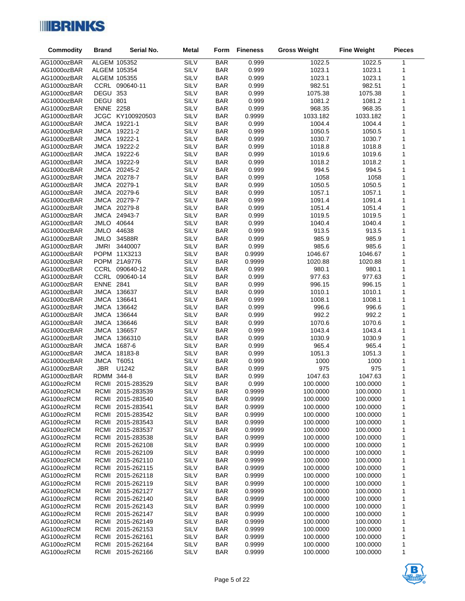

| <b>Commodity</b>           | <b>Brand</b>               | Serial No.                 | <b>Metal</b> | Form                     | <b>Fineness</b>  | <b>Gross Weight</b>  | <b>Fine Weight</b>   | <b>Pieces</b> |
|----------------------------|----------------------------|----------------------------|--------------|--------------------------|------------------|----------------------|----------------------|---------------|
| AG1000ozBAR                |                            | ALGEM 105352               | SILV         | <b>BAR</b>               | 0.999            | 1022.5               | 1022.5               | 1             |
| AG1000ozBAR                | ALGEM 105354               |                            | <b>SILV</b>  | <b>BAR</b>               | 0.999            | 1023.1               | 1023.1               | 1             |
| AG1000ozBAR                | ALGEM 105355               |                            | SILV         | <b>BAR</b>               | 0.999            | 1023.1               | 1023.1               | 1             |
| AG1000ozBAR                |                            | CCRL 090640-11             | SILV         | <b>BAR</b>               | 0.999            | 982.51               | 982.51               | 1             |
| AG1000ozBAR                | DEGU 353                   |                            | SILV         | <b>BAR</b>               | 0.999            | 1075.38              | 1075.38              | 1             |
| AG1000ozBAR                | DEGU 801                   |                            | SILV         | <b>BAR</b>               | 0.999            | 1081.2               | 1081.2               | 1             |
| AG1000ozBAR                | <b>ENNE 2258</b>           |                            | SILV         | <b>BAR</b>               | 0.999            | 968.35               | 968.35               | 1             |
| AG1000ozBAR                |                            | JCGC KY100920503           | SILV         | <b>BAR</b>               | 0.9999           | 1033.182             | 1033.182             | 1             |
| AG1000ozBAR                |                            | JMCA 19221-1               | SILV         | <b>BAR</b>               | 0.999            | 1004.4               | 1004.4               | 1             |
| AG1000ozBAR                |                            | JMCA 19221-2               | SILV         | <b>BAR</b>               | 0.999            | 1050.5               | 1050.5               | 1             |
| AG1000ozBAR                |                            | JMCA 19222-1               | SILV         | <b>BAR</b>               | 0.999            | 1030.7               | 1030.7               | 1             |
| AG1000ozBAR                |                            | JMCA 19222-2               | SILV         | <b>BAR</b>               | 0.999            | 1018.8               | 1018.8               | 1             |
| AG1000ozBAR                |                            | JMCA 19222-6               | SILV         | <b>BAR</b>               | 0.999            | 1019.6               | 1019.6               | 1             |
| AG1000ozBAR                |                            | JMCA 19222-9               | SILV         | <b>BAR</b>               | 0.999            | 1018.2               | 1018.2               | 1             |
| AG1000ozBAR                |                            | JMCA 20245-2               | SILV         | <b>BAR</b>               | 0.999            | 994.5                | 994.5                | 1             |
| AG1000ozBAR                |                            | JMCA 20278-7               | SILV         | <b>BAR</b>               | 0.999            | 1058                 | 1058                 | 1             |
| AG1000ozBAR                |                            | JMCA 20279-1               | SILV         | <b>BAR</b>               | 0.999            | 1050.5               | 1050.5               | 1             |
| AG1000ozBAR                |                            | JMCA 20279-6               | SILV         | <b>BAR</b>               | 0.999            | 1057.1               | 1057.1               | 1             |
| AG1000ozBAR                |                            | JMCA 20279-7               | SILV         | <b>BAR</b>               | 0.999            | 1091.4               | 1091.4               | 1             |
| AG1000ozBAR                |                            | JMCA 20279-8               | SILV         | <b>BAR</b>               | 0.999            | 1051.4               | 1051.4               | 1             |
| AG1000ozBAR                |                            | JMCA 24943-7               | SILV         | <b>BAR</b>               | 0.999            | 1019.5               | 1019.5               | 1             |
| AG1000ozBAR                | JMLO 40644                 |                            | SILV         | <b>BAR</b>               | 0.999            | 1040.4               | 1040.4               | 1             |
| AG1000ozBAR                | JMLO 44638                 |                            | SILV         | <b>BAR</b>               | 0.999            | 913.5                | 913.5                | 1             |
| AG1000ozBAR                | JMLO                       | 34588R                     | SILV         | <b>BAR</b>               | 0.999            | 985.9                | 985.9                | 1             |
| AG1000ozBAR                | <b>JMRI</b>                | 3440007<br>POPM 11X3213    | SILV<br>SILV | <b>BAR</b><br><b>BAR</b> | 0.999<br>0.9999  | 985.6<br>1046.67     | 985.6<br>1046.67     | 1<br>1        |
| AG1000ozBAR<br>AG1000ozBAR |                            | POPM 21A9776               | <b>SILV</b>  | <b>BAR</b>               | 0.9999           | 1020.88              | 1020.88              | 1             |
| AG1000ozBAR                |                            | CCRL 090640-12             | SILV         | <b>BAR</b>               | 0.999            | 980.1                | 980.1                | 1             |
| AG1000ozBAR                |                            | CCRL 090640-14             | SILV         | <b>BAR</b>               | 0.999            | 977.63               | 977.63               | 1             |
| AG1000ozBAR                | <b>ENNE 2841</b>           |                            | SILV         | <b>BAR</b>               | 0.999            | 996.15               | 996.15               | 1             |
| AG1000ozBAR                |                            | JMCA 136637                | SILV         | <b>BAR</b>               | 0.999            | 1010.1               | 1010.1               | 1             |
| AG1000ozBAR                |                            | JMCA 136641                | SILV         | <b>BAR</b>               | 0.999            | 1008.1               | 1008.1               | 1             |
| AG1000ozBAR                |                            | JMCA 136642                | SILV         | <b>BAR</b>               | 0.999            | 996.6                | 996.6                | 1             |
| AG1000ozBAR                | <b>JMCA</b>                | 136644                     | SILV         | <b>BAR</b>               | 0.999            | 992.2                | 992.2                | 1             |
| AG1000ozBAR                | JMCA                       | 136646                     | SILV         | <b>BAR</b>               | 0.999            | 1070.6               | 1070.6               | 1             |
| AG1000ozBAR                |                            | JMCA 136657                | SILV         | <b>BAR</b>               | 0.999            | 1043.4               | 1043.4               | 1             |
| AG1000ozBAR                |                            | JMCA 1366310               | SILV         | <b>BAR</b>               | 0.999            | 1030.9               | 1030.9               | 1             |
| AG1000ozBAR                | JMCA                       | 1687-6                     | SILV         | <b>BAR</b>               | 0.999            | 965.4                | 965.4                | 1             |
| AG1000ozBAR                |                            | JMCA 18183-8               | SILV         | <b>BAR</b>               | 0.999            | 1051.3               | 1051.3               | 1             |
| AG1000ozBAR                | JMCA T6051                 |                            | SILV         | <b>BAR</b>               | 0.999            | 1000                 | 1000                 | 1             |
| AG1000ozBAR                | <b>JBR</b>                 | U1242                      | SILV         | <b>BAR</b>               | 0.999            | 975                  | 975                  | 1             |
| AG1000ozBAR                | RDMM 344-8                 |                            | SILV         | <b>BAR</b>               | 0.999            | 1047.63              | 1047.63              | 1             |
| AG100ozRCM                 | RCMI                       | 2015-283529                | SILV         | <b>BAR</b>               | 0.999            | 100.0000             | 100.0000             | 1             |
| AG100ozRCM                 | RCMI                       | 2015-283539                | SILV         | <b>BAR</b>               | 0.9999           | 100.0000             | 100.0000             | 1             |
| AG100ozRCM                 | <b>RCMI</b>                | 2015-283540                | SILV         | <b>BAR</b>               | 0.9999           | 100.0000             | 100.0000             | 1             |
| AG100ozRCM                 | <b>RCMI</b>                | 2015-283541                | SILV         | <b>BAR</b>               | 0.9999           | 100.0000             | 100.0000             | 1             |
| AG100ozRCM                 | RCMI                       | 2015-283542                | SILV         | <b>BAR</b>               | 0.9999           | 100.0000             | 100.0000             | 1             |
| AG100ozRCM                 | <b>RCMI</b>                | 2015-283543                | SILV         | <b>BAR</b>               | 0.9999           | 100.0000             | 100.0000             | 1             |
| AG100ozRCM<br>AG100ozRCM   | <b>RCMI</b><br><b>RCMI</b> | 2015-283537<br>2015-283538 | SILV<br>SILV | <b>BAR</b><br><b>BAR</b> | 0.9999<br>0.9999 | 100.0000<br>100.0000 | 100.0000<br>100.0000 | 1<br>1        |
| AG100ozRCM                 | RCMI                       | 2015-262108                | SILV         | <b>BAR</b>               | 0.9999           | 100.0000             | 100.0000             | 1             |
| AG100ozRCM                 | <b>RCMI</b>                | 2015-262109                | SILV         | <b>BAR</b>               | 0.9999           | 100.0000             | 100.0000             | 1             |
| AG100ozRCM                 | <b>RCMI</b>                | 2015-262110                | SILV         | <b>BAR</b>               | 0.9999           | 100.0000             | 100.0000             | 1             |
| AG100ozRCM                 | <b>RCMI</b>                | 2015-262115                | SILV         | <b>BAR</b>               | 0.9999           | 100.0000             | 100.0000             | 1             |
| AG100ozRCM                 | <b>RCMI</b>                | 2015-262118                | SILV         | <b>BAR</b>               | 0.9999           | 100.0000             | 100.0000             | 1             |
| AG100ozRCM                 | <b>RCMI</b>                | 2015-262119                | SILV         | <b>BAR</b>               | 0.9999           | 100.0000             | 100.0000             | 1             |
| AG100ozRCM                 | RCMI                       | 2015-262127                | SILV         | <b>BAR</b>               | 0.9999           | 100.0000             | 100.0000             | 1             |
| AG100ozRCM                 | <b>RCMI</b>                | 2015-262140                | SILV         | <b>BAR</b>               | 0.9999           | 100.0000             | 100.0000             | 1             |
| AG100ozRCM                 | <b>RCMI</b>                | 2015-262143                | SILV         | <b>BAR</b>               | 0.9999           | 100.0000             | 100.0000             | 1             |
| AG100ozRCM                 | <b>RCMI</b>                | 2015-262147                | SILV         | <b>BAR</b>               | 0.9999           | 100.0000             | 100.0000             | 1             |
| AG100ozRCM                 | <b>RCMI</b>                | 2015-262149                | SILV         | <b>BAR</b>               | 0.9999           | 100.0000             | 100.0000             | 1             |
| AG100ozRCM                 | <b>RCMI</b>                | 2015-262153                | SILV         | <b>BAR</b>               | 0.9999           | 100.0000             | 100.0000             | 1             |
| AG100ozRCM                 | <b>RCMI</b>                | 2015-262161                | SILV         | <b>BAR</b>               | 0.9999           | 100.0000             | 100.0000             | 1             |
| AG100ozRCM                 | <b>RCMI</b>                | 2015-262164                | SILV         | <b>BAR</b>               | 0.9999           | 100.0000             | 100.0000             | 1             |
| AG100ozRCM                 | RCMI                       | 2015-262166                | SILV         | <b>BAR</b>               | 0.9999           | 100.0000             | 100.0000             | 1             |

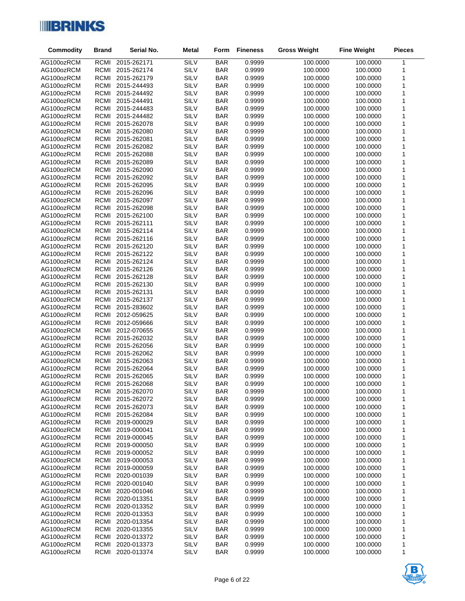

| Commodity                | <b>Brand</b>               | Serial No.                 | <b>Metal</b> | Form                     | <b>Fineness</b>  | <b>Gross Weight</b>  | <b>Fine Weight</b>   | <b>Pieces</b> |
|--------------------------|----------------------------|----------------------------|--------------|--------------------------|------------------|----------------------|----------------------|---------------|
| AG100ozRCM               | RCMI                       | 2015-262171                | SILV         | <b>BAR</b>               | 0.9999           | 100.0000             | 100.0000             | $\mathbf{1}$  |
| AG100ozRCM               | <b>RCMI</b>                | 2015-262174                | <b>SILV</b>  | <b>BAR</b>               | 0.9999           | 100.0000             | 100.0000             | 1             |
| AG100ozRCM               | <b>RCMI</b>                | 2015-262179                | <b>SILV</b>  | <b>BAR</b>               | 0.9999           | 100.0000             | 100.0000             | 1             |
| AG100ozRCM               | RCMI                       | 2015-244493                | <b>SILV</b>  | <b>BAR</b>               | 0.9999           | 100.0000             | 100.0000             | 1             |
| AG100ozRCM               | RCMI                       | 2015-244492                | <b>SILV</b>  | <b>BAR</b>               | 0.9999           | 100.0000             | 100.0000             | 1             |
| AG100ozRCM               | RCMI                       | 2015-244491                | <b>SILV</b>  | <b>BAR</b>               | 0.9999           | 100.0000             | 100.0000             | 1             |
| AG100ozRCM               | <b>RCMI</b>                | 2015-244483                | <b>SILV</b>  | <b>BAR</b>               | 0.9999           | 100.0000             | 100.0000             | 1             |
| AG100ozRCM               | RCMI                       | 2015-244482                | SILV         | <b>BAR</b>               | 0.9999           | 100.0000             | 100.0000             | 1             |
| AG100ozRCM               | <b>RCMI</b>                | 2015-262078                | <b>SILV</b>  | <b>BAR</b>               | 0.9999           | 100.0000             | 100.0000             | 1             |
| AG100ozRCM               | RCMI                       | 2015-262080                | SILV         | <b>BAR</b>               | 0.9999           | 100.0000             | 100.0000             | 1             |
| AG100ozRCM               | <b>RCMI</b>                | 2015-262081                | <b>SILV</b>  | <b>BAR</b>               | 0.9999           | 100.0000             | 100.0000             | 1             |
| AG100ozRCM               | <b>RCMI</b>                | 2015-262082                | <b>SILV</b>  | <b>BAR</b>               | 0.9999           | 100.0000             | 100.0000             | 1             |
| AG100ozRCM               | RCMI                       | 2015-262088                | SILV         | <b>BAR</b>               | 0.9999           | 100.0000             | 100.0000             | 1             |
| AG100ozRCM               | <b>RCMI</b>                | 2015-262089                | <b>SILV</b>  | <b>BAR</b>               | 0.9999           | 100.0000             | 100.0000             | 1             |
| AG100ozRCM               | <b>RCMI</b>                | 2015-262090                | <b>SILV</b>  | <b>BAR</b>               | 0.9999           | 100.0000             | 100.0000             | 1             |
| AG100ozRCM               | <b>RCMI</b>                | 2015-262092                | <b>SILV</b>  | <b>BAR</b>               | 0.9999           | 100.0000             | 100.0000             | 1             |
| AG100ozRCM               | RCMI                       | 2015-262095                | <b>SILV</b>  | <b>BAR</b>               | 0.9999           | 100.0000             | 100.0000             | 1             |
| AG100ozRCM               | <b>RCMI</b>                | 2015-262096                | <b>SILV</b>  | <b>BAR</b>               | 0.9999           | 100.0000             | 100.0000             | 1             |
| AG100ozRCM               | <b>RCMI</b>                | 2015-262097                | SILV         | <b>BAR</b>               | 0.9999           | 100.0000             | 100.0000             | 1             |
| AG100ozRCM               | RCMI                       | 2015-262098                | <b>SILV</b>  | <b>BAR</b>               | 0.9999           | 100.0000             | 100.0000             | 1             |
| AG100ozRCM               | <b>RCMI</b>                | 2015-262100                | <b>SILV</b>  | <b>BAR</b>               | 0.9999           | 100.0000             | 100.0000             | 1             |
| AG100ozRCM               | <b>RCMI</b>                | 2015-262111                | SILV         | <b>BAR</b>               | 0.9999           | 100.0000             | 100.0000             | 1             |
| AG100ozRCM               | RCMI                       | 2015-262114                | <b>SILV</b>  | <b>BAR</b>               | 0.9999           | 100.0000             | 100.0000             | 1             |
| AG100ozRCM               | <b>RCMI</b>                | 2015-262116                | <b>SILV</b>  | <b>BAR</b>               | 0.9999           | 100.0000             | 100.0000             | 1             |
| AG100ozRCM               | <b>RCMI</b>                | 2015-262120                | <b>SILV</b>  | <b>BAR</b>               | 0.9999           | 100.0000             | 100.0000             | 1             |
| AG100ozRCM               | RCMI                       | 2015-262122                | SILV         | <b>BAR</b>               | 0.9999           | 100.0000             | 100.0000             | 1             |
| AG100ozRCM               | <b>RCMI</b>                | 2015-262124                | <b>SILV</b>  | <b>BAR</b>               | 0.9999           | 100.0000             | 100.0000             | 1             |
| AG100ozRCM               | <b>RCMI</b><br><b>RCMI</b> | 2015-262126                | SILV<br>SILV | <b>BAR</b>               | 0.9999<br>0.9999 | 100.0000             | 100.0000<br>100.0000 | 1             |
| AG100ozRCM<br>AG100ozRCM | <b>RCMI</b>                | 2015-262128<br>2015-262130 | SILV         | <b>BAR</b><br><b>BAR</b> | 0.9999           | 100.0000<br>100.0000 | 100.0000             | 1<br>1        |
| AG100ozRCM               | RCMI                       | 2015-262131                | SILV         | <b>BAR</b>               | 0.9999           | 100.0000             | 100.0000             | 1             |
| AG100ozRCM               | <b>RCMI</b>                | 2015-262137                | SILV         | <b>BAR</b>               | 0.9999           | 100.0000             | 100.0000             | 1             |
| AG100ozRCM               | RCMI                       | 2015-283602                | SILV         | <b>BAR</b>               | 0.9999           | 100.0000             | 100.0000             | 1             |
| AG100ozRCM               | RCMI                       | 2012-059625                | SILV         | <b>BAR</b>               | 0.9999           | 100.0000             | 100.0000             | 1             |
| AG100ozRCM               | RCMI                       | 2012-059666                | SILV         | <b>BAR</b>               | 0.9999           | 100.0000             | 100.0000             | 1             |
| AG100ozRCM               | <b>RCMI</b>                | 2012-070655                | SILV         | <b>BAR</b>               | 0.9999           | 100.0000             | 100.0000             | 1             |
| AG100ozRCM               | <b>RCMI</b>                | 2015-262032                | SILV         | <b>BAR</b>               | 0.9999           | 100.0000             | 100.0000             | 1             |
| AG100ozRCM               | <b>RCMI</b>                | 2015-262056                | SILV         | <b>BAR</b>               | 0.9999           | 100.0000             | 100.0000             | 1             |
| AG100ozRCM               | <b>RCMI</b>                | 2015-262062                | SILV         | <b>BAR</b>               | 0.9999           | 100.0000             | 100.0000             | 1             |
| AG100ozRCM               | RCMI                       | 2015-262063                | SILV         | <b>BAR</b>               | 0.9999           | 100.0000             | 100.0000             | 1             |
| AG100ozRCM               | <b>RCMI</b>                | 2015-262064                | SILV         | <b>BAR</b>               | 0.9999           | 100.0000             | 100.0000             | 1             |
| AG100ozRCM               | RCMI                       | 2015-262065                | SILV         | <b>BAR</b>               | 0.9999           | 100.0000             | 100.0000             | 1             |
| AG100ozRCM               | RCMI                       | 2015-262068                | SILV         | <b>BAR</b>               | 0.9999           | 100.0000             | 100.0000             | $\mathbf{1}$  |
| AG100ozRCM               | <b>RCMI</b>                | 2015-262070                | SILV         | <b>BAR</b>               | 0.9999           | 100.0000             | 100.0000             | 1             |
| AG100ozRCM               | <b>RCMI</b>                | 2015-262072                | SILV         | <b>BAR</b>               | 0.9999           | 100.0000             | 100.0000             | 1             |
| AG100ozRCM               | <b>RCMI</b>                | 2015-262073                | SILV         | <b>BAR</b>               | 0.9999           | 100.0000             | 100.0000             | 1             |
| AG100ozRCM               | RCMI                       | 2015-262084                | SILV         | <b>BAR</b>               | 0.9999           | 100.0000             | 100.0000             | 1             |
| AG100ozRCM               | <b>RCMI</b>                | 2019-000029                | SILV         | <b>BAR</b>               | 0.9999           | 100.0000             | 100.0000             | 1             |
| AG100ozRCM               | <b>RCMI</b>                | 2019-000041                | SILV         | <b>BAR</b>               | 0.9999           | 100.0000             | 100.0000             | 1             |
| AG100ozRCM               | <b>RCMI</b>                | 2019-000045                | SILV         | <b>BAR</b>               | 0.9999           | 100.0000             | 100.0000             | 1             |
| AG100ozRCM               | RCMI                       | 2019-000050                | SILV         | <b>BAR</b>               | 0.9999           | 100.0000             | 100.0000             | 1             |
| AG100ozRCM               | <b>RCMI</b>                | 2019-000052                | SILV         | <b>BAR</b>               | 0.9999           | 100.0000             | 100.0000             | 1             |
| AG100ozRCM               | <b>RCMI</b>                | 2019-000053                | SILV         | <b>BAR</b>               | 0.9999           | 100.0000             | 100.0000             | 1             |
| AG100ozRCM               | <b>RCMI</b>                | 2019-000059                | SILV         | <b>BAR</b>               | 0.9999           | 100.0000             | 100.0000             | 1             |
| AG100ozRCM<br>AG100ozRCM | RCMI<br><b>RCMI</b>        | 2020-001039<br>2020-001040 | SILV<br>SILV | <b>BAR</b><br><b>BAR</b> | 0.9999<br>0.9999 | 100.0000<br>100.0000 | 100.0000<br>100.0000 | 1             |
| AG100ozRCM               | RCMI                       | 2020-001046                | SILV         | <b>BAR</b>               | 0.9999           | 100.0000             | 100.0000             | 1<br>1        |
| AG100ozRCM               | <b>RCMI</b>                | 2020-013351                | SILV         | <b>BAR</b>               | 0.9999           | 100.0000             | 100.0000             | 1             |
| AG100ozRCM               | <b>RCMI</b>                | 2020-013352                | SILV         | <b>BAR</b>               | 0.9999           | 100.0000             | 100.0000             | 1             |
| AG100ozRCM               | <b>RCMI</b>                | 2020-013353                | SILV         | <b>BAR</b>               | 0.9999           | 100.0000             | 100.0000             | 1             |
| AG100ozRCM               | RCMI                       | 2020-013354                | SILV         | <b>BAR</b>               | 0.9999           | 100.0000             | 100.0000             | 1             |
| AG100ozRCM               | <b>RCMI</b>                | 2020-013355                | SILV         | <b>BAR</b>               | 0.9999           | 100.0000             | 100.0000             | 1             |
| AG100ozRCM               | <b>RCMI</b>                | 2020-013372                | SILV         | <b>BAR</b>               | 0.9999           | 100.0000             | 100.0000             | 1             |
| AG100ozRCM               | <b>RCMI</b>                | 2020-013373                | SILV         | <b>BAR</b>               | 0.9999           | 100.0000             | 100.0000             | 1             |
| AG100ozRCM               | <b>RCMI</b>                | 2020-013374                | SILV         | <b>BAR</b>               | 0.9999           | 100.0000             | 100.0000             | 1             |

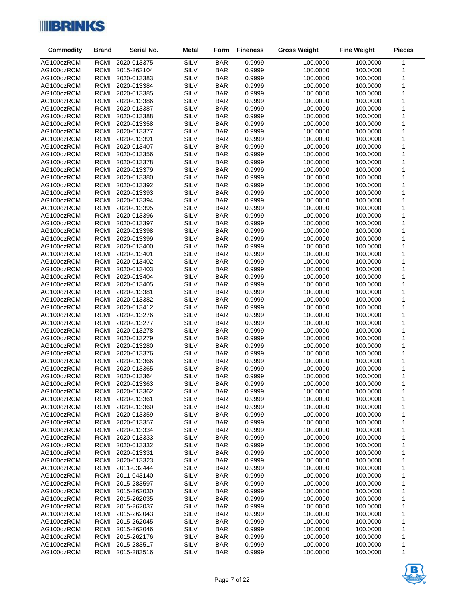

| <b>Commodity</b>         | <b>Brand</b>               | Serial No.                 | <b>Metal</b> | Form                     | <b>Fineness</b>  | <b>Gross Weight</b>  | <b>Fine Weight</b>   | <b>Pieces</b> |
|--------------------------|----------------------------|----------------------------|--------------|--------------------------|------------------|----------------------|----------------------|---------------|
| AG100ozRCM               | RCMI                       | 2020-013375                | SILV         | <b>BAR</b>               | 0.9999           | 100.0000             | 100.0000             | $\mathbf{1}$  |
| AG100ozRCM               | <b>RCMI</b>                | 2015-262104                | SILV         | <b>BAR</b>               | 0.9999           | 100.0000             | 100.0000             | 1             |
| AG100ozRCM               | <b>RCMI</b>                | 2020-013383                | SILV         | <b>BAR</b>               | 0.9999           | 100.0000             | 100.0000             | 1             |
| AG100ozRCM               | RCMI                       | 2020-013384                | SILV         | <b>BAR</b>               | 0.9999           | 100.0000             | 100.0000             | 1             |
| AG100ozRCM               | <b>RCMI</b>                | 2020-013385                | SILV         | <b>BAR</b>               | 0.9999           | 100.0000             | 100.0000             | 1             |
| AG100ozRCM               | <b>RCMI</b>                | 2020-013386                | SILV         | <b>BAR</b>               | 0.9999           | 100.0000             | 100.0000             | 1             |
| AG100ozRCM               | RCMI                       | 2020-013387                | SILV         | <b>BAR</b>               | 0.9999           | 100.0000             | 100.0000             | 1             |
| AG100ozRCM               | <b>RCMI</b>                | 2020-013388                | SILV         | <b>BAR</b>               | 0.9999           | 100.0000             | 100.0000             | 1             |
| AG100ozRCM               | <b>RCMI</b>                | 2020-013358                | SILV         | <b>BAR</b>               | 0.9999           | 100.0000             | 100.0000             | 1             |
| AG100ozRCM               | <b>RCMI</b>                | 2020-013377                | SILV         | <b>BAR</b>               | 0.9999           | 100.0000             | 100.0000             | 1             |
| AG100ozRCM               | <b>RCMI</b>                | 2020-013391                | SILV         | <b>BAR</b>               | 0.9999           | 100.0000             | 100.0000             | 1             |
| AG100ozRCM               | <b>RCMI</b>                | 2020-013407                | SILV         | <b>BAR</b>               | 0.9999           | 100.0000             | 100.0000             | 1             |
| AG100ozRCM               | RCMI                       | 2020-013356                | SILV         | <b>BAR</b>               | 0.9999           | 100.0000             | 100.0000             | 1             |
| AG100ozRCM               | <b>RCMI</b>                | 2020-013378                | SILV         | <b>BAR</b>               | 0.9999           | 100.0000             | 100.0000             | 1             |
| AG100ozRCM               | <b>RCMI</b>                | 2020-013379                | SILV         | <b>BAR</b>               | 0.9999           | 100.0000             | 100.0000             | 1             |
| AG100ozRCM               | RCMI                       | 2020-013380                | SILV         | <b>BAR</b>               | 0.9999           | 100.0000             | 100.0000             | 1             |
| AG100ozRCM               | <b>RCMI</b>                | 2020-013392                | SILV         | <b>BAR</b>               | 0.9999           | 100.0000             | 100.0000             | 1             |
| AG100ozRCM               | <b>RCMI</b>                | 2020-013393                | SILV         | <b>BAR</b>               | 0.9999           | 100.0000             | 100.0000             | 1             |
| AG100ozRCM               | <b>RCMI</b>                | 2020-013394                | SILV         | <b>BAR</b>               | 0.9999           | 100.0000             | 100.0000             | 1             |
| AG100ozRCM               | RCMI                       | 2020-013395                | SILV         | <b>BAR</b>               | 0.9999           | 100.0000             | 100.0000             | 1             |
| AG100ozRCM               | <b>RCMI</b>                | 2020-013396                | SILV         | <b>BAR</b>               | 0.9999           | 100.0000             | 100.0000             | 1             |
| AG100ozRCM               | <b>RCMI</b>                | 2020-013397                | SILV         | <b>BAR</b>               | 0.9999           | 100.0000             | 100.0000             | 1             |
| AG100ozRCM               | RCMI                       | 2020-013398                | SILV         | <b>BAR</b>               | 0.9999           | 100.0000             | 100.0000             | 1             |
| AG100ozRCM               | <b>RCMI</b>                | 2020-013399                | SILV         | <b>BAR</b>               | 0.9999           | 100.0000             | 100.0000             | 1             |
| AG100ozRCM               | <b>RCMI</b>                | 2020-013400                | SILV         | <b>BAR</b>               | 0.9999           | 100.0000             | 100.0000             | 1             |
| AG100ozRCM               | RCMI                       | 2020-013401                | SILV         | <b>BAR</b>               | 0.9999           | 100.0000             | 100.0000             | 1             |
| AG100ozRCM               | <b>RCMI</b>                | 2020-013402                | SILV         | <b>BAR</b>               | 0.9999           | 100.0000             | 100.0000             | 1             |
| AG100ozRCM               | <b>RCMI</b><br><b>RCMI</b> | 2020-013403                | SILV<br>SILV | <b>BAR</b><br><b>BAR</b> | 0.9999<br>0.9999 | 100.0000<br>100.0000 | 100.0000<br>100.0000 | 1             |
| AG100ozRCM<br>AG100ozRCM | <b>RCMI</b>                | 2020-013404<br>2020-013405 | SILV         | <b>BAR</b>               | 0.9999           | 100.0000             | 100.0000             | 1<br>1        |
| AG100ozRCM               | <b>RCMI</b>                | 2020-013381                | SILV         | <b>BAR</b>               | 0.9999           | 100.0000             | 100.0000             | 1             |
| AG100ozRCM               | RCMI                       | 2020-013382                | SILV         | <b>BAR</b>               | 0.9999           | 100.0000             | 100.0000             | 1             |
| AG100ozRCM               | <b>RCMI</b>                | 2020-013412                | SILV         | <b>BAR</b>               | 0.9999           | 100.0000             | 100.0000             | 1             |
| AG100ozRCM               | <b>RCMI</b>                | 2020-013276                | <b>SILV</b>  | <b>BAR</b>               | 0.9999           | 100.0000             | 100.0000             | 1             |
| AG100ozRCM               | RCMI                       | 2020-013277                | <b>SILV</b>  | <b>BAR</b>               | 0.9999           | 100.0000             | 100.0000             | 1             |
| AG100ozRCM               | <b>RCMI</b>                | 2020-013278                | <b>SILV</b>  | <b>BAR</b>               | 0.9999           | 100.0000             | 100.0000             | 1             |
| AG100ozRCM               | <b>RCMI</b>                | 2020-013279                | <b>SILV</b>  | <b>BAR</b>               | 0.9999           | 100.0000             | 100.0000             | 1             |
| AG100ozRCM               | <b>RCMI</b>                | 2020-013280                | SILV         | <b>BAR</b>               | 0.9999           | 100.0000             | 100.0000             | 1             |
| AG100ozRCM               | RCMI                       | 2020-013376                | SILV         | <b>BAR</b>               | 0.9999           | 100.0000             | 100.0000             | 1             |
| AG100ozRCM               | <b>RCMI</b>                | 2020-013366                | <b>SILV</b>  | <b>BAR</b>               | 0.9999           | 100.0000             | 100.0000             | 1             |
| AG100ozRCM               | <b>RCMI</b>                | 2020-013365                | <b>SILV</b>  | <b>BAR</b>               | 0.9999           | 100.0000             | 100.0000             | 1             |
| AG100ozRCM               | <b>RCMI</b>                | 2020-013364                | <b>SILV</b>  | <b>BAR</b>               | 0.9999           | 100.0000             | 100.0000             | 1             |
| AG100ozRCM               | RCMI                       | 2020-013363                | SILV         | <b>BAR</b>               | 0.9999           | 100.0000             | 100.0000             | $\mathbf{1}$  |
| AG100ozRCM               | RCMI                       | 2020-013362                | SILV         | <b>BAR</b>               | 0.9999           | 100.0000             | 100.0000             | 1             |
| AG100ozRCM               | <b>RCMI</b>                | 2020-013361                | SILV         | <b>BAR</b>               | 0.9999           | 100.0000             | 100.0000             | 1             |
| AG100ozRCM               | <b>RCMI</b>                | 2020-013360                | SILV         | <b>BAR</b>               | 0.9999           | 100.0000             | 100.0000             | 1             |
| AG100ozRCM               | RCMI                       | 2020-013359                | SILV         | <b>BAR</b>               | 0.9999           | 100.0000             | 100.0000             | 1             |
| AG100ozRCM               | <b>RCMI</b>                | 2020-013357                | SILV         | <b>BAR</b>               | 0.9999           | 100.0000             | 100.0000             | 1             |
| AG100ozRCM               | <b>RCMI</b>                | 2020-013334                | SILV         | <b>BAR</b>               | 0.9999           | 100.0000             | 100.0000             | 1             |
| AG100ozRCM               | <b>RCMI</b>                | 2020-013333                | <b>SILV</b>  | <b>BAR</b>               | 0.9999           | 100.0000             | 100.0000             | 1             |
| AG100ozRCM               | <b>RCMI</b>                | 2020-013332                | <b>SILV</b>  | <b>BAR</b>               | 0.9999           | 100.0000             | 100.0000             | 1             |
| AG100ozRCM               | <b>RCMI</b>                | 2020-013331                | SILV         | <b>BAR</b>               | 0.9999           | 100.0000<br>100.0000 | 100.0000             | 1             |
| AG100ozRCM<br>AG100ozRCM | <b>RCMI</b><br>RCMI        | 2020-013323<br>2011-032444 | SILV<br>SILV | <b>BAR</b><br><b>BAR</b> | 0.9999<br>0.9999 | 100.0000             | 100.0000<br>100.0000 | 1             |
| AG100ozRCM               | <b>RCMI</b>                | 2011-043140                | SILV         | <b>BAR</b>               | 0.9999           | 100.0000             | 100.0000             | 1<br>1        |
| AG100ozRCM               | <b>RCMI</b>                | 2015-283597                | SILV         | <b>BAR</b>               | 0.9999           | 100.0000             | 100.0000             | 1             |
| AG100ozRCM               | <b>RCMI</b>                | 2015-262030                | SILV         | <b>BAR</b>               | 0.9999           | 100.0000             | 100.0000             | 1             |
| AG100ozRCM               | <b>RCMI</b>                | 2015-262035                | SILV         | <b>BAR</b>               | 0.9999           | 100.0000             | 100.0000             | 1             |
| AG100ozRCM               | <b>RCMI</b>                | 2015-262037                | SILV         | <b>BAR</b>               | 0.9999           | 100.0000             | 100.0000             | 1             |
| AG100ozRCM               | <b>RCMI</b>                | 2015-262043                | SILV         | <b>BAR</b>               | 0.9999           | 100.0000             | 100.0000             | 1             |
| AG100ozRCM               | RCMI                       | 2015-262045                | SILV         | <b>BAR</b>               | 0.9999           | 100.0000             | 100.0000             | 1             |
| AG100ozRCM               | <b>RCMI</b>                | 2015-262046                | <b>SILV</b>  | <b>BAR</b>               | 0.9999           | 100.0000             | 100.0000             | 1             |
| AG100ozRCM               | <b>RCMI</b>                | 2015-262176                | SILV         | <b>BAR</b>               | 0.9999           | 100.0000             | 100.0000             | 1             |
| AG100ozRCM               | <b>RCMI</b>                | 2015-283517                | SILV         | <b>BAR</b>               | 0.9999           | 100.0000             | 100.0000             | 1             |
| AG100ozRCM               | <b>RCMI</b>                | 2015-283516                | SILV         | <b>BAR</b>               | 0.9999           | 100.0000             | 100.0000             | 1             |

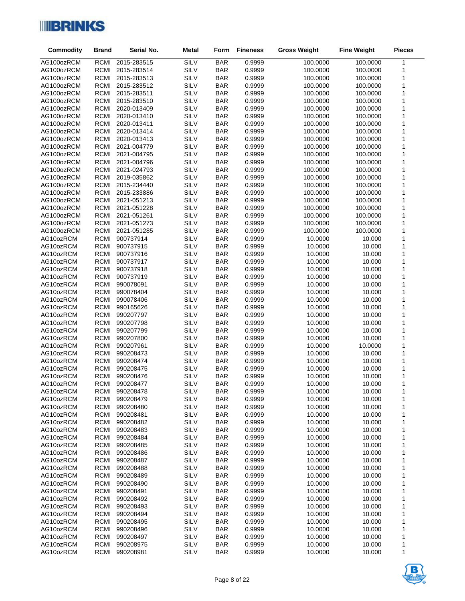

| Commodity                | <b>Brand</b>               | Serial No.                 | <b>Metal</b> | Form                     | <b>Fineness</b>  | <b>Gross Weight</b>  | <b>Fine Weight</b>   | <b>Pieces</b> |
|--------------------------|----------------------------|----------------------------|--------------|--------------------------|------------------|----------------------|----------------------|---------------|
| AG100ozRCM               | RCMI                       | 2015-283515                | SILV         | <b>BAR</b>               | 0.9999           | 100.0000             | 100.0000             | $\mathbf{1}$  |
| AG100ozRCM               | <b>RCMI</b>                | 2015-283514                | SILV         | <b>BAR</b>               | 0.9999           | 100.0000             | 100.0000             | 1             |
| AG100ozRCM               | <b>RCMI</b>                | 2015-283513                | SILV         | <b>BAR</b>               | 0.9999           | 100.0000             | 100.0000             | 1             |
| AG100ozRCM               | RCMI                       | 2015-283512                | SILV         | <b>BAR</b>               | 0.9999           | 100.0000             | 100.0000             | 1             |
| AG100ozRCM               | <b>RCMI</b>                | 2015-283511                | SILV         | <b>BAR</b>               | 0.9999           | 100.0000             | 100.0000             | 1             |
| AG100ozRCM               | <b>RCMI</b>                | 2015-283510                | SILV         | <b>BAR</b>               | 0.9999           | 100.0000             | 100.0000             | 1             |
| AG100ozRCM               | <b>RCMI</b>                | 2020-013409                | SILV         | <b>BAR</b>               | 0.9999           | 100.0000             | 100.0000             | 1             |
| AG100ozRCM               | <b>RCMI</b>                | 2020-013410                | SILV         | <b>BAR</b>               | 0.9999           | 100.0000             | 100.0000             | 1             |
| AG100ozRCM               | <b>RCMI</b>                | 2020-013411                | SILV         | <b>BAR</b>               | 0.9999           | 100.0000             | 100.0000             | 1             |
| AG100ozRCM               | <b>RCMI</b>                | 2020-013414                | SILV         | <b>BAR</b>               | 0.9999           | 100.0000             | 100.0000             | 1             |
| AG100ozRCM               | <b>RCMI</b>                | 2020-013413                | SILV         | <b>BAR</b>               | 0.9999           | 100.0000             | 100.0000             | 1             |
| AG100ozRCM               | <b>RCMI</b>                | 2021-004779                | SILV         | <b>BAR</b>               | 0.9999           | 100.0000             | 100.0000             | 1             |
| AG100ozRCM               | RCMI                       | 2021-004795                | SILV         | <b>BAR</b>               | 0.9999           | 100.0000             | 100.0000             | 1             |
| AG100ozRCM               | <b>RCMI</b>                | 2021-004796                | SILV         | <b>BAR</b>               | 0.9999           | 100.0000             | 100.0000             | 1             |
| AG100ozRCM               | <b>RCMI</b>                | 2021-024793                | SILV         | <b>BAR</b>               | 0.9999           | 100.0000             | 100.0000             | 1             |
| AG100ozRCM               | <b>RCMI</b>                | 2019-035862                | SILV         | <b>BAR</b>               | 0.9999           | 100.0000             | 100.0000             | 1             |
| AG100ozRCM               | RCMI                       | 2015-234440                | SILV         | <b>BAR</b>               | 0.9999           | 100.0000             | 100.0000             | 1             |
| AG100ozRCM               | <b>RCMI</b><br><b>RCMI</b> | 2015-233886                | SILV<br>SILV | <b>BAR</b>               | 0.9999<br>0.9999 | 100.0000             | 100.0000             | 1<br>1        |
| AG100ozRCM<br>AG100ozRCM | RCMI                       | 2021-051213<br>2021-051228 | SILV         | <b>BAR</b><br><b>BAR</b> | 0.9999           | 100.0000<br>100.0000 | 100.0000<br>100.0000 | 1             |
| AG100ozRCM               | <b>RCMI</b>                | 2021-051261                | SILV         | <b>BAR</b>               | 0.9999           | 100.0000             | 100.0000             | 1             |
| AG100ozRCM               | <b>RCMI</b>                | 2021-051273                | SILV         | <b>BAR</b>               | 0.9999           | 100.0000             | 100.0000             | 1             |
| AG100ozRCM               | RCMI                       | 2021-051285                | SILV         | <b>BAR</b>               | 0.9999           | 100.0000             | 100.0000             | 1             |
| AG10ozRCM                | <b>RCMI</b>                | 900737914                  | SILV         | <b>BAR</b>               | 0.9999           | 10.0000              | 10.000               | 1             |
| AG10ozRCM                | <b>RCMI</b>                | 900737915                  | SILV         | <b>BAR</b>               | 0.9999           | 10.0000              | 10.000               | 1             |
| AG10ozRCM                | <b>RCMI</b>                | 900737916                  | SILV         | <b>BAR</b>               | 0.9999           | 10.0000              | 10.000               | 1             |
| AG10ozRCM                | <b>RCMI</b>                | 900737917                  | SILV         | <b>BAR</b>               | 0.9999           | 10.0000              | 10.000               | 1             |
| AG10ozRCM                | <b>RCMI</b>                | 900737918                  | SILV         | <b>BAR</b>               | 0.9999           | 10.0000              | 10.000               | 1             |
| AG10ozRCM                | <b>RCMI</b>                | 900737919                  | SILV         | <b>BAR</b>               | 0.9999           | 10.0000              | 10.000               | 1             |
| AG10ozRCM                | <b>RCMI</b>                | 990078091                  | SILV         | <b>BAR</b>               | 0.9999           | 10.0000              | 10.000               | 1             |
| AG10ozRCM                | <b>RCMI</b>                | 990078404                  | SILV         | <b>BAR</b>               | 0.9999           | 10.0000              | 10.000               | 1             |
| AG10ozRCM                | <b>RCMI</b>                | 990078406                  | SILV         | <b>BAR</b>               | 0.9999           | 10.0000              | 10.000               | 1             |
| AG10ozRCM                | <b>RCMI</b>                | 990165626                  | SILV         | <b>BAR</b>               | 0.9999           | 10.0000              | 10.000               | 1             |
| AG10ozRCM                | <b>RCMI</b>                | 990207797                  | SILV         | <b>BAR</b>               | 0.9999           | 10.0000              | 10.000               | 1             |
| AG10ozRCM                | RCMI                       | 990207798                  | SILV         | <b>BAR</b>               | 0.9999           | 10.0000              | 10.000               | 1             |
| AG10ozRCM                | <b>RCMI</b>                | 990207799                  | SILV         | <b>BAR</b>               | 0.9999           | 10.0000              | 10.000               | 1             |
| AG10ozRCM                | <b>RCMI</b>                | 990207800                  | SILV         | <b>BAR</b>               | 0.9999           | 10.0000              | 10.000               | 1             |
| AG10ozRCM                | <b>RCMI</b>                | 990207961                  | SILV         | <b>BAR</b>               | 0.9999           | 10.0000              | 10.0000              | 1             |
| AG10ozRCM                | <b>RCMI</b>                | 990208473                  | SILV         | <b>BAR</b>               | 0.9999           | 10.0000              | 10.000               | 1             |
| AG10ozRCM                | <b>RCMI</b>                | 990208474                  | SILV         | <b>BAR</b>               | 0.9999           | 10.0000              | 10.000               | 1             |
| AG10ozRCM                | <b>RCMI</b>                | 990208475                  | SILV         | <b>BAR</b>               | 0.9999           | 10.0000              | 10.000               | 1             |
| AG10ozRCM                | <b>RCMI</b>                | 990208476                  | SILV         | <b>BAR</b>               | 0.9999           | 10.0000              | 10.000               | 1             |
| AG10ozRCM                | RCMI                       | 990208477                  | SILV         | <b>BAR</b>               | 0.9999           | 10.0000              | 10.000               | $\mathbf{1}$  |
| AG10ozRCM                | RCMI<br><b>RCMI</b>        | 990208478                  | SILV<br>SILV | <b>BAR</b>               | 0.9999           | 10.0000              | 10.000               | 1             |
| AG10ozRCM<br>AG10ozRCM   | <b>RCMI</b>                | 990208479<br>990208480     | SILV         | <b>BAR</b><br><b>BAR</b> | 0.9999<br>0.9999 | 10.0000<br>10.0000   | 10.000<br>10.000     | 1<br>1        |
| AG10ozRCM                | <b>RCMI</b>                | 990208481                  | SILV         | <b>BAR</b>               | 0.9999           | 10.0000              | 10.000               | 1             |
| AG10ozRCM                | RCMI                       | 990208482                  | SILV         | <b>BAR</b>               | 0.9999           | 10.0000              | 10.000               | 1             |
| AG10ozRCM                | <b>RCMI</b>                | 990208483                  | SILV         | <b>BAR</b>               | 0.9999           | 10.0000              | 10.000               | 1             |
| AG10ozRCM                | <b>RCMI</b>                | 990208484                  | SILV         | <b>BAR</b>               | 0.9999           | 10.0000              | 10.000               | 1             |
| AG10ozRCM                | <b>RCMI</b>                | 990208485                  | SILV         | <b>BAR</b>               | 0.9999           | 10.0000              | 10.000               | 1             |
| AG10ozRCM                | <b>RCMI</b>                | 990208486                  | SILV         | <b>BAR</b>               | 0.9999           | 10.0000              | 10.000               | 1             |
| AG10ozRCM                | <b>RCMI</b>                | 990208487                  | SILV         | <b>BAR</b>               | 0.9999           | 10.0000              | 10.000               | 1             |
| AG10ozRCM                | <b>RCMI</b>                | 990208488                  | SILV         | <b>BAR</b>               | 0.9999           | 10.0000              | 10.000               | 1             |
| AG10ozRCM                | RCMI                       | 990208489                  | SILV         | <b>BAR</b>               | 0.9999           | 10.0000              | 10.000               | 1             |
| AG10ozRCM                | <b>RCMI</b>                | 990208490                  | SILV         | <b>BAR</b>               | 0.9999           | 10.0000              | 10.000               | 1             |
| AG10ozRCM                | RCMI                       | 990208491                  | SILV         | <b>BAR</b>               | 0.9999           | 10.0000              | 10.000               | 1             |
| AG10ozRCM                | <b>RCMI</b>                | 990208492                  | SILV         | <b>BAR</b>               | 0.9999           | 10.0000              | 10.000               | 1             |
| AG10ozRCM                | RCMI                       | 990208493                  | SILV         | <b>BAR</b>               | 0.9999           | 10.0000              | 10.000               | 1             |
| AG10ozRCM                | RCMI                       | 990208494                  | SILV         | <b>BAR</b>               | 0.9999           | 10.0000              | 10.000               | 1             |
| AG10ozRCM                | RCMI                       | 990208495                  | SILV         | <b>BAR</b>               | 0.9999           | 10.0000              | 10.000               | 1             |
| AG10ozRCM                | <b>RCMI</b>                | 990208496                  | SILV         | <b>BAR</b>               | 0.9999           | 10.0000              | 10.000               | 1             |
| AG10ozRCM                | <b>RCMI</b>                | 990208497                  | SILV         | <b>BAR</b>               | 0.9999           | 10.0000              | 10.000               | 1             |
| AG10ozRCM                | RCMI                       | 990208975                  | SILV         | <b>BAR</b>               | 0.9999           | 10.0000              | 10.000               | 1             |
| AG10ozRCM                | RCMI                       | 990208981                  | SILV         | <b>BAR</b>               | 0.9999           | 10.0000              | 10.000               | 1             |

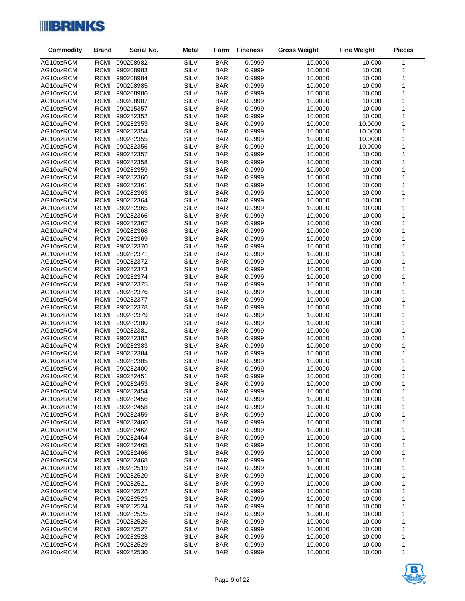

| <b>Commodity</b>       | <b>Brand</b>        | Serial No.             | <b>Metal</b> | Form                     | <b>Fineness</b>  | <b>Gross Weight</b> | <b>Fine Weight</b> | <b>Pieces</b> |
|------------------------|---------------------|------------------------|--------------|--------------------------|------------------|---------------------|--------------------|---------------|
| AG10ozRCM              | RCMI                | 990208982              | SILV         | <b>BAR</b>               | 0.9999           | 10.0000             | 10.000             | $\mathbf{1}$  |
| AG10ozRCM              | <b>RCMI</b>         | 990208983              | SILV         | <b>BAR</b>               | 0.9999           | 10.0000             | 10.000             | 1             |
| AG10ozRCM              | RCMI                | 990208984              | <b>SILV</b>  | <b>BAR</b>               | 0.9999           | 10.0000             | 10.000             | $\mathbf 1$   |
| AG10ozRCM              | RCMI                | 990208985              | <b>SILV</b>  | <b>BAR</b>               | 0.9999           | 10.0000             | 10.000             | 1             |
| AG10ozRCM              | <b>RCMI</b>         | 990208986              | SILV         | <b>BAR</b>               | 0.9999           | 10.0000             | 10.000             | 1             |
| AG10ozRCM              | RCMI                | 990208987              | SILV         | <b>BAR</b>               | 0.9999           | 10.0000             | 10.000             | 1             |
| AG10ozRCM              | RCMI                | 990215357              | <b>SILV</b>  | <b>BAR</b>               | 0.9999           | 10.0000             | 10.000             | 1             |
| AG10ozRCM              | <b>RCMI</b>         | 990282352              | SILV         | <b>BAR</b>               | 0.9999           | 10.0000             | 10.000             | 1             |
| AG10ozRCM              | RCMI                | 990282353              | SILV         | <b>BAR</b>               | 0.9999           | 10.0000             | 10.0000            | 1             |
| AG10ozRCM              | RCMI                | 990282354              | SILV         | <b>BAR</b>               | 0.9999           | 10.0000             | 10.0000            | $\mathbf 1$   |
| AG10ozRCM              | <b>RCMI</b>         | 990282355              | SILV         | <b>BAR</b>               | 0.9999           | 10.0000             | 10.0000            | 1             |
| AG10ozRCM              | <b>RCMI</b>         | 990282356              | SILV         | <b>BAR</b>               | 0.9999           | 10.0000             | 10.0000            | 1             |
| AG10ozRCM              | RCMI                | 990282357              | <b>SILV</b>  | <b>BAR</b>               | 0.9999           | 10.0000             | 10.000             | 1             |
| AG10ozRCM              | <b>RCMI</b>         | 990282358              | <b>SILV</b>  | <b>BAR</b>               | 0.9999           | 10.0000             | 10.000             | 1             |
| AG10ozRCM              | <b>RCMI</b>         | 990282359              | SILV         | <b>BAR</b>               | 0.9999           | 10.0000             | 10.000             | 1             |
| AG10ozRCM              | RCMI                | 990282360              | SILV<br>SILV | <b>BAR</b>               | 0.9999           | 10.0000             | 10.000             | $\mathbf 1$   |
| AG10ozRCM<br>AG10ozRCM | RCMI<br><b>RCMI</b> | 990282361<br>990282363 | SILV         | <b>BAR</b><br><b>BAR</b> | 0.9999<br>0.9999 | 10.0000<br>10.0000  | 10.000<br>10.000   | 1<br>1        |
| AG10ozRCM              | RCMI                | 990282364              | SILV         | <b>BAR</b>               | 0.9999           | 10.0000             | 10.000             | 1             |
| AG10ozRCM              | RCMI                | 990282365              | SILV         | <b>BAR</b>               | 0.9999           | 10.0000             | 10.000             | 1             |
| AG10ozRCM              | <b>RCMI</b>         | 990282366              | SILV         | <b>BAR</b>               | 0.9999           | 10.0000             | 10.000             | 1             |
| AG10ozRCM              | RCMI                | 990282367              | SILV         | <b>BAR</b>               | 0.9999           | 10.0000             | 10.000             | 1             |
| AG10ozRCM              | RCMI                | 990282368              | <b>SILV</b>  | <b>BAR</b>               | 0.9999           | 10.0000             | 10.000             | 1             |
| AG10ozRCM              | <b>RCMI</b>         | 990282369              | SILV         | <b>BAR</b>               | 0.9999           | 10.0000             | 10.000             | 1             |
| AG10ozRCM              | RCMI                | 990282370              | SILV         | <b>BAR</b>               | 0.9999           | 10.0000             | 10.000             | 1             |
| AG10ozRCM              | <b>RCMI</b>         | 990282371              | <b>SILV</b>  | <b>BAR</b>               | 0.9999           | 10.0000             | 10.000             | 1             |
| AG10ozRCM              | <b>RCMI</b>         | 990282372              | SILV         | <b>BAR</b>               | 0.9999           | 10.0000             | 10.000             | 1             |
| AG10ozRCM              | RCMI                | 990282373              | SILV         | <b>BAR</b>               | 0.9999           | 10.0000             | 10.000             | $\mathbf 1$   |
| AG10ozRCM              | <b>RCMI</b>         | 990282374              | <b>SILV</b>  | <b>BAR</b>               | 0.9999           | 10.0000             | 10.000             | 1             |
| AG10ozRCM              | RCMI                | 990282375              | SILV         | <b>BAR</b>               | 0.9999           | 10.0000             | 10.000             | 1             |
| AG10ozRCM              | RCMI                | 990282376              | SILV         | <b>BAR</b>               | 0.9999           | 10.0000             | 10.000             | 1             |
| AG10ozRCM              | RCMI                | 990282377              | <b>SILV</b>  | <b>BAR</b>               | 0.9999           | 10.0000             | 10.000             | 1             |
| AG10ozRCM              | <b>RCMI</b>         | 990282378              | SILV         | <b>BAR</b>               | 0.9999           | 10.0000             | 10.000             | 1             |
| AG10ozRCM              | RCMI                | 990282379              | SILV         | <b>BAR</b>               | 0.9999           | 10.0000             | 10.000             | 1             |
| AG10ozRCM              | RCMI                | 990282380              | SILV         | <b>BAR</b>               | 0.9999           | 10.0000             | 10.000             | $\mathbf 1$   |
| AG10ozRCM              | <b>RCMI</b>         | 990282381              | SILV         | <b>BAR</b>               | 0.9999           | 10.0000             | 10.000             | 1             |
| AG10ozRCM              | RCMI                | 990282382              | SILV         | <b>BAR</b>               | 0.9999           | 10.0000             | 10.000             | 1             |
| AG10ozRCM              | <b>RCMI</b>         | 990282383<br>990282384 | SILV         | <b>BAR</b>               | 0.9999           | 10.0000             | 10.000             | 1             |
| AG10ozRCM<br>AG10ozRCM | RCMI<br>RCMI        | 990282385              | SILV<br>SILV | <b>BAR</b><br><b>BAR</b> | 0.9999<br>0.9999 | 10.0000<br>10.0000  | 10.000<br>10.000   | 1<br>1        |
| AG10ozRCM              | RCMI                | 990282400              | SILV         | <b>BAR</b>               | 0.9999           | 10.0000             | 10.000             | 1             |
| AG10ozRCM              | RCMI                | 990282451              | SILV         | <b>BAR</b>               | 0.9999           | 10.0000             | 10.000             | 1             |
| AG10ozRCM              | RCMI                | 990282453              | SILV         | <b>BAR</b>               | 0.9999           | 10.0000             | 10.000             | $\mathbf{1}$  |
| AG10ozRCM              | RCMI                | 990282454              | SILV         | <b>BAR</b>               | 0.9999           | 10.0000             | 10.000             | 1             |
| AG10ozRCM              | <b>RCMI</b>         | 990282456              | SILV         | <b>BAR</b>               | 0.9999           | 10.0000             | 10.000             | 1             |
| AG10ozRCM              | RCMI                | 990282458              | SILV         | <b>BAR</b>               | 0.9999           | 10.0000             | 10.000             | 1             |
| AG10ozRCM              | <b>RCMI</b>         | 990282459              | SILV         | <b>BAR</b>               | 0.9999           | 10.0000             | 10.000             | 1             |
| AG10ozRCM              | RCMI                | 990282460              | SILV         | <b>BAR</b>               | 0.9999           | 10.0000             | 10.000             | 1             |
| AG10ozRCM              | <b>RCMI</b>         | 990282462              | SILV         | <b>BAR</b>               | 0.9999           | 10.0000             | 10.000             | 1             |
| AG10ozRCM              | RCMI                | 990282464              | SILV         | <b>BAR</b>               | 0.9999           | 10.0000             | 10.000             | 1             |
| AG10ozRCM              | RCMI                | 990282465              | SILV         | <b>BAR</b>               | 0.9999           | 10.0000             | 10.000             | 1             |
| AG10ozRCM              | RCMI                | 990282466              | SILV         | <b>BAR</b>               | 0.9999           | 10.0000             | 10.000             | 1             |
| AG10ozRCM              | RCMI                | 990282468              | SILV         | <b>BAR</b>               | 0.9999           | 10.0000             | 10.000             | 1             |
| AG10ozRCM              | RCMI                | 990282519              | SILV         | <b>BAR</b>               | 0.9999           | 10.0000             | 10.000             | 1             |
| AG10ozRCM              | <b>RCMI</b>         | 990282520              | SILV         | <b>BAR</b>               | 0.9999           | 10.0000             | 10.000             | 1             |
| AG10ozRCM              | RCMI                | 990282521              | SILV         | <b>BAR</b>               | 0.9999           | 10.0000             | 10.000             | 1             |
| AG10ozRCM              | RCMI                | 990282522              | SILV         | <b>BAR</b>               | 0.9999           | 10.0000             | 10.000             | 1             |
| AG10ozRCM              | <b>RCMI</b>         | 990282523              | SILV         | <b>BAR</b>               | 0.9999           | 10.0000             | 10.000             | 1             |
| AG10ozRCM              | RCMI                | 990282524              | SILV         | <b>BAR</b>               | 0.9999           | 10.0000             | 10.000             | 1             |
| AG10ozRCM              | RCMI                | 990282525              | SILV         | <b>BAR</b>               | 0.9999           | 10.0000             | 10.000             | 1             |
| AG10ozRCM              | <b>RCMI</b>         | 990282526              | SILV         | <b>BAR</b>               | 0.9999           | 10.0000             | 10.000             | 1             |
| AG10ozRCM              | RCMI                | 990282527              | SILV         | <b>BAR</b>               | 0.9999           | 10.0000             | 10.000             | 1             |
| AG10ozRCM<br>AG10ozRCM | RCMI<br>RCMI        | 990282528<br>990282529 | SILV<br>SILV | <b>BAR</b><br><b>BAR</b> | 0.9999<br>0.9999 | 10.0000<br>10.0000  | 10.000<br>10.000   | 1             |
| AG10ozRCM              | RCMI                | 990282530              | SILV         | <b>BAR</b>               | 0.9999           | 10.0000             | 10.000             | 1<br>1        |
|                        |                     |                        |              |                          |                  |                     |                    |               |

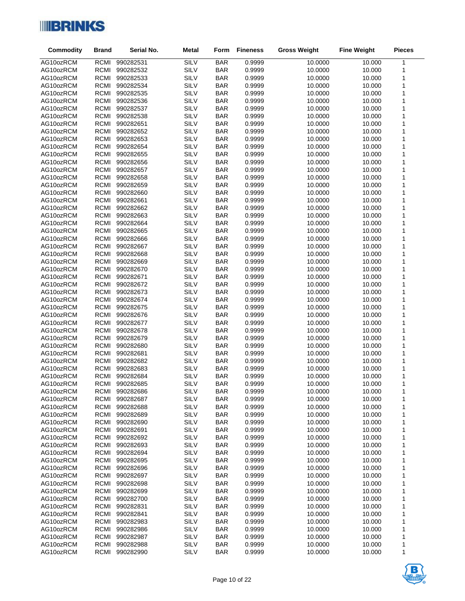

| <b>Commodity</b>       | <b>Brand</b>        | Serial No.             | <b>Metal</b> | Form                     | <b>Fineness</b>  | <b>Gross Weight</b> | <b>Fine Weight</b> | <b>Pieces</b> |
|------------------------|---------------------|------------------------|--------------|--------------------------|------------------|---------------------|--------------------|---------------|
| AG10ozRCM              | RCMI                | 990282531              | <b>SILV</b>  | <b>BAR</b>               | 0.9999           | 10.0000             | 10.000             | $\mathbf{1}$  |
| AG10ozRCM              | <b>RCMI</b>         | 990282532              | SILV         | <b>BAR</b>               | 0.9999           | 10.0000             | 10.000             | 1             |
| AG10ozRCM              | RCMI                | 990282533              | SILV         | <b>BAR</b>               | 0.9999           | 10.0000             | 10.000             | $\mathbf 1$   |
| AG10ozRCM              | RCMI                | 990282534              | SILV         | <b>BAR</b>               | 0.9999           | 10.0000             | 10.000             | 1             |
| AG10ozRCM              | <b>RCMI</b>         | 990282535              | SILV         | <b>BAR</b>               | 0.9999           | 10.0000             | 10.000             | 1             |
| AG10ozRCM              | RCMI                | 990282536              | SILV         | <b>BAR</b>               | 0.9999           | 10.0000             | 10.000             | 1             |
| AG10ozRCM              | RCMI                | 990282537              | SILV         | <b>BAR</b>               | 0.9999           | 10.0000             | 10.000             | 1             |
| AG10ozRCM              | <b>RCMI</b>         | 990282538              | SILV         | <b>BAR</b>               | 0.9999           | 10.0000             | 10.000             | 1             |
| AG10ozRCM              | RCMI                | 990282651              | SILV         | <b>BAR</b>               | 0.9999           | 10.0000             | 10.000             | 1             |
| AG10ozRCM              | RCMI                | 990282652              | SILV         | <b>BAR</b>               | 0.9999           | 10.0000             | 10.000             | 1             |
| AG10ozRCM              | <b>RCMI</b>         | 990282653              | SILV         | <b>BAR</b>               | 0.9999           | 10.0000             | 10.000             | 1             |
| AG10ozRCM              | <b>RCMI</b>         | 990282654              | SILV         | <b>BAR</b>               | 0.9999           | 10.0000             | 10.000             | 1             |
| AG10ozRCM              | RCMI                | 990282655              | SILV         | <b>BAR</b>               | 0.9999           | 10.0000             | 10.000             | 1             |
| AG10ozRCM              | <b>RCMI</b>         | 990282656              | SILV         | <b>BAR</b>               | 0.9999           | 10.0000             | 10.000             | 1             |
| AG10ozRCM              | <b>RCMI</b>         | 990282657              | SILV         | <b>BAR</b>               | 0.9999           | 10.0000             | 10.000             | 1             |
| AG10ozRCM              | RCMI                | 990282658              | SILV<br>SILV | <b>BAR</b>               | 0.9999           | 10.0000             | 10.000             | $\mathbf 1$   |
| AG10ozRCM<br>AG10ozRCM | RCMI<br><b>RCMI</b> | 990282659<br>990282660 | SILV         | <b>BAR</b><br><b>BAR</b> | 0.9999<br>0.9999 | 10.0000<br>10.0000  | 10.000<br>10.000   | 1<br>1        |
| AG10ozRCM              | RCMI                | 990282661              | SILV         | <b>BAR</b>               | 0.9999           | 10.0000             | 10.000             | 1             |
| AG10ozRCM              | RCMI                | 990282662              | SILV         | <b>BAR</b>               | 0.9999           | 10.0000             | 10.000             | 1             |
| AG10ozRCM              | <b>RCMI</b>         | 990282663              | SILV         | <b>BAR</b>               | 0.9999           | 10.0000             | 10.000             | 1             |
| AG10ozRCM              | RCMI                | 990282664              | SILV         | <b>BAR</b>               | 0.9999           | 10.0000             | 10.000             | 1             |
| AG10ozRCM              | RCMI                | 990282665              | SILV         | <b>BAR</b>               | 0.9999           | 10.0000             | 10.000             | 1             |
| AG10ozRCM              | <b>RCMI</b>         | 990282666              | SILV         | <b>BAR</b>               | 0.9999           | 10.0000             | 10.000             | 1             |
| AG10ozRCM              | RCMI                | 990282667              | SILV         | <b>BAR</b>               | 0.9999           | 10.0000             | 10.000             | 1             |
| AG10ozRCM              | <b>RCMI</b>         | 990282668              | SILV         | <b>BAR</b>               | 0.9999           | 10.0000             | 10.000             | 1             |
| AG10ozRCM              | <b>RCMI</b>         | 990282669              | SILV         | <b>BAR</b>               | 0.9999           | 10.0000             | 10.000             | 1             |
| AG10ozRCM              | RCMI                | 990282670              | SILV         | <b>BAR</b>               | 0.9999           | 10.0000             | 10.000             | $\mathbf 1$   |
| AG10ozRCM              | <b>RCMI</b>         | 990282671              | SILV         | <b>BAR</b>               | 0.9999           | 10.0000             | 10.000             | 1             |
| AG10ozRCM              | RCMI                | 990282672              | SILV         | <b>BAR</b>               | 0.9999           | 10.0000             | 10.000             | 1             |
| AG10ozRCM              | RCMI                | 990282673              | SILV         | <b>BAR</b>               | 0.9999           | 10.0000             | 10.000             | 1             |
| AG10ozRCM              | RCMI                | 990282674              | SILV         | <b>BAR</b>               | 0.9999           | 10.0000             | 10.000             | 1             |
| AG10ozRCM              | <b>RCMI</b>         | 990282675              | SILV         | <b>BAR</b>               | 0.9999           | 10.0000             | 10.000             | 1             |
| AG10ozRCM              | RCMI                | 990282676              | SILV         | <b>BAR</b>               | 0.9999           | 10.0000             | 10.000             | 1             |
| AG10ozRCM              | RCMI                | 990282677              | SILV         | <b>BAR</b>               | 0.9999           | 10.0000             | 10.000             | $\mathbf 1$   |
| AG10ozRCM              | <b>RCMI</b>         | 990282678              | SILV         | <b>BAR</b>               | 0.9999           | 10.0000             | 10.000             | 1             |
| AG10ozRCM              | RCMI                | 990282679              | SILV         | <b>BAR</b>               | 0.9999           | 10.0000             | 10.000             | 1             |
| AG10ozRCM              | <b>RCMI</b>         | 990282680              | SILV         | <b>BAR</b>               | 0.9999           | 10.0000             | 10.000             | 1             |
| AG10ozRCM<br>AG10ozRCM | RCMI                | 990282681              | SILV<br>SILV | <b>BAR</b>               | 0.9999           | 10.0000             | 10.000             | 1             |
| AG10ozRCM              | RCMI<br>RCMI        | 990282682<br>990282683 | SILV         | <b>BAR</b><br><b>BAR</b> | 0.9999<br>0.9999 | 10.0000<br>10.0000  | 10.000<br>10.000   | 1<br>1        |
| AG10ozRCM              | RCMI                | 990282684              | SILV         | <b>BAR</b>               | 0.9999           | 10.0000             | 10.000             | 1             |
| AG10ozRCM              | RCMI                | 990282685              | SILV         | <b>BAR</b>               | 0.9999           | 10.0000             | 10.000             | $\mathbf{1}$  |
| AG10ozRCM              | RCMI                | 990282686              | SILV         | <b>BAR</b>               | 0.9999           | 10.0000             | 10.000             | 1             |
| AG10ozRCM              | RCMI                | 990282687              | SILV         | <b>BAR</b>               | 0.9999           | 10.0000             | 10.000             | 1             |
| AG10ozRCM              | <b>RCMI</b>         | 990282688              | SILV         | <b>BAR</b>               | 0.9999           | 10.0000             | 10.000             | 1             |
| AG10ozRCM              | <b>RCMI</b>         | 990282689              | SILV         | <b>BAR</b>               | 0.9999           | 10.0000             | 10.000             | 1             |
| AG10ozRCM              | RCMI                | 990282690              | SILV         | <b>BAR</b>               | 0.9999           | 10.0000             | 10.000             | 1             |
| AG10ozRCM              | <b>RCMI</b>         | 990282691              | SILV         | <b>BAR</b>               | 0.9999           | 10.0000             | 10.000             | 1             |
| AG10ozRCM              | RCMI                | 990282692              | SILV         | <b>BAR</b>               | 0.9999           | 10.0000             | 10.000             | 1             |
| AG10ozRCM              | RCMI                | 990282693              | SILV         | <b>BAR</b>               | 0.9999           | 10.0000             | 10.000             | 1             |
| AG10ozRCM              | <b>RCMI</b>         | 990282694              | SILV         | <b>BAR</b>               | 0.9999           | 10.0000             | 10.000             | 1             |
| AG10ozRCM              | RCMI                | 990282695              | SILV         | <b>BAR</b>               | 0.9999           | 10.0000             | 10.000             | 1             |
| AG10ozRCM              | RCMI                | 990282696              | SILV         | <b>BAR</b>               | 0.9999           | 10.0000             | 10.000             | 1             |
| AG10ozRCM              | <b>RCMI</b>         | 990282697              | SILV         | <b>BAR</b>               | 0.9999           | 10.0000             | 10.000             | 1             |
| AG10ozRCM              | RCMI                | 990282698              | SILV         | <b>BAR</b>               | 0.9999           | 10.0000             | 10.000             | 1             |
| AG10ozRCM              | RCMI                | 990282699              | SILV         | <b>BAR</b>               | 0.9999           | 10.0000             | 10.000             | 1             |
| AG10ozRCM              | <b>RCMI</b>         | 990282700              | SILV         | <b>BAR</b>               | 0.9999           | 10.0000             | 10.000             | 1             |
| AG10ozRCM              | RCMI                | 990282831              | SILV         | <b>BAR</b>               | 0.9999           | 10.0000             | 10.000             | 1             |
| AG10ozRCM              | RCMI                | 990282841              | SILV         | <b>BAR</b>               | 0.9999           | 10.0000             | 10.000             | 1             |
| AG10ozRCM              | <b>RCMI</b>         | 990282983              | SILV         | <b>BAR</b>               | 0.9999           | 10.0000             | 10.000             | 1             |
| AG10ozRCM              | RCMI                | 990282986              | SILV         | <b>BAR</b>               | 0.9999           | 10.0000             | 10.000             | 1             |
| AG10ozRCM              | RCMI                | 990282987              | SILV         | <b>BAR</b>               | 0.9999           | 10.0000             | 10.000             | 1             |
| AG10ozRCM<br>AG10ozRCM | RCMI<br>RCMI        | 990282988<br>990282990 | SILV<br>SILV | <b>BAR</b><br><b>BAR</b> | 0.9999<br>0.9999 | 10.0000<br>10.0000  | 10.000<br>10.000   | 1             |
|                        |                     |                        |              |                          |                  |                     |                    | 1             |

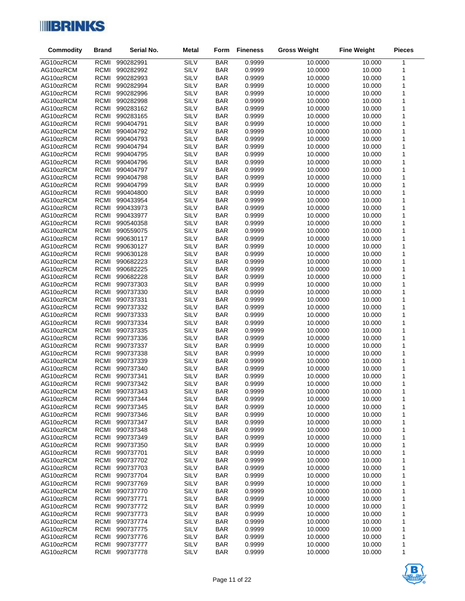

| <b>Commodity</b>       | <b>Brand</b>        | Serial No.             | <b>Metal</b> | Form                     | <b>Fineness</b>  | <b>Gross Weight</b> | <b>Fine Weight</b> | <b>Pieces</b> |
|------------------------|---------------------|------------------------|--------------|--------------------------|------------------|---------------------|--------------------|---------------|
| AG10ozRCM              | RCMI                | 990282991              | SILV         | <b>BAR</b>               | 0.9999           | 10.0000             | 10.000             | $\mathbf{1}$  |
| AG10ozRCM              | <b>RCMI</b>         | 990282992              | SILV         | <b>BAR</b>               | 0.9999           | 10.0000             | 10.000             | 1             |
| AG10ozRCM              | <b>RCMI</b>         | 990282993              | SILV         | <b>BAR</b>               | 0.9999           | 10.0000             | 10.000             | $\mathbf 1$   |
| AG10ozRCM              | RCMI                | 990282994              | SILV         | <b>BAR</b>               | 0.9999           | 10.0000             | 10.000             | 1             |
| AG10ozRCM              | <b>RCMI</b>         | 990282996              | SILV         | <b>BAR</b>               | 0.9999           | 10.0000             | 10.000             | 1             |
| AG10ozRCM              | RCMI                | 990282998              | SILV         | <b>BAR</b>               | 0.9999           | 10.0000             | 10.000             | 1             |
| AG10ozRCM              | RCMI                | 990283162              | SILV         | <b>BAR</b>               | 0.9999           | 10.0000             | 10.000             | 1             |
| AG10ozRCM              | <b>RCMI</b>         | 990283165              | SILV         | <b>BAR</b>               | 0.9999           | 10.0000             | 10.000             | 1             |
| AG10ozRCM              | RCMI                | 990404791              | SILV         | <b>BAR</b>               | 0.9999           | 10.0000             | 10.000             | 1             |
| AG10ozRCM              | <b>RCMI</b>         | 990404792              | SILV         | <b>BAR</b>               | 0.9999           | 10.0000             | 10.000             | 1             |
| AG10ozRCM              | <b>RCMI</b>         | 990404793              | SILV         | <b>BAR</b>               | 0.9999           | 10.0000             | 10.000             | 1             |
| AG10ozRCM              | <b>RCMI</b>         | 990404794              | SILV         | <b>BAR</b>               | 0.9999           | 10.0000             | 10.000             | 1             |
| AG10ozRCM              | RCMI                | 990404795              | SILV         | <b>BAR</b>               | 0.9999           | 10.0000             | 10.000             | 1             |
| AG10ozRCM              | <b>RCMI</b>         | 990404796              | SILV         | <b>BAR</b>               | 0.9999           | 10.0000             | 10.000             | 1             |
| AG10ozRCM              | RCMI                | 990404797              | SILV         | <b>BAR</b>               | 0.9999           | 10.0000             | 10.000             | 1             |
| AG10ozRCM<br>AG10ozRCM | RCMI<br><b>RCMI</b> | 990404798<br>990404799 | SILV<br>SILV | <b>BAR</b><br><b>BAR</b> | 0.9999<br>0.9999 | 10.0000<br>10.0000  | 10.000<br>10.000   | 1<br>1        |
| AG10ozRCM              | RCMI                | 990404800              | SILV         | <b>BAR</b>               | 0.9999           | 10.0000             | 10.000             | 1             |
| AG10ozRCM              | <b>RCMI</b>         | 990433954              | SILV         | <b>BAR</b>               | 0.9999           | 10.0000             | 10.000             | 1             |
| AG10ozRCM              | RCMI                | 990433973              | SILV         | <b>BAR</b>               | 0.9999           | 10.0000             | 10.000             | 1             |
| AG10ozRCM              | <b>RCMI</b>         | 990433977              | SILV         | <b>BAR</b>               | 0.9999           | 10.0000             | 10.000             | 1             |
| AG10ozRCM              | <b>RCMI</b>         | 990540358              | SILV         | <b>BAR</b>               | 0.9999           | 10.0000             | 10.000             | 1             |
| AG10ozRCM              | RCMI                | 990559075              | SILV         | <b>BAR</b>               | 0.9999           | 10.0000             | 10.000             | 1             |
| AG10ozRCM              | <b>RCMI</b>         | 990630117              | SILV         | <b>BAR</b>               | 0.9999           | 10.0000             | 10.000             | 1             |
| AG10ozRCM              | RCMI                | 990630127              | SILV         | <b>BAR</b>               | 0.9999           | 10.0000             | 10.000             | 1             |
| AG10ozRCM              | RCMI                | 990630128              | SILV         | <b>BAR</b>               | 0.9999           | 10.0000             | 10.000             | 1             |
| AG10ozRCM              | <b>RCMI</b>         | 990682223              | SILV         | <b>BAR</b>               | 0.9999           | 10.0000             | 10.000             | 1             |
| AG10ozRCM              | <b>RCMI</b>         | 990682225              | SILV         | <b>BAR</b>               | 0.9999           | 10.0000             | 10.000             | 1             |
| AG10ozRCM              | RCMI                | 990682228              | SILV         | <b>BAR</b>               | 0.9999           | 10.0000             | 10.000             | 1             |
| AG10ozRCM              | <b>RCMI</b>         | 990737303              | SILV         | <b>BAR</b>               | 0.9999           | 10.0000             | 10.000             | 1             |
| AG10ozRCM              | RCMI                | 990737330              | SILV         | <b>BAR</b>               | 0.9999           | 10.0000             | 10.000             | 1             |
| AG10ozRCM              | RCMI                | 990737331              | SILV         | <b>BAR</b>               | 0.9999           | 10.0000             | 10.000             | 1             |
| AG10ozRCM              | <b>RCMI</b>         | 990737332              | SILV         | <b>BAR</b>               | 0.9999           | 10.0000             | 10.000             | 1             |
| AG10ozRCM              | RCMI                | 990737333              | SILV         | <b>BAR</b>               | 0.9999           | 10.0000             | 10.000             | 1             |
| AG10ozRCM              | RCMI                | 990737334              | SILV         | <b>BAR</b>               | 0.9999           | 10.0000             | 10.000             | 1             |
| AG10ozRCM              | <b>RCMI</b>         | 990737335              | SILV         | <b>BAR</b>               | 0.9999           | 10.0000             | 10.000             | 1             |
| AG10ozRCM              | RCMI                | 990737336              | SILV         | <b>BAR</b>               | 0.9999           | 10.0000             | 10.000             | 1             |
| AG10ozRCM              | RCMI                | 990737337              | SILV         | <b>BAR</b>               | 0.9999           | 10.0000             | 10.000             | 1             |
| AG10ozRCM              | <b>RCMI</b>         | 990737338              | SILV         | <b>BAR</b>               | 0.9999           | 10.0000             | 10.000             | 1             |
| AG10ozRCM              | RCMI                | 990737339              | SILV<br>SILV | <b>BAR</b>               | 0.9999           | 10.0000             | 10.000             | 1             |
| AG10ozRCM<br>AG10ozRCM | RCMI<br><b>RCMI</b> | 990737340<br>990737341 | SILV         | <b>BAR</b><br><b>BAR</b> | 0.9999<br>0.9999 | 10.0000<br>10.0000  | 10.000<br>10.000   | 1<br>1        |
| AG10ozRCM              | RCMI                | 990737342              | SILV         | <b>BAR</b>               | 0.9999           | 10.0000             | 10.000             | $\mathbf{1}$  |
| AG10ozRCM              | RCMI                | 990737343              | SILV         | <b>BAR</b>               | 0.9999           | 10.0000             | 10.000             | 1             |
| AG10ozRCM              | RCMI                | 990737344              | SILV         | <b>BAR</b>               | 0.9999           | 10.0000             | 10.000             | 1             |
| AG10ozRCM              | <b>RCMI</b>         | 990737345              | SILV         | <b>BAR</b>               | 0.9999           | 10.0000             | 10.000             | 1             |
| AG10ozRCM              | RCMI                | 990737346              | SILV         | <b>BAR</b>               | 0.9999           | 10.0000             | 10.000             | 1             |
| AG10ozRCM              | RCMI                | 990737347              | SILV         | <b>BAR</b>               | 0.9999           | 10.0000             | 10.000             | 1             |
| AG10ozRCM              | <b>RCMI</b>         | 990737348              | SILV         | <b>BAR</b>               | 0.9999           | 10.0000             | 10.000             | 1             |
| AG10ozRCM              | RCMI                | 990737349              | SILV         | <b>BAR</b>               | 0.9999           | 10.0000             | 10.000             | 1             |
| AG10ozRCM              | RCMI                | 990737350              | SILV         | <b>BAR</b>               | 0.9999           | 10.0000             | 10.000             | 1             |
| AG10ozRCM              | <b>RCMI</b>         | 990737701              | SILV         | <b>BAR</b>               | 0.9999           | 10.0000             | 10.000             | 1             |
| AG10ozRCM              | RCMI                | 990737702              | SILV         | <b>BAR</b>               | 0.9999           | 10.0000             | 10.000             | 1             |
| AG10ozRCM              | RCMI                | 990737703              | SILV         | <b>BAR</b>               | 0.9999           | 10.0000             | 10.000             | 1             |
| AG10ozRCM              | <b>RCMI</b>         | 990737704              | SILV         | <b>BAR</b>               | 0.9999           | 10.0000             | 10.000             | 1             |
| AG10ozRCM              | RCMI                | 990737769              | SILV         | <b>BAR</b>               | 0.9999           | 10.0000             | 10.000             | 1             |
| AG10ozRCM              | RCMI                | 990737770              | SILV         | <b>BAR</b>               | 0.9999           | 10.0000             | 10.000             | 1             |
| AG10ozRCM              | <b>RCMI</b>         | 990737771              | SILV         | <b>BAR</b>               | 0.9999           | 10.0000             | 10.000             | 1             |
| AG10ozRCM              | RCMI                | 990737772              | SILV         | <b>BAR</b>               | 0.9999           | 10.0000             | 10.000             | 1             |
| AG10ozRCM              | RCMI                | 990737773              | SILV         | <b>BAR</b>               | 0.9999           | 10.0000             | 10.000             | 1             |
| AG10ozRCM              | <b>RCMI</b>         | 990737774              | SILV         | <b>BAR</b>               | 0.9999           | 10.0000             | 10.000             | 1             |
| AG10ozRCM              | RCMI                | 990737775              | SILV         | <b>BAR</b>               | 0.9999           | 10.0000             | 10.000             | 1             |
| AG10ozRCM              | RCMI                | 990737776              | SILV         | <b>BAR</b>               | 0.9999           | 10.0000             | 10.000             | 1             |
| AG10ozRCM              | RCMI                | 990737777              | SILV         | <b>BAR</b>               | 0.9999           | 10.0000             | 10.000             | 1             |
| AG10ozRCM              | RCMI                | 990737778              | SILV         | <b>BAR</b>               | 0.9999           | 10.0000             | 10.000             | 1             |

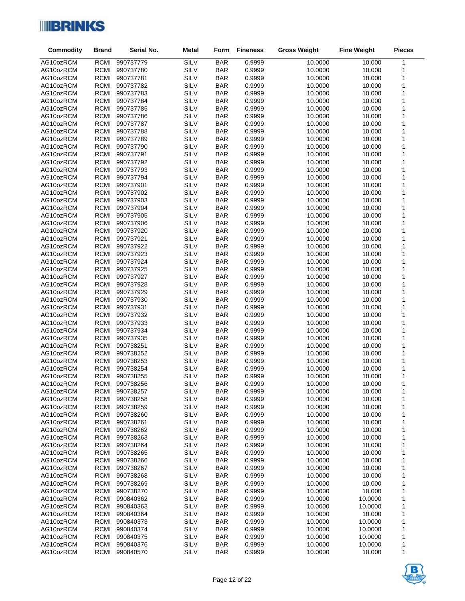

| <b>Commodity</b>       | <b>Brand</b>               | Serial No.             | <b>Metal</b>        | Form                     | <b>Fineness</b>  | <b>Gross Weight</b> | <b>Fine Weight</b> | <b>Pieces</b> |
|------------------------|----------------------------|------------------------|---------------------|--------------------------|------------------|---------------------|--------------------|---------------|
| AG10ozRCM              | RCMI                       | 990737779              | SILV                | <b>BAR</b>               | 0.9999           | 10.0000             | 10.000             | $\mathbf{1}$  |
| AG10ozRCM              | RCMI                       | 990737780              | SILV                | <b>BAR</b>               | 0.9999           | 10.0000             | 10.000             | 1             |
| AG10ozRCM              | RCMI                       | 990737781              | SILV                | <b>BAR</b>               | 0.9999           | 10.0000             | 10.000             | $\mathbf 1$   |
| AG10ozRCM              | RCMI                       | 990737782              | SILV                | <b>BAR</b>               | 0.9999           | 10.0000             | 10.000             | 1             |
| AG10ozRCM              | <b>RCMI</b>                | 990737783              | SILV                | <b>BAR</b>               | 0.9999           | 10.0000             | 10.000             | 1             |
| AG10ozRCM              | RCMI                       | 990737784              | SILV                | <b>BAR</b>               | 0.9999           | 10.0000             | 10.000             | 1             |
| AG10ozRCM              | RCMI                       | 990737785              | SILV                | <b>BAR</b>               | 0.9999           | 10.0000             | 10.000             | 1             |
| AG10ozRCM              | <b>RCMI</b>                | 990737786              | SILV                | <b>BAR</b>               | 0.9999           | 10.0000             | 10.000             | 1             |
| AG10ozRCM              | RCMI                       | 990737787              | SILV                | <b>BAR</b>               | 0.9999           | 10.0000             | 10.000             | 1             |
| AG10ozRCM              | RCMI                       | 990737788              | SILV                | <b>BAR</b>               | 0.9999           | 10.0000             | 10.000             | 1             |
| AG10ozRCM              | <b>RCMI</b>                | 990737789              | SILV                | <b>BAR</b>               | 0.9999           | 10.0000             | 10.000             | 1             |
| AG10ozRCM              | <b>RCMI</b>                | 990737790              | SILV                | <b>BAR</b>               | 0.9999           | 10.0000             | 10.000             | 1             |
| AG10ozRCM              | RCMI                       | 990737791              | SILV                | <b>BAR</b>               | 0.9999           | 10.0000             | 10.000             | 1             |
| AG10ozRCM<br>AG10ozRCM | <b>RCMI</b><br><b>RCMI</b> | 990737792<br>990737793 | SILV<br>SILV        | <b>BAR</b><br><b>BAR</b> | 0.9999<br>0.9999 | 10.0000<br>10.0000  | 10.000<br>10.000   | 1<br>1        |
| AG10ozRCM              | RCMI                       | 990737794              | SILV                | <b>BAR</b>               | 0.9999           | 10.0000             | 10.000             | 1             |
| AG10ozRCM              | RCMI                       | 990737901              | SILV                | <b>BAR</b>               | 0.9999           | 10.0000             | 10.000             | 1             |
| AG10ozRCM              | <b>RCMI</b>                | 990737902              | <b>SILV</b>         | <b>BAR</b>               | 0.9999           | 10.0000             | 10.000             | 1             |
| AG10ozRCM              | RCMI                       | 990737903              | SILV                | <b>BAR</b>               | 0.9999           | 10.0000             | 10.000             | 1             |
| AG10ozRCM              | RCMI                       | 990737904              | <b>SILV</b>         | <b>BAR</b>               | 0.9999           | 10.0000             | 10.000             | 1             |
| AG10ozRCM              | <b>RCMI</b>                | 990737905              | <b>SILV</b>         | <b>BAR</b>               | 0.9999           | 10.0000             | 10.000             | 1             |
| AG10ozRCM              | RCMI                       | 990737906              | SILV                | <b>BAR</b>               | 0.9999           | 10.0000             | 10.000             | 1             |
| AG10ozRCM              | RCMI                       | 990737920              | <b>SILV</b>         | <b>BAR</b>               | 0.9999           | 10.0000             | 10.000             | 1             |
| AG10ozRCM              | <b>RCMI</b>                | 990737921              | <b>SILV</b>         | <b>BAR</b>               | 0.9999           | 10.0000             | 10.000             | 1             |
| AG10ozRCM              | RCMI                       | 990737922              | SILV                | <b>BAR</b>               | 0.9999           | 10.0000             | 10.000             | 1             |
| AG10ozRCM              | <b>RCMI</b>                | 990737923              | SILV                | <b>BAR</b>               | 0.9999           | 10.0000             | 10.000             | 1             |
| AG10ozRCM              | <b>RCMI</b>                | 990737924              | SILV                | <b>BAR</b>               | 0.9999           | 10.0000             | 10.000             | 1             |
| AG10ozRCM              | RCMI                       | 990737925              | <b>SILV</b>         | <b>BAR</b>               | 0.9999           | 10.0000             | 10.000             | 1             |
| AG10ozRCM              | <b>RCMI</b>                | 990737927              | SILV                | <b>BAR</b>               | 0.9999           | 10.0000             | 10.000             | 1             |
| AG10ozRCM              | <b>RCMI</b>                | 990737928              | SILV                | <b>BAR</b>               | 0.9999           | 10.0000             | 10.000             | 1             |
| AG10ozRCM              | RCMI                       | 990737929              | SILV                | <b>BAR</b>               | 0.9999           | 10.0000             | 10.000             | 1             |
| AG10ozRCM              | RCMI<br><b>RCMI</b>        | 990737930              | SILV                | <b>BAR</b>               | 0.9999           | 10.0000             | 10.000             | 1<br>1        |
| AG10ozRCM<br>AG10ozRCM | RCMI                       | 990737931<br>990737932 | SILV<br><b>SILV</b> | <b>BAR</b><br><b>BAR</b> | 0.9999<br>0.9999 | 10.0000<br>10.0000  | 10.000<br>10.000   | 1             |
| AG10ozRCM              | RCMI                       | 990737933              | <b>SILV</b>         | <b>BAR</b>               | 0.9999           | 10.0000             | 10.000             | $\mathbf 1$   |
| AG10ozRCM              | <b>RCMI</b>                | 990737934              | SILV                | <b>BAR</b>               | 0.9999           | 10.0000             | 10.000             | 1             |
| AG10ozRCM              | RCMI                       | 990737935              | <b>SILV</b>         | <b>BAR</b>               | 0.9999           | 10.0000             | 10.000             | 1             |
| AG10ozRCM              | <b>RCMI</b>                | 990738251              | SILV                | <b>BAR</b>               | 0.9999           | 10.0000             | 10.000             | 1             |
| AG10ozRCM              | <b>RCMI</b>                | 990738252              | SILV                | <b>BAR</b>               | 0.9999           | 10.0000             | 10.000             | 1             |
| AG10ozRCM              | RCMI                       | 990738253              | <b>SILV</b>         | <b>BAR</b>               | 0.9999           | 10.0000             | 10.000             | 1             |
| AG10ozRCM              | RCMI                       | 990738254              | SILV                | <b>BAR</b>               | 0.9999           | 10.0000             | 10.000             | 1             |
| AG10ozRCM              | RCMI                       | 990738255              | <b>SILV</b>         | <b>BAR</b>               | 0.9999           | 10.0000             | 10.000             | 1             |
| AG10ozRCM              | RCMI                       | 990738256              | SILV                | <b>BAR</b>               | 0.9999           | 10.0000             | 10.000             | $\mathbf{1}$  |
| AG10ozRCM              | RCMI                       | 990738257              | SILV                | <b>BAR</b>               | 0.9999           | 10.0000             | 10.000             | 1             |
| AG10ozRCM              | RCMI                       | 990738258              | SILV                | <b>BAR</b>               | 0.9999           | 10.0000             | 10.000             | 1             |
| AG10ozRCM              | <b>RCMI</b>                | 990738259              | SILV                | <b>BAR</b>               | 0.9999           | 10.0000             | 10.000             | 1             |
| AG10ozRCM              | <b>RCMI</b>                | 990738260              | SILV                | <b>BAR</b>               | 0.9999           | 10.0000             | 10.000             | 1             |
| AG10ozRCM              | RCMI                       | 990738261              | SILV                | <b>BAR</b>               | 0.9999           | 10.0000             | 10.000             | 1             |
| AG10ozRCM              | <b>RCMI</b>                | 990738262              | SILV                | <b>BAR</b>               | 0.9999           | 10.0000             | 10.000             | 1             |
| AG10ozRCM<br>AG10ozRCM | RCMI<br>RCMI               | 990738263<br>990738264 | SILV<br>SILV        | <b>BAR</b><br><b>BAR</b> | 0.9999<br>0.9999 | 10.0000<br>10.0000  | 10.000<br>10.000   | 1<br>1        |
| AG10ozRCM              | <b>RCMI</b>                | 990738265              | SILV                | <b>BAR</b>               | 0.9999           | 10.0000             | 10.000             | 1             |
| AG10ozRCM              | RCMI                       | 990738266              | SILV                | <b>BAR</b>               | 0.9999           | 10.0000             | 10.000             | 1             |
| AG10ozRCM              | RCMI                       | 990738267              | SILV                | <b>BAR</b>               | 0.9999           | 10.0000             | 10.000             | 1             |
| AG10ozRCM              | <b>RCMI</b>                | 990738268              | SILV                | <b>BAR</b>               | 0.9999           | 10.0000             | 10.000             | 1             |
| AG10ozRCM              | RCMI                       | 990738269              | <b>SILV</b>         | <b>BAR</b>               | 0.9999           | 10.0000             | 10.000             | 1             |
| AG10ozRCM              | RCMI                       | 990738270              | SILV                | <b>BAR</b>               | 0.9999           | 10.0000             | 10.000             | 1             |
| AG10ozRCM              | <b>RCMI</b>                | 990840362              | SILV                | <b>BAR</b>               | 0.9999           | 10.0000             | 10.0000            | 1             |
| AG10ozRCM              | RCMI                       | 990840363              | SILV                | <b>BAR</b>               | 0.9999           | 10.0000             | 10.0000            | 1             |
| AG10ozRCM              | RCMI                       | 990840364              | SILV                | <b>BAR</b>               | 0.9999           | 10.0000             | 10.000             | 1             |
| AG10ozRCM              | <b>RCMI</b>                | 990840373              | SILV                | <b>BAR</b>               | 0.9999           | 10.0000             | 10.0000            | 1             |
| AG10ozRCM              | RCMI                       | 990840374              | SILV                | <b>BAR</b>               | 0.9999           | 10.0000             | 10.0000            | 1             |
| AG10ozRCM              | RCMI                       | 990840375              | SILV                | <b>BAR</b>               | 0.9999           | 10.0000             | 10.0000            | 1             |
| AG10ozRCM              | RCMI                       | 990840376              | SILV                | <b>BAR</b>               | 0.9999           | 10.0000             | 10.0000            | 1             |
| AG10ozRCM              | RCMI                       | 990840570              | SILV                | <b>BAR</b>               | 0.9999           | 10.0000             | 10.000             | 1             |

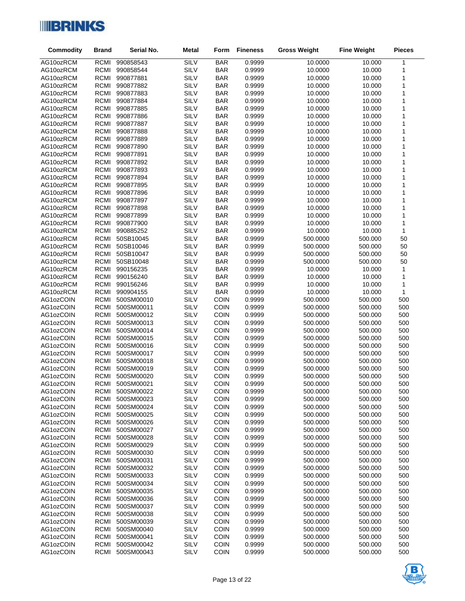

| <b>Commodity</b>       | <b>Brand</b>               | Serial No.               | <b>Metal</b> | Form                       | <b>Fineness</b>  | <b>Gross Weight</b>  | <b>Fine Weight</b> | <b>Pieces</b>    |
|------------------------|----------------------------|--------------------------|--------------|----------------------------|------------------|----------------------|--------------------|------------------|
| AG10ozRCM              | <b>RCMI</b>                | 990858543                | SILV         | <b>BAR</b>                 | 0.9999           | 10.0000              | 10.000             | $\mathbf{1}$     |
| AG10ozRCM              | <b>RCMI</b>                | 990858544                | SILV         | <b>BAR</b>                 | 0.9999           | 10.0000              | 10.000             | 1                |
| AG10ozRCM              | <b>RCMI</b>                | 990877881                | SILV         | <b>BAR</b>                 | 0.9999           | 10.0000              | 10.000             | $\mathbf 1$      |
| AG10ozRCM              | RCMI                       | 990877882                | SILV         | <b>BAR</b>                 | 0.9999           | 10.0000              | 10.000             | $\mathbf 1$      |
| AG10ozRCM              | <b>RCMI</b>                | 990877883                | SILV         | <b>BAR</b>                 | 0.9999           | 10.0000              | 10.000             | 1                |
| AG10ozRCM              | RCMI                       | 990877884                | SILV         | <b>BAR</b>                 | 0.9999           | 10.0000              | 10.000             | 1                |
| AG10ozRCM              | RCMI                       | 990877885                | SILV         | <b>BAR</b>                 | 0.9999           | 10.0000              | 10.000             | $\mathbf 1$      |
| AG10ozRCM              | <b>RCMI</b>                | 990877886                | SILV         | <b>BAR</b>                 | 0.9999           | 10.0000              | 10.000             | 1                |
| AG10ozRCM              | RCMI                       | 990877887                | <b>SILV</b>  | <b>BAR</b>                 | 0.9999           | 10.0000              | 10.000             | 1                |
| AG10ozRCM              | RCMI                       | 990877888                | <b>SILV</b>  | <b>BAR</b>                 | 0.9999           | 10.0000              | 10.000             | $\mathbf 1$      |
| AG10ozRCM              | <b>RCMI</b>                | 990877889                | SILV         | <b>BAR</b>                 | 0.9999           | 10.0000              | 10.000             | $\mathbf 1$      |
| AG10ozRCM              | <b>RCMI</b>                | 990877890                | <b>SILV</b>  | <b>BAR</b>                 | 0.9999           | 10.0000              | 10.000             | 1                |
| AG10ozRCM              | RCMI                       | 990877891                | SILV<br>SILV | <b>BAR</b>                 | 0.9999           | 10.0000              | 10.000             | 1<br>$\mathbf 1$ |
| AG10ozRCM<br>AG10ozRCM | <b>RCMI</b><br><b>RCMI</b> | 990877892<br>990877893   | <b>SILV</b>  | <b>BAR</b><br><b>BAR</b>   | 0.9999<br>0.9999 | 10.0000<br>10.0000   | 10.000<br>10.000   | 1                |
| AG10ozRCM              | <b>RCMI</b>                | 990877894                | SILV         | <b>BAR</b>                 | 0.9999           | 10.0000              | 10.000             | 1                |
| AG10ozRCM              | RCMI                       | 990877895                | SILV         | <b>BAR</b>                 | 0.9999           | 10.0000              | 10.000             | 1                |
| AG10ozRCM              | <b>RCMI</b>                | 990877896                | SILV         | <b>BAR</b>                 | 0.9999           | 10.0000              | 10.000             | 1                |
| AG10ozRCM              | RCMI                       | 990877897                | SILV         | <b>BAR</b>                 | 0.9999           | 10.0000              | 10.000             | 1                |
| AG10ozRCM              | RCMI                       | 990877898                | SILV         | <b>BAR</b>                 | 0.9999           | 10.0000              | 10.000             | 1                |
| AG10ozRCM              | <b>RCMI</b>                | 990877899                | SILV         | <b>BAR</b>                 | 0.9999           | 10.0000              | 10.000             | 1                |
| AG10ozRCM              | RCMI                       | 990877900                | SILV         | <b>BAR</b>                 | 0.9999           | 10.0000              | 10.000             | 1                |
| AG10ozRCM              | RCMI                       | 990885252                | SILV         | <b>BAR</b>                 | 0.9999           | 10.0000              | 10.000             | $\mathbf 1$      |
| AG10ozRCM              | <b>RCMI</b>                | 50SB10045                | SILV         | <b>BAR</b>                 | 0.9999           | 500.0000             | 500.000            | 50               |
| AG10ozRCM              | RCMI                       | 50SB10046                | SILV         | <b>BAR</b>                 | 0.9999           | 500.0000             | 500.000            | 50               |
| AG10ozRCM              | <b>RCMI</b>                | 50SB10047                | SILV         | <b>BAR</b>                 | 0.9999           | 500.0000             | 500.000            | 50               |
| AG10ozRCM              | <b>RCMI</b>                | 50SB10048                | SILV         | <b>BAR</b>                 | 0.9999           | 500.0000             | 500.000            | 50               |
| AG10ozRCM              | RCMI                       | 990156235                | SILV         | <b>BAR</b>                 | 0.9999           | 10.0000              | 10.000             | $\mathbf{1}$     |
| AG10ozRCM              | <b>RCMI</b>                | 990156240                | SILV         | <b>BAR</b>                 | 0.9999           | 10.0000              | 10.000             | 1                |
| AG10ozRCM              | RCMI                       | 990156246                | SILV         | <b>BAR</b>                 | 0.9999           | 10.0000              | 10.000             | 1                |
| AG10ozRCM              | RCMI                       | 990904155                | SILV         | <b>BAR</b>                 | 0.9999           | 10.0000              | 10.000             | $\mathbf{1}$     |
| AG1ozCOIN              | <b>RCMI</b><br><b>RCMI</b> | 500SM00010               | SILV<br>SILV | <b>COIN</b>                | 0.9999           | 500.0000             | 500.000            | 500              |
| AG1ozCOIN<br>AG1ozCOIN | RCMI                       | 500SM00011<br>500SM00012 | SILV         | <b>COIN</b><br>COIN        | 0.9999<br>0.9999 | 500.0000<br>500.0000 | 500.000<br>500.000 | 500<br>500       |
| AG1ozCOIN              | RCMI                       | 500SM00013               | SILV         | COIN                       | 0.9999           | 500.0000             | 500.000            | 500              |
| AG1ozCOIN              | <b>RCMI</b>                | 500SM00014               | SILV         | <b>COIN</b>                | 0.9999           | 500.0000             | 500.000            | 500              |
| AG1ozCOIN              | <b>RCMI</b>                | 500SM00015               | SILV         | <b>COIN</b>                | 0.9999           | 500.0000             | 500.000            | 500              |
| AG1ozCOIN              | <b>RCMI</b>                | 500SM00016               | SILV         | <b>COIN</b>                | 0.9999           | 500.0000             | 500.000            | 500              |
| AG1ozCOIN              | <b>RCMI</b>                | 500SM00017               | SILV         | <b>COIN</b>                | 0.9999           | 500.0000             | 500.000            | 500              |
| AG1ozCOIN              | <b>RCMI</b>                | 500SM00018               | SILV         | <b>COIN</b>                | 0.9999           | 500.0000             | 500.000            | 500              |
| AG1ozCOIN              | <b>RCMI</b>                | 500SM00019               | SILV         | <b>COIN</b>                | 0.9999           | 500.0000             | 500.000            | 500              |
| AG1ozCOIN              | RCMI                       | 500SM00020               | SILV         | COIN                       | 0.9999           | 500.0000             | 500.000            | 500              |
| AG1ozCOIN              | RCMI                       | 500SM00021               | SILV         | <b>COIN</b>                | 0.9999           | 500.0000             | 500.000            | 500              |
| AG1ozCOIN              | RCMI                       | 500SM00022               | SILV         | <b>COIN</b>                | 0.9999           | 500.0000             | 500.000            | 500              |
| AG1ozCOIN              | <b>RCMI</b>                | 500SM00023               | SILV         | <b>COIN</b>                | 0.9999           | 500.0000             | 500.000            | 500              |
| AG1ozCOIN              | <b>RCMI</b>                | 500SM00024               | SILV         | <b>COIN</b>                | 0.9999           | 500.0000             | 500.000            | 500              |
| AG1ozCOIN              | <b>RCMI</b>                | 500SM00025               | SILV         | <b>COIN</b>                | 0.9999           | 500.0000             | 500.000            | 500              |
| AG1ozCOIN              | <b>RCMI</b>                | 500SM00026<br>500SM00027 | SILV         | <b>COIN</b>                | 0.9999           | 500.0000             | 500.000            | 500              |
| AG1ozCOIN<br>AG1ozCOIN | <b>RCMI</b><br><b>RCMI</b> | 500SM00028               | SILV<br>SILV | <b>COIN</b><br><b>COIN</b> | 0.9999<br>0.9999 | 500.0000<br>500.0000 | 500.000<br>500.000 | 500<br>500       |
| AG1ozCOIN              | <b>RCMI</b>                | 500SM00029               | SILV         | <b>COIN</b>                | 0.9999           | 500.0000             | 500.000            | 500              |
| AG1ozCOIN              | <b>RCMI</b>                | 500SM00030               | SILV         | <b>COIN</b>                | 0.9999           | 500.0000             | 500.000            | 500              |
| AG1ozCOIN              | <b>RCMI</b>                | 500SM00031               | SILV         | <b>COIN</b>                | 0.9999           | 500.0000             | 500.000            | 500              |
| AG1ozCOIN              | <b>RCMI</b>                | 500SM00032               | SILV         | <b>COIN</b>                | 0.9999           | 500.0000             | 500.000            | 500              |
| AG1ozCOIN              | <b>RCMI</b>                | 500SM00033               | SILV         | <b>COIN</b>                | 0.9999           | 500.0000             | 500.000            | 500              |
| AG1ozCOIN              | <b>RCMI</b>                | 500SM00034               | SILV         | <b>COIN</b>                | 0.9999           | 500.0000             | 500.000            | 500              |
| AG1ozCOIN              | <b>RCMI</b>                | 500SM00035               | SILV         | <b>COIN</b>                | 0.9999           | 500.0000             | 500.000            | 500              |
| AG1ozCOIN              | <b>RCMI</b>                | 500SM00036               | SILV         | <b>COIN</b>                | 0.9999           | 500.0000             | 500.000            | 500              |
| AG1ozCOIN              | <b>RCMI</b>                | 500SM00037               | SILV         | <b>COIN</b>                | 0.9999           | 500.0000             | 500.000            | 500              |
| AG1ozCOIN              | <b>RCMI</b>                | 500SM00038               | SILV         | <b>COIN</b>                | 0.9999           | 500.0000             | 500.000            | 500              |
| AG1ozCOIN              | <b>RCMI</b>                | 500SM00039               | SILV         | <b>COIN</b>                | 0.9999           | 500.0000             | 500.000            | 500              |
| AG1ozCOIN              | <b>RCMI</b>                | 500SM00040               | SILV         | <b>COIN</b>                | 0.9999           | 500.0000             | 500.000            | 500              |
| AG1ozCOIN              | <b>RCMI</b>                | 500SM00041               | SILV         | <b>COIN</b>                | 0.9999           | 500.0000             | 500.000            | 500              |
| AG1ozCOIN              | <b>RCMI</b>                | 500SM00042               | SILV         | <b>COIN</b>                | 0.9999           | 500.0000             | 500.000            | 500              |
| AG1ozCOIN              | <b>RCMI</b>                | 500SM00043               | SILV         | <b>COIN</b>                | 0.9999           | 500.0000             | 500.000            | 500              |

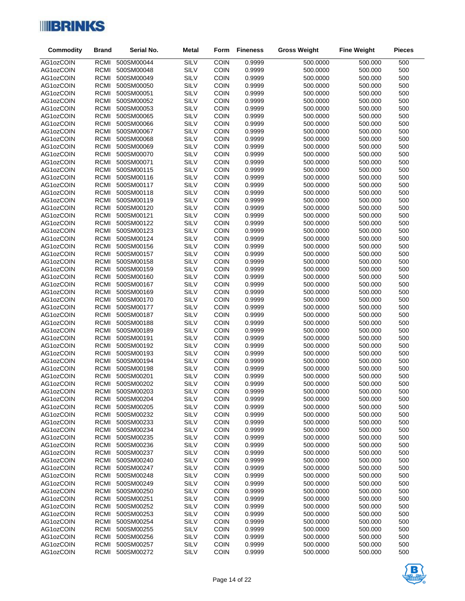

| AG1ozCOIN<br><b>RCMI</b><br>SILV<br><b>COIN</b><br>500<br>500SM00044<br>0.9999<br>500.0000<br>500.000<br>SILV<br>COIN<br>AG1ozCOIN<br><b>RCMI</b><br>500SM00048<br>0.9999<br>500.0000<br>500.000<br>500<br>SILV<br>COIN<br><b>RCMI</b><br>500SM00049<br>0.9999<br>500.0000<br>500.000<br>500<br>AG1ozCOIN<br><b>SILV</b><br><b>RCMI</b><br>500SM00050<br><b>COIN</b><br>0.9999<br>500.0000<br>500.000<br>500<br>AG1ozCOIN<br><b>SILV</b><br>COIN<br><b>RCMI</b><br>0.9999<br>500.000<br>500<br>AG1ozCOIN<br>500SM00051<br>500.0000<br>SILV<br>COIN<br><b>RCMI</b><br>500SM00052<br>0.9999<br>500.000<br>500<br>AG1ozCOIN<br>500.0000<br><b>SILV</b><br>COIN<br><b>RCMI</b><br>0.9999<br>500.0000<br>500.000<br>500<br>AG1ozCOIN<br>500SM00053<br>SILV<br>COIN<br><b>RCMI</b><br>0.9999<br>500<br>AG1ozCOIN<br>500SM00065<br>500.0000<br>500.000<br><b>SILV</b><br>COIN<br><b>RCMI</b><br>500SM00066<br>0.9999<br>500.0000<br>500.000<br>500<br>AG1ozCOIN<br><b>SILV</b><br><b>RCMI</b><br>COIN<br>0.9999<br>500SM00067<br>500.0000<br>500.000<br>500<br>AG1ozCOIN<br><b>SILV</b><br>COIN<br><b>RCMI</b><br>0.9999<br>500<br>AG1ozCOIN<br>500SM00068<br>500.0000<br>500.000<br><b>SILV</b><br>COIN<br><b>RCMI</b><br>500SM00069<br>0.9999<br>500.000<br>500<br>AG1ozCOIN<br>500.0000<br><b>SILV</b><br>COIN<br><b>RCMI</b><br>0.9999<br>500.0000<br>500.000<br>500<br>AG1ozCOIN<br>500SM00070<br>SILV<br>COIN<br><b>RCMI</b><br>0.9999<br>500<br>AG1ozCOIN<br>500SM00071<br>500.0000<br>500.000<br><b>SILV</b><br>COIN<br><b>RCMI</b><br>500SM00115<br>0.9999<br>500.0000<br>500.000<br>500<br>AG1ozCOIN<br>SILV<br><b>RCMI</b><br>COIN<br>AG1ozCOIN<br>500SM00116<br>0.9999<br>500.0000<br>500.000<br>500<br><b>SILV</b><br><b>RCMI</b><br>500SM00117<br><b>COIN</b><br>0.9999<br>500.000<br>500<br>AG1ozCOIN<br>500.0000<br><b>SILV</b><br>COIN<br><b>RCMI</b><br>0.9999<br>500.000<br>500<br>AG1ozCOIN<br>500SM00118<br>500.0000<br><b>SILV</b><br>COIN<br><b>RCMI</b><br>0.9999<br>500.000<br>500<br>AG1ozCOIN<br>500SM00119<br>500.0000<br><b>SILV</b><br>COIN<br><b>RCMI</b><br>500SM00120<br>0.9999<br>500.0000<br>500.000<br>500<br>AG1ozCOIN<br><b>SILV</b><br><b>RCMI</b><br>COIN<br>500SM00121<br>0.9999<br>500.0000<br>500.000<br>500<br>AG1ozCOIN<br><b>SILV</b><br><b>RCMI</b><br><b>COIN</b><br>0.9999<br>500.000<br>500<br>AG1ozCOIN<br>500SM00122<br>500.0000<br>SILV<br>COIN<br><b>RCMI</b><br>500SM00123<br>0.9999<br>500.000<br>500<br>AG1ozCOIN<br>500.0000<br><b>SILV</b><br>COIN<br><b>RCMI</b><br>0.9999<br>500.0000<br>500.000<br>500<br>AG1ozCOIN<br>500SM00124<br><b>SILV</b><br><b>RCMI</b><br><b>COIN</b><br>0.9999<br>500.000<br>500<br>AG1ozCOIN<br>500SM00156<br>500.0000<br><b>SILV</b><br><b>RCMI</b><br><b>COIN</b><br>0.9999<br>500.0000<br>500.000<br>500<br>AG1ozCOIN<br>500SM00157<br>SILV<br>COIN<br><b>RCMI</b><br>0.9999<br>500.000<br>500<br>AG1ozCOIN<br>500SM00158<br>500.0000<br><b>SILV</b><br>COIN<br><b>RCMI</b><br>500SM00159<br>0.9999<br>500.0000<br>500.000<br>500<br>AG1ozCOIN<br><b>SILV</b><br><b>RCMI</b><br>COIN<br>500SM00160<br>0.9999<br>500.0000<br>500.000<br>500<br>AG1ozCOIN<br>SILV<br>COIN<br><b>RCMI</b><br>0.9999<br>500.000<br>500<br>AG1ozCOIN<br>500SM00167<br>500.0000<br>SILV<br><b>RCMI</b><br><b>COIN</b><br>0.9999<br>500.000<br>500<br>AG1ozCOIN<br>500SM00169<br>500.0000<br><b>SILV</b><br>COIN<br><b>RCMI</b><br>0.9999<br>500.0000<br>500.000<br>500<br>AG1ozCOIN<br>500SM00170<br>SILV<br>COIN<br><b>RCMI</b><br>0.9999<br>500<br>AG1ozCOIN<br>500SM00177<br>500.0000<br>500.000<br><b>SILV</b><br>COIN<br><b>RCMI</b><br>500SM00187<br>0.9999<br>500.0000<br>500.000<br>500<br>AG1ozCOIN<br><b>SILV</b><br><b>RCMI</b><br>COIN<br>500SM00188<br>0.9999<br>500.0000<br>500.000<br>500<br>AG1ozCOIN<br>SILV<br><b>RCMI</b><br><b>COIN</b><br>0.9999<br>500<br>AG1ozCOIN<br>500SM00189<br>500.0000<br>500.000<br><b>SILV</b><br><b>RCMI</b><br><b>COIN</b><br>0.9999<br>500.000<br>500<br>AG1ozCOIN<br>500SM00191<br>500.0000<br>SILV<br>COIN<br>AG1ozCOIN<br><b>RCMI</b><br>500SM00192<br>0.9999<br>500.0000<br>500.000<br>500<br>SILV<br><b>RCMI</b><br><b>COIN</b><br>AG1ozCOIN<br>500SM00193<br>0.9999<br>500.0000<br>500.000<br>500<br>SILV<br><b>RCMI</b><br>500SM00194<br><b>COIN</b><br>0.9999<br>500.000<br>500<br>AG1ozCOIN<br>500.0000<br>SILV<br>COIN<br>AG1ozCOIN<br><b>RCMI</b><br>500SM00198<br>0.9999<br>500.000<br>500<br>500.0000<br>SILV<br>COIN<br><b>RCMI</b><br>500SM00201<br>0.9999<br>500.000<br>500<br>AG1ozCOIN<br>500.0000<br>SILV<br>COIN<br>RCMI<br>500SM00202<br>0.9999<br>500.000<br>500<br>AG1ozCOIN<br>500.0000<br>SILV<br>AG1ozCOIN<br>500SM00203<br><b>COIN</b><br>0.9999<br>500.0000<br>500.000<br>500<br>RCMI<br>AG1ozCOIN<br><b>RCMI</b><br>500SM00204<br>SILV<br><b>COIN</b><br>0.9999<br>500.0000<br>500.000<br>500<br><b>RCMI</b><br>SILV<br><b>COIN</b><br>AG1ozCOIN<br>500SM00205<br>0.9999<br>500.0000<br>500.000<br>500<br>SILV<br><b>RCMI</b><br><b>COIN</b><br>AG1ozCOIN<br>500SM00232<br>0.9999<br>500.0000<br>500.000<br>500<br>SILV<br>0.9999<br>AG1ozCOIN<br><b>RCMI</b><br>500SM00233<br><b>COIN</b><br>500.0000<br>500.000<br>500<br><b>RCMI</b><br>SILV<br><b>COIN</b><br>0.9999<br>500.000<br>AG1ozCOIN<br>500SM00234<br>500.0000<br>500<br>SILV<br><b>RCMI</b><br><b>COIN</b><br>AG1ozCOIN<br>500SM00235<br>0.9999<br>500.0000<br>500.000<br>500<br>SILV<br><b>RCMI</b><br><b>COIN</b><br>0.9999<br>AG1ozCOIN<br>500SM00236<br>500.0000<br>500.000<br>500<br>SILV<br><b>RCMI</b><br><b>COIN</b><br>AG1ozCOIN<br>500SM00237<br>0.9999<br>500.0000<br>500.000<br>500<br><b>RCMI</b><br>SILV<br><b>COIN</b><br>0.9999<br>AG1ozCOIN<br>500SM00240<br>500.0000<br>500.000<br>500<br>SILV<br><b>RCMI</b><br><b>COIN</b><br>AG1ozCOIN<br>500SM00247<br>0.9999<br>500.0000<br>500.000<br>500<br>SILV<br><b>COIN</b><br>AG1ozCOIN<br><b>RCMI</b><br>500SM00248<br>0.9999<br>500.0000<br>500.000<br>500<br>SILV<br><b>RCMI</b><br>500SM00249<br><b>COIN</b><br>0.9999<br>500.000<br>AG1ozCOIN<br>500.0000<br>500<br>SILV<br><b>RCMI</b><br><b>COIN</b><br>0.9999<br>AG1ozCOIN<br>500SM00250<br>500.0000<br>500.000<br>500<br>SILV<br><b>COIN</b><br><b>RCMI</b><br>500SM00251<br>0.9999<br>500.0000<br>500.000<br>500<br>AG1ozCOIN<br><b>RCMI</b><br>SILV<br><b>COIN</b><br>0.9999<br>AG1ozCOIN<br>500SM00252<br>500.0000<br>500.000<br>500<br>SILV<br><b>RCMI</b><br><b>COIN</b><br>0.9999<br>500.000<br>AG1ozCOIN<br>500SM00253<br>500.0000<br>500<br>SILV<br><b>COIN</b><br>AG1ozCOIN<br><b>RCMI</b><br>500SM00254<br>0.9999<br>500.0000<br>500.000<br>500<br>SILV<br><b>RCMI</b><br><b>COIN</b><br>0.9999<br>AG1ozCOIN<br>500SM00255<br>500.0000<br>500.000<br>500<br>SILV<br><b>RCMI</b><br>500SM00256<br><b>COIN</b><br>0.9999<br>500.000<br>AG1ozCOIN<br>500.0000<br>500<br><b>RCMI</b><br>SILV<br><b>COIN</b><br>0.9999<br>AG1ozCOIN<br>500SM00257<br>500.0000<br>500.000<br>500 | <b>Commodity</b> | <b>Brand</b> | Serial No. | <b>Metal</b> | Form        | <b>Fineness</b> | <b>Gross Weight</b> | <b>Fine Weight</b> | <b>Pieces</b> |
|------------------------------------------------------------------------------------------------------------------------------------------------------------------------------------------------------------------------------------------------------------------------------------------------------------------------------------------------------------------------------------------------------------------------------------------------------------------------------------------------------------------------------------------------------------------------------------------------------------------------------------------------------------------------------------------------------------------------------------------------------------------------------------------------------------------------------------------------------------------------------------------------------------------------------------------------------------------------------------------------------------------------------------------------------------------------------------------------------------------------------------------------------------------------------------------------------------------------------------------------------------------------------------------------------------------------------------------------------------------------------------------------------------------------------------------------------------------------------------------------------------------------------------------------------------------------------------------------------------------------------------------------------------------------------------------------------------------------------------------------------------------------------------------------------------------------------------------------------------------------------------------------------------------------------------------------------------------------------------------------------------------------------------------------------------------------------------------------------------------------------------------------------------------------------------------------------------------------------------------------------------------------------------------------------------------------------------------------------------------------------------------------------------------------------------------------------------------------------------------------------------------------------------------------------------------------------------------------------------------------------------------------------------------------------------------------------------------------------------------------------------------------------------------------------------------------------------------------------------------------------------------------------------------------------------------------------------------------------------------------------------------------------------------------------------------------------------------------------------------------------------------------------------------------------------------------------------------------------------------------------------------------------------------------------------------------------------------------------------------------------------------------------------------------------------------------------------------------------------------------------------------------------------------------------------------------------------------------------------------------------------------------------------------------------------------------------------------------------------------------------------------------------------------------------------------------------------------------------------------------------------------------------------------------------------------------------------------------------------------------------------------------------------------------------------------------------------------------------------------------------------------------------------------------------------------------------------------------------------------------------------------------------------------------------------------------------------------------------------------------------------------------------------------------------------------------------------------------------------------------------------------------------------------------------------------------------------------------------------------------------------------------------------------------------------------------------------------------------------------------------------------------------------------------------------------------------------------------------------------------------------------------------------------------------------------------------------------------------------------------------------------------------------------------------------------------------------------------------------------------------------------------------------------------------------------------------------------------------------------------------------------------------------------------------------------------------------------------------------------------------------------------------------------------------------------------------------------------------------------------------------------------------------------------------------------------------------------------------------------------------------------------------------------------------------------------------------------------------------------------------------------------------------------------------------------------------------------------------------------------------------------------------------------------------------------------------------------------------------------------------------------------------------------------------------------------------------------------------------------------------------------------------------------------------------------------------------------------------------------------------------------------------------------------------------------------------------------------------------------------------------------------------------------------------------------------------------------------------------------------------------------------------------------------------------------------------------------------------------------------------------------------------------------------------------------------------------------------------------------------------------------------------------------------------------------------------------------------------------------------------------------------------------------------|------------------|--------------|------------|--------------|-------------|-----------------|---------------------|--------------------|---------------|
|                                                                                                                                                                                                                                                                                                                                                                                                                                                                                                                                                                                                                                                                                                                                                                                                                                                                                                                                                                                                                                                                                                                                                                                                                                                                                                                                                                                                                                                                                                                                                                                                                                                                                                                                                                                                                                                                                                                                                                                                                                                                                                                                                                                                                                                                                                                                                                                                                                                                                                                                                                                                                                                                                                                                                                                                                                                                                                                                                                                                                                                                                                                                                                                                                                                                                                                                                                                                                                                                                                                                                                                                                                                                                                                                                                                                                                                                                                                                                                                                                                                                                                                                                                                                                                                                                                                                                                                                                                                                                                                                                                                                                                                                                                                                                                                                                                                                                                                                                                                                                                                                                                                                                                                                                                                                                                                                                                                                                                                                                                                                                                                                                                                                                                                                                                                                                                                                                                                                                                                                                                                                                                                                                                                                                                                                                                                                                                                                                                                                                                                                                                                                                                                                                                                                                                                                                                                                                                                        |                  |              |            |              |             |                 |                     |                    |               |
|                                                                                                                                                                                                                                                                                                                                                                                                                                                                                                                                                                                                                                                                                                                                                                                                                                                                                                                                                                                                                                                                                                                                                                                                                                                                                                                                                                                                                                                                                                                                                                                                                                                                                                                                                                                                                                                                                                                                                                                                                                                                                                                                                                                                                                                                                                                                                                                                                                                                                                                                                                                                                                                                                                                                                                                                                                                                                                                                                                                                                                                                                                                                                                                                                                                                                                                                                                                                                                                                                                                                                                                                                                                                                                                                                                                                                                                                                                                                                                                                                                                                                                                                                                                                                                                                                                                                                                                                                                                                                                                                                                                                                                                                                                                                                                                                                                                                                                                                                                                                                                                                                                                                                                                                                                                                                                                                                                                                                                                                                                                                                                                                                                                                                                                                                                                                                                                                                                                                                                                                                                                                                                                                                                                                                                                                                                                                                                                                                                                                                                                                                                                                                                                                                                                                                                                                                                                                                                                        |                  |              |            |              |             |                 |                     |                    |               |
|                                                                                                                                                                                                                                                                                                                                                                                                                                                                                                                                                                                                                                                                                                                                                                                                                                                                                                                                                                                                                                                                                                                                                                                                                                                                                                                                                                                                                                                                                                                                                                                                                                                                                                                                                                                                                                                                                                                                                                                                                                                                                                                                                                                                                                                                                                                                                                                                                                                                                                                                                                                                                                                                                                                                                                                                                                                                                                                                                                                                                                                                                                                                                                                                                                                                                                                                                                                                                                                                                                                                                                                                                                                                                                                                                                                                                                                                                                                                                                                                                                                                                                                                                                                                                                                                                                                                                                                                                                                                                                                                                                                                                                                                                                                                                                                                                                                                                                                                                                                                                                                                                                                                                                                                                                                                                                                                                                                                                                                                                                                                                                                                                                                                                                                                                                                                                                                                                                                                                                                                                                                                                                                                                                                                                                                                                                                                                                                                                                                                                                                                                                                                                                                                                                                                                                                                                                                                                                                        |                  |              |            |              |             |                 |                     |                    |               |
|                                                                                                                                                                                                                                                                                                                                                                                                                                                                                                                                                                                                                                                                                                                                                                                                                                                                                                                                                                                                                                                                                                                                                                                                                                                                                                                                                                                                                                                                                                                                                                                                                                                                                                                                                                                                                                                                                                                                                                                                                                                                                                                                                                                                                                                                                                                                                                                                                                                                                                                                                                                                                                                                                                                                                                                                                                                                                                                                                                                                                                                                                                                                                                                                                                                                                                                                                                                                                                                                                                                                                                                                                                                                                                                                                                                                                                                                                                                                                                                                                                                                                                                                                                                                                                                                                                                                                                                                                                                                                                                                                                                                                                                                                                                                                                                                                                                                                                                                                                                                                                                                                                                                                                                                                                                                                                                                                                                                                                                                                                                                                                                                                                                                                                                                                                                                                                                                                                                                                                                                                                                                                                                                                                                                                                                                                                                                                                                                                                                                                                                                                                                                                                                                                                                                                                                                                                                                                                                        |                  |              |            |              |             |                 |                     |                    |               |
|                                                                                                                                                                                                                                                                                                                                                                                                                                                                                                                                                                                                                                                                                                                                                                                                                                                                                                                                                                                                                                                                                                                                                                                                                                                                                                                                                                                                                                                                                                                                                                                                                                                                                                                                                                                                                                                                                                                                                                                                                                                                                                                                                                                                                                                                                                                                                                                                                                                                                                                                                                                                                                                                                                                                                                                                                                                                                                                                                                                                                                                                                                                                                                                                                                                                                                                                                                                                                                                                                                                                                                                                                                                                                                                                                                                                                                                                                                                                                                                                                                                                                                                                                                                                                                                                                                                                                                                                                                                                                                                                                                                                                                                                                                                                                                                                                                                                                                                                                                                                                                                                                                                                                                                                                                                                                                                                                                                                                                                                                                                                                                                                                                                                                                                                                                                                                                                                                                                                                                                                                                                                                                                                                                                                                                                                                                                                                                                                                                                                                                                                                                                                                                                                                                                                                                                                                                                                                                                        |                  |              |            |              |             |                 |                     |                    |               |
|                                                                                                                                                                                                                                                                                                                                                                                                                                                                                                                                                                                                                                                                                                                                                                                                                                                                                                                                                                                                                                                                                                                                                                                                                                                                                                                                                                                                                                                                                                                                                                                                                                                                                                                                                                                                                                                                                                                                                                                                                                                                                                                                                                                                                                                                                                                                                                                                                                                                                                                                                                                                                                                                                                                                                                                                                                                                                                                                                                                                                                                                                                                                                                                                                                                                                                                                                                                                                                                                                                                                                                                                                                                                                                                                                                                                                                                                                                                                                                                                                                                                                                                                                                                                                                                                                                                                                                                                                                                                                                                                                                                                                                                                                                                                                                                                                                                                                                                                                                                                                                                                                                                                                                                                                                                                                                                                                                                                                                                                                                                                                                                                                                                                                                                                                                                                                                                                                                                                                                                                                                                                                                                                                                                                                                                                                                                                                                                                                                                                                                                                                                                                                                                                                                                                                                                                                                                                                                                        |                  |              |            |              |             |                 |                     |                    |               |
|                                                                                                                                                                                                                                                                                                                                                                                                                                                                                                                                                                                                                                                                                                                                                                                                                                                                                                                                                                                                                                                                                                                                                                                                                                                                                                                                                                                                                                                                                                                                                                                                                                                                                                                                                                                                                                                                                                                                                                                                                                                                                                                                                                                                                                                                                                                                                                                                                                                                                                                                                                                                                                                                                                                                                                                                                                                                                                                                                                                                                                                                                                                                                                                                                                                                                                                                                                                                                                                                                                                                                                                                                                                                                                                                                                                                                                                                                                                                                                                                                                                                                                                                                                                                                                                                                                                                                                                                                                                                                                                                                                                                                                                                                                                                                                                                                                                                                                                                                                                                                                                                                                                                                                                                                                                                                                                                                                                                                                                                                                                                                                                                                                                                                                                                                                                                                                                                                                                                                                                                                                                                                                                                                                                                                                                                                                                                                                                                                                                                                                                                                                                                                                                                                                                                                                                                                                                                                                                        |                  |              |            |              |             |                 |                     |                    |               |
|                                                                                                                                                                                                                                                                                                                                                                                                                                                                                                                                                                                                                                                                                                                                                                                                                                                                                                                                                                                                                                                                                                                                                                                                                                                                                                                                                                                                                                                                                                                                                                                                                                                                                                                                                                                                                                                                                                                                                                                                                                                                                                                                                                                                                                                                                                                                                                                                                                                                                                                                                                                                                                                                                                                                                                                                                                                                                                                                                                                                                                                                                                                                                                                                                                                                                                                                                                                                                                                                                                                                                                                                                                                                                                                                                                                                                                                                                                                                                                                                                                                                                                                                                                                                                                                                                                                                                                                                                                                                                                                                                                                                                                                                                                                                                                                                                                                                                                                                                                                                                                                                                                                                                                                                                                                                                                                                                                                                                                                                                                                                                                                                                                                                                                                                                                                                                                                                                                                                                                                                                                                                                                                                                                                                                                                                                                                                                                                                                                                                                                                                                                                                                                                                                                                                                                                                                                                                                                                        |                  |              |            |              |             |                 |                     |                    |               |
|                                                                                                                                                                                                                                                                                                                                                                                                                                                                                                                                                                                                                                                                                                                                                                                                                                                                                                                                                                                                                                                                                                                                                                                                                                                                                                                                                                                                                                                                                                                                                                                                                                                                                                                                                                                                                                                                                                                                                                                                                                                                                                                                                                                                                                                                                                                                                                                                                                                                                                                                                                                                                                                                                                                                                                                                                                                                                                                                                                                                                                                                                                                                                                                                                                                                                                                                                                                                                                                                                                                                                                                                                                                                                                                                                                                                                                                                                                                                                                                                                                                                                                                                                                                                                                                                                                                                                                                                                                                                                                                                                                                                                                                                                                                                                                                                                                                                                                                                                                                                                                                                                                                                                                                                                                                                                                                                                                                                                                                                                                                                                                                                                                                                                                                                                                                                                                                                                                                                                                                                                                                                                                                                                                                                                                                                                                                                                                                                                                                                                                                                                                                                                                                                                                                                                                                                                                                                                                                        |                  |              |            |              |             |                 |                     |                    |               |
|                                                                                                                                                                                                                                                                                                                                                                                                                                                                                                                                                                                                                                                                                                                                                                                                                                                                                                                                                                                                                                                                                                                                                                                                                                                                                                                                                                                                                                                                                                                                                                                                                                                                                                                                                                                                                                                                                                                                                                                                                                                                                                                                                                                                                                                                                                                                                                                                                                                                                                                                                                                                                                                                                                                                                                                                                                                                                                                                                                                                                                                                                                                                                                                                                                                                                                                                                                                                                                                                                                                                                                                                                                                                                                                                                                                                                                                                                                                                                                                                                                                                                                                                                                                                                                                                                                                                                                                                                                                                                                                                                                                                                                                                                                                                                                                                                                                                                                                                                                                                                                                                                                                                                                                                                                                                                                                                                                                                                                                                                                                                                                                                                                                                                                                                                                                                                                                                                                                                                                                                                                                                                                                                                                                                                                                                                                                                                                                                                                                                                                                                                                                                                                                                                                                                                                                                                                                                                                                        |                  |              |            |              |             |                 |                     |                    |               |
|                                                                                                                                                                                                                                                                                                                                                                                                                                                                                                                                                                                                                                                                                                                                                                                                                                                                                                                                                                                                                                                                                                                                                                                                                                                                                                                                                                                                                                                                                                                                                                                                                                                                                                                                                                                                                                                                                                                                                                                                                                                                                                                                                                                                                                                                                                                                                                                                                                                                                                                                                                                                                                                                                                                                                                                                                                                                                                                                                                                                                                                                                                                                                                                                                                                                                                                                                                                                                                                                                                                                                                                                                                                                                                                                                                                                                                                                                                                                                                                                                                                                                                                                                                                                                                                                                                                                                                                                                                                                                                                                                                                                                                                                                                                                                                                                                                                                                                                                                                                                                                                                                                                                                                                                                                                                                                                                                                                                                                                                                                                                                                                                                                                                                                                                                                                                                                                                                                                                                                                                                                                                                                                                                                                                                                                                                                                                                                                                                                                                                                                                                                                                                                                                                                                                                                                                                                                                                                                        |                  |              |            |              |             |                 |                     |                    |               |
|                                                                                                                                                                                                                                                                                                                                                                                                                                                                                                                                                                                                                                                                                                                                                                                                                                                                                                                                                                                                                                                                                                                                                                                                                                                                                                                                                                                                                                                                                                                                                                                                                                                                                                                                                                                                                                                                                                                                                                                                                                                                                                                                                                                                                                                                                                                                                                                                                                                                                                                                                                                                                                                                                                                                                                                                                                                                                                                                                                                                                                                                                                                                                                                                                                                                                                                                                                                                                                                                                                                                                                                                                                                                                                                                                                                                                                                                                                                                                                                                                                                                                                                                                                                                                                                                                                                                                                                                                                                                                                                                                                                                                                                                                                                                                                                                                                                                                                                                                                                                                                                                                                                                                                                                                                                                                                                                                                                                                                                                                                                                                                                                                                                                                                                                                                                                                                                                                                                                                                                                                                                                                                                                                                                                                                                                                                                                                                                                                                                                                                                                                                                                                                                                                                                                                                                                                                                                                                                        |                  |              |            |              |             |                 |                     |                    |               |
|                                                                                                                                                                                                                                                                                                                                                                                                                                                                                                                                                                                                                                                                                                                                                                                                                                                                                                                                                                                                                                                                                                                                                                                                                                                                                                                                                                                                                                                                                                                                                                                                                                                                                                                                                                                                                                                                                                                                                                                                                                                                                                                                                                                                                                                                                                                                                                                                                                                                                                                                                                                                                                                                                                                                                                                                                                                                                                                                                                                                                                                                                                                                                                                                                                                                                                                                                                                                                                                                                                                                                                                                                                                                                                                                                                                                                                                                                                                                                                                                                                                                                                                                                                                                                                                                                                                                                                                                                                                                                                                                                                                                                                                                                                                                                                                                                                                                                                                                                                                                                                                                                                                                                                                                                                                                                                                                                                                                                                                                                                                                                                                                                                                                                                                                                                                                                                                                                                                                                                                                                                                                                                                                                                                                                                                                                                                                                                                                                                                                                                                                                                                                                                                                                                                                                                                                                                                                                                                        |                  |              |            |              |             |                 |                     |                    |               |
|                                                                                                                                                                                                                                                                                                                                                                                                                                                                                                                                                                                                                                                                                                                                                                                                                                                                                                                                                                                                                                                                                                                                                                                                                                                                                                                                                                                                                                                                                                                                                                                                                                                                                                                                                                                                                                                                                                                                                                                                                                                                                                                                                                                                                                                                                                                                                                                                                                                                                                                                                                                                                                                                                                                                                                                                                                                                                                                                                                                                                                                                                                                                                                                                                                                                                                                                                                                                                                                                                                                                                                                                                                                                                                                                                                                                                                                                                                                                                                                                                                                                                                                                                                                                                                                                                                                                                                                                                                                                                                                                                                                                                                                                                                                                                                                                                                                                                                                                                                                                                                                                                                                                                                                                                                                                                                                                                                                                                                                                                                                                                                                                                                                                                                                                                                                                                                                                                                                                                                                                                                                                                                                                                                                                                                                                                                                                                                                                                                                                                                                                                                                                                                                                                                                                                                                                                                                                                                                        |                  |              |            |              |             |                 |                     |                    |               |
|                                                                                                                                                                                                                                                                                                                                                                                                                                                                                                                                                                                                                                                                                                                                                                                                                                                                                                                                                                                                                                                                                                                                                                                                                                                                                                                                                                                                                                                                                                                                                                                                                                                                                                                                                                                                                                                                                                                                                                                                                                                                                                                                                                                                                                                                                                                                                                                                                                                                                                                                                                                                                                                                                                                                                                                                                                                                                                                                                                                                                                                                                                                                                                                                                                                                                                                                                                                                                                                                                                                                                                                                                                                                                                                                                                                                                                                                                                                                                                                                                                                                                                                                                                                                                                                                                                                                                                                                                                                                                                                                                                                                                                                                                                                                                                                                                                                                                                                                                                                                                                                                                                                                                                                                                                                                                                                                                                                                                                                                                                                                                                                                                                                                                                                                                                                                                                                                                                                                                                                                                                                                                                                                                                                                                                                                                                                                                                                                                                                                                                                                                                                                                                                                                                                                                                                                                                                                                                                        |                  |              |            |              |             |                 |                     |                    |               |
|                                                                                                                                                                                                                                                                                                                                                                                                                                                                                                                                                                                                                                                                                                                                                                                                                                                                                                                                                                                                                                                                                                                                                                                                                                                                                                                                                                                                                                                                                                                                                                                                                                                                                                                                                                                                                                                                                                                                                                                                                                                                                                                                                                                                                                                                                                                                                                                                                                                                                                                                                                                                                                                                                                                                                                                                                                                                                                                                                                                                                                                                                                                                                                                                                                                                                                                                                                                                                                                                                                                                                                                                                                                                                                                                                                                                                                                                                                                                                                                                                                                                                                                                                                                                                                                                                                                                                                                                                                                                                                                                                                                                                                                                                                                                                                                                                                                                                                                                                                                                                                                                                                                                                                                                                                                                                                                                                                                                                                                                                                                                                                                                                                                                                                                                                                                                                                                                                                                                                                                                                                                                                                                                                                                                                                                                                                                                                                                                                                                                                                                                                                                                                                                                                                                                                                                                                                                                                                                        |                  |              |            |              |             |                 |                     |                    |               |
|                                                                                                                                                                                                                                                                                                                                                                                                                                                                                                                                                                                                                                                                                                                                                                                                                                                                                                                                                                                                                                                                                                                                                                                                                                                                                                                                                                                                                                                                                                                                                                                                                                                                                                                                                                                                                                                                                                                                                                                                                                                                                                                                                                                                                                                                                                                                                                                                                                                                                                                                                                                                                                                                                                                                                                                                                                                                                                                                                                                                                                                                                                                                                                                                                                                                                                                                                                                                                                                                                                                                                                                                                                                                                                                                                                                                                                                                                                                                                                                                                                                                                                                                                                                                                                                                                                                                                                                                                                                                                                                                                                                                                                                                                                                                                                                                                                                                                                                                                                                                                                                                                                                                                                                                                                                                                                                                                                                                                                                                                                                                                                                                                                                                                                                                                                                                                                                                                                                                                                                                                                                                                                                                                                                                                                                                                                                                                                                                                                                                                                                                                                                                                                                                                                                                                                                                                                                                                                                        |                  |              |            |              |             |                 |                     |                    |               |
|                                                                                                                                                                                                                                                                                                                                                                                                                                                                                                                                                                                                                                                                                                                                                                                                                                                                                                                                                                                                                                                                                                                                                                                                                                                                                                                                                                                                                                                                                                                                                                                                                                                                                                                                                                                                                                                                                                                                                                                                                                                                                                                                                                                                                                                                                                                                                                                                                                                                                                                                                                                                                                                                                                                                                                                                                                                                                                                                                                                                                                                                                                                                                                                                                                                                                                                                                                                                                                                                                                                                                                                                                                                                                                                                                                                                                                                                                                                                                                                                                                                                                                                                                                                                                                                                                                                                                                                                                                                                                                                                                                                                                                                                                                                                                                                                                                                                                                                                                                                                                                                                                                                                                                                                                                                                                                                                                                                                                                                                                                                                                                                                                                                                                                                                                                                                                                                                                                                                                                                                                                                                                                                                                                                                                                                                                                                                                                                                                                                                                                                                                                                                                                                                                                                                                                                                                                                                                                                        |                  |              |            |              |             |                 |                     |                    |               |
|                                                                                                                                                                                                                                                                                                                                                                                                                                                                                                                                                                                                                                                                                                                                                                                                                                                                                                                                                                                                                                                                                                                                                                                                                                                                                                                                                                                                                                                                                                                                                                                                                                                                                                                                                                                                                                                                                                                                                                                                                                                                                                                                                                                                                                                                                                                                                                                                                                                                                                                                                                                                                                                                                                                                                                                                                                                                                                                                                                                                                                                                                                                                                                                                                                                                                                                                                                                                                                                                                                                                                                                                                                                                                                                                                                                                                                                                                                                                                                                                                                                                                                                                                                                                                                                                                                                                                                                                                                                                                                                                                                                                                                                                                                                                                                                                                                                                                                                                                                                                                                                                                                                                                                                                                                                                                                                                                                                                                                                                                                                                                                                                                                                                                                                                                                                                                                                                                                                                                                                                                                                                                                                                                                                                                                                                                                                                                                                                                                                                                                                                                                                                                                                                                                                                                                                                                                                                                                                        |                  |              |            |              |             |                 |                     |                    |               |
|                                                                                                                                                                                                                                                                                                                                                                                                                                                                                                                                                                                                                                                                                                                                                                                                                                                                                                                                                                                                                                                                                                                                                                                                                                                                                                                                                                                                                                                                                                                                                                                                                                                                                                                                                                                                                                                                                                                                                                                                                                                                                                                                                                                                                                                                                                                                                                                                                                                                                                                                                                                                                                                                                                                                                                                                                                                                                                                                                                                                                                                                                                                                                                                                                                                                                                                                                                                                                                                                                                                                                                                                                                                                                                                                                                                                                                                                                                                                                                                                                                                                                                                                                                                                                                                                                                                                                                                                                                                                                                                                                                                                                                                                                                                                                                                                                                                                                                                                                                                                                                                                                                                                                                                                                                                                                                                                                                                                                                                                                                                                                                                                                                                                                                                                                                                                                                                                                                                                                                                                                                                                                                                                                                                                                                                                                                                                                                                                                                                                                                                                                                                                                                                                                                                                                                                                                                                                                                                        |                  |              |            |              |             |                 |                     |                    |               |
|                                                                                                                                                                                                                                                                                                                                                                                                                                                                                                                                                                                                                                                                                                                                                                                                                                                                                                                                                                                                                                                                                                                                                                                                                                                                                                                                                                                                                                                                                                                                                                                                                                                                                                                                                                                                                                                                                                                                                                                                                                                                                                                                                                                                                                                                                                                                                                                                                                                                                                                                                                                                                                                                                                                                                                                                                                                                                                                                                                                                                                                                                                                                                                                                                                                                                                                                                                                                                                                                                                                                                                                                                                                                                                                                                                                                                                                                                                                                                                                                                                                                                                                                                                                                                                                                                                                                                                                                                                                                                                                                                                                                                                                                                                                                                                                                                                                                                                                                                                                                                                                                                                                                                                                                                                                                                                                                                                                                                                                                                                                                                                                                                                                                                                                                                                                                                                                                                                                                                                                                                                                                                                                                                                                                                                                                                                                                                                                                                                                                                                                                                                                                                                                                                                                                                                                                                                                                                                                        |                  |              |            |              |             |                 |                     |                    |               |
|                                                                                                                                                                                                                                                                                                                                                                                                                                                                                                                                                                                                                                                                                                                                                                                                                                                                                                                                                                                                                                                                                                                                                                                                                                                                                                                                                                                                                                                                                                                                                                                                                                                                                                                                                                                                                                                                                                                                                                                                                                                                                                                                                                                                                                                                                                                                                                                                                                                                                                                                                                                                                                                                                                                                                                                                                                                                                                                                                                                                                                                                                                                                                                                                                                                                                                                                                                                                                                                                                                                                                                                                                                                                                                                                                                                                                                                                                                                                                                                                                                                                                                                                                                                                                                                                                                                                                                                                                                                                                                                                                                                                                                                                                                                                                                                                                                                                                                                                                                                                                                                                                                                                                                                                                                                                                                                                                                                                                                                                                                                                                                                                                                                                                                                                                                                                                                                                                                                                                                                                                                                                                                                                                                                                                                                                                                                                                                                                                                                                                                                                                                                                                                                                                                                                                                                                                                                                                                                        |                  |              |            |              |             |                 |                     |                    |               |
|                                                                                                                                                                                                                                                                                                                                                                                                                                                                                                                                                                                                                                                                                                                                                                                                                                                                                                                                                                                                                                                                                                                                                                                                                                                                                                                                                                                                                                                                                                                                                                                                                                                                                                                                                                                                                                                                                                                                                                                                                                                                                                                                                                                                                                                                                                                                                                                                                                                                                                                                                                                                                                                                                                                                                                                                                                                                                                                                                                                                                                                                                                                                                                                                                                                                                                                                                                                                                                                                                                                                                                                                                                                                                                                                                                                                                                                                                                                                                                                                                                                                                                                                                                                                                                                                                                                                                                                                                                                                                                                                                                                                                                                                                                                                                                                                                                                                                                                                                                                                                                                                                                                                                                                                                                                                                                                                                                                                                                                                                                                                                                                                                                                                                                                                                                                                                                                                                                                                                                                                                                                                                                                                                                                                                                                                                                                                                                                                                                                                                                                                                                                                                                                                                                                                                                                                                                                                                                                        |                  |              |            |              |             |                 |                     |                    |               |
|                                                                                                                                                                                                                                                                                                                                                                                                                                                                                                                                                                                                                                                                                                                                                                                                                                                                                                                                                                                                                                                                                                                                                                                                                                                                                                                                                                                                                                                                                                                                                                                                                                                                                                                                                                                                                                                                                                                                                                                                                                                                                                                                                                                                                                                                                                                                                                                                                                                                                                                                                                                                                                                                                                                                                                                                                                                                                                                                                                                                                                                                                                                                                                                                                                                                                                                                                                                                                                                                                                                                                                                                                                                                                                                                                                                                                                                                                                                                                                                                                                                                                                                                                                                                                                                                                                                                                                                                                                                                                                                                                                                                                                                                                                                                                                                                                                                                                                                                                                                                                                                                                                                                                                                                                                                                                                                                                                                                                                                                                                                                                                                                                                                                                                                                                                                                                                                                                                                                                                                                                                                                                                                                                                                                                                                                                                                                                                                                                                                                                                                                                                                                                                                                                                                                                                                                                                                                                                                        |                  |              |            |              |             |                 |                     |                    |               |
|                                                                                                                                                                                                                                                                                                                                                                                                                                                                                                                                                                                                                                                                                                                                                                                                                                                                                                                                                                                                                                                                                                                                                                                                                                                                                                                                                                                                                                                                                                                                                                                                                                                                                                                                                                                                                                                                                                                                                                                                                                                                                                                                                                                                                                                                                                                                                                                                                                                                                                                                                                                                                                                                                                                                                                                                                                                                                                                                                                                                                                                                                                                                                                                                                                                                                                                                                                                                                                                                                                                                                                                                                                                                                                                                                                                                                                                                                                                                                                                                                                                                                                                                                                                                                                                                                                                                                                                                                                                                                                                                                                                                                                                                                                                                                                                                                                                                                                                                                                                                                                                                                                                                                                                                                                                                                                                                                                                                                                                                                                                                                                                                                                                                                                                                                                                                                                                                                                                                                                                                                                                                                                                                                                                                                                                                                                                                                                                                                                                                                                                                                                                                                                                                                                                                                                                                                                                                                                                        |                  |              |            |              |             |                 |                     |                    |               |
|                                                                                                                                                                                                                                                                                                                                                                                                                                                                                                                                                                                                                                                                                                                                                                                                                                                                                                                                                                                                                                                                                                                                                                                                                                                                                                                                                                                                                                                                                                                                                                                                                                                                                                                                                                                                                                                                                                                                                                                                                                                                                                                                                                                                                                                                                                                                                                                                                                                                                                                                                                                                                                                                                                                                                                                                                                                                                                                                                                                                                                                                                                                                                                                                                                                                                                                                                                                                                                                                                                                                                                                                                                                                                                                                                                                                                                                                                                                                                                                                                                                                                                                                                                                                                                                                                                                                                                                                                                                                                                                                                                                                                                                                                                                                                                                                                                                                                                                                                                                                                                                                                                                                                                                                                                                                                                                                                                                                                                                                                                                                                                                                                                                                                                                                                                                                                                                                                                                                                                                                                                                                                                                                                                                                                                                                                                                                                                                                                                                                                                                                                                                                                                                                                                                                                                                                                                                                                                                        |                  |              |            |              |             |                 |                     |                    |               |
|                                                                                                                                                                                                                                                                                                                                                                                                                                                                                                                                                                                                                                                                                                                                                                                                                                                                                                                                                                                                                                                                                                                                                                                                                                                                                                                                                                                                                                                                                                                                                                                                                                                                                                                                                                                                                                                                                                                                                                                                                                                                                                                                                                                                                                                                                                                                                                                                                                                                                                                                                                                                                                                                                                                                                                                                                                                                                                                                                                                                                                                                                                                                                                                                                                                                                                                                                                                                                                                                                                                                                                                                                                                                                                                                                                                                                                                                                                                                                                                                                                                                                                                                                                                                                                                                                                                                                                                                                                                                                                                                                                                                                                                                                                                                                                                                                                                                                                                                                                                                                                                                                                                                                                                                                                                                                                                                                                                                                                                                                                                                                                                                                                                                                                                                                                                                                                                                                                                                                                                                                                                                                                                                                                                                                                                                                                                                                                                                                                                                                                                                                                                                                                                                                                                                                                                                                                                                                                                        |                  |              |            |              |             |                 |                     |                    |               |
|                                                                                                                                                                                                                                                                                                                                                                                                                                                                                                                                                                                                                                                                                                                                                                                                                                                                                                                                                                                                                                                                                                                                                                                                                                                                                                                                                                                                                                                                                                                                                                                                                                                                                                                                                                                                                                                                                                                                                                                                                                                                                                                                                                                                                                                                                                                                                                                                                                                                                                                                                                                                                                                                                                                                                                                                                                                                                                                                                                                                                                                                                                                                                                                                                                                                                                                                                                                                                                                                                                                                                                                                                                                                                                                                                                                                                                                                                                                                                                                                                                                                                                                                                                                                                                                                                                                                                                                                                                                                                                                                                                                                                                                                                                                                                                                                                                                                                                                                                                                                                                                                                                                                                                                                                                                                                                                                                                                                                                                                                                                                                                                                                                                                                                                                                                                                                                                                                                                                                                                                                                                                                                                                                                                                                                                                                                                                                                                                                                                                                                                                                                                                                                                                                                                                                                                                                                                                                                                        |                  |              |            |              |             |                 |                     |                    |               |
|                                                                                                                                                                                                                                                                                                                                                                                                                                                                                                                                                                                                                                                                                                                                                                                                                                                                                                                                                                                                                                                                                                                                                                                                                                                                                                                                                                                                                                                                                                                                                                                                                                                                                                                                                                                                                                                                                                                                                                                                                                                                                                                                                                                                                                                                                                                                                                                                                                                                                                                                                                                                                                                                                                                                                                                                                                                                                                                                                                                                                                                                                                                                                                                                                                                                                                                                                                                                                                                                                                                                                                                                                                                                                                                                                                                                                                                                                                                                                                                                                                                                                                                                                                                                                                                                                                                                                                                                                                                                                                                                                                                                                                                                                                                                                                                                                                                                                                                                                                                                                                                                                                                                                                                                                                                                                                                                                                                                                                                                                                                                                                                                                                                                                                                                                                                                                                                                                                                                                                                                                                                                                                                                                                                                                                                                                                                                                                                                                                                                                                                                                                                                                                                                                                                                                                                                                                                                                                                        |                  |              |            |              |             |                 |                     |                    |               |
|                                                                                                                                                                                                                                                                                                                                                                                                                                                                                                                                                                                                                                                                                                                                                                                                                                                                                                                                                                                                                                                                                                                                                                                                                                                                                                                                                                                                                                                                                                                                                                                                                                                                                                                                                                                                                                                                                                                                                                                                                                                                                                                                                                                                                                                                                                                                                                                                                                                                                                                                                                                                                                                                                                                                                                                                                                                                                                                                                                                                                                                                                                                                                                                                                                                                                                                                                                                                                                                                                                                                                                                                                                                                                                                                                                                                                                                                                                                                                                                                                                                                                                                                                                                                                                                                                                                                                                                                                                                                                                                                                                                                                                                                                                                                                                                                                                                                                                                                                                                                                                                                                                                                                                                                                                                                                                                                                                                                                                                                                                                                                                                                                                                                                                                                                                                                                                                                                                                                                                                                                                                                                                                                                                                                                                                                                                                                                                                                                                                                                                                                                                                                                                                                                                                                                                                                                                                                                                                        |                  |              |            |              |             |                 |                     |                    |               |
|                                                                                                                                                                                                                                                                                                                                                                                                                                                                                                                                                                                                                                                                                                                                                                                                                                                                                                                                                                                                                                                                                                                                                                                                                                                                                                                                                                                                                                                                                                                                                                                                                                                                                                                                                                                                                                                                                                                                                                                                                                                                                                                                                                                                                                                                                                                                                                                                                                                                                                                                                                                                                                                                                                                                                                                                                                                                                                                                                                                                                                                                                                                                                                                                                                                                                                                                                                                                                                                                                                                                                                                                                                                                                                                                                                                                                                                                                                                                                                                                                                                                                                                                                                                                                                                                                                                                                                                                                                                                                                                                                                                                                                                                                                                                                                                                                                                                                                                                                                                                                                                                                                                                                                                                                                                                                                                                                                                                                                                                                                                                                                                                                                                                                                                                                                                                                                                                                                                                                                                                                                                                                                                                                                                                                                                                                                                                                                                                                                                                                                                                                                                                                                                                                                                                                                                                                                                                                                                        |                  |              |            |              |             |                 |                     |                    |               |
|                                                                                                                                                                                                                                                                                                                                                                                                                                                                                                                                                                                                                                                                                                                                                                                                                                                                                                                                                                                                                                                                                                                                                                                                                                                                                                                                                                                                                                                                                                                                                                                                                                                                                                                                                                                                                                                                                                                                                                                                                                                                                                                                                                                                                                                                                                                                                                                                                                                                                                                                                                                                                                                                                                                                                                                                                                                                                                                                                                                                                                                                                                                                                                                                                                                                                                                                                                                                                                                                                                                                                                                                                                                                                                                                                                                                                                                                                                                                                                                                                                                                                                                                                                                                                                                                                                                                                                                                                                                                                                                                                                                                                                                                                                                                                                                                                                                                                                                                                                                                                                                                                                                                                                                                                                                                                                                                                                                                                                                                                                                                                                                                                                                                                                                                                                                                                                                                                                                                                                                                                                                                                                                                                                                                                                                                                                                                                                                                                                                                                                                                                                                                                                                                                                                                                                                                                                                                                                                        |                  |              |            |              |             |                 |                     |                    |               |
|                                                                                                                                                                                                                                                                                                                                                                                                                                                                                                                                                                                                                                                                                                                                                                                                                                                                                                                                                                                                                                                                                                                                                                                                                                                                                                                                                                                                                                                                                                                                                                                                                                                                                                                                                                                                                                                                                                                                                                                                                                                                                                                                                                                                                                                                                                                                                                                                                                                                                                                                                                                                                                                                                                                                                                                                                                                                                                                                                                                                                                                                                                                                                                                                                                                                                                                                                                                                                                                                                                                                                                                                                                                                                                                                                                                                                                                                                                                                                                                                                                                                                                                                                                                                                                                                                                                                                                                                                                                                                                                                                                                                                                                                                                                                                                                                                                                                                                                                                                                                                                                                                                                                                                                                                                                                                                                                                                                                                                                                                                                                                                                                                                                                                                                                                                                                                                                                                                                                                                                                                                                                                                                                                                                                                                                                                                                                                                                                                                                                                                                                                                                                                                                                                                                                                                                                                                                                                                                        |                  |              |            |              |             |                 |                     |                    |               |
|                                                                                                                                                                                                                                                                                                                                                                                                                                                                                                                                                                                                                                                                                                                                                                                                                                                                                                                                                                                                                                                                                                                                                                                                                                                                                                                                                                                                                                                                                                                                                                                                                                                                                                                                                                                                                                                                                                                                                                                                                                                                                                                                                                                                                                                                                                                                                                                                                                                                                                                                                                                                                                                                                                                                                                                                                                                                                                                                                                                                                                                                                                                                                                                                                                                                                                                                                                                                                                                                                                                                                                                                                                                                                                                                                                                                                                                                                                                                                                                                                                                                                                                                                                                                                                                                                                                                                                                                                                                                                                                                                                                                                                                                                                                                                                                                                                                                                                                                                                                                                                                                                                                                                                                                                                                                                                                                                                                                                                                                                                                                                                                                                                                                                                                                                                                                                                                                                                                                                                                                                                                                                                                                                                                                                                                                                                                                                                                                                                                                                                                                                                                                                                                                                                                                                                                                                                                                                                                        |                  |              |            |              |             |                 |                     |                    |               |
|                                                                                                                                                                                                                                                                                                                                                                                                                                                                                                                                                                                                                                                                                                                                                                                                                                                                                                                                                                                                                                                                                                                                                                                                                                                                                                                                                                                                                                                                                                                                                                                                                                                                                                                                                                                                                                                                                                                                                                                                                                                                                                                                                                                                                                                                                                                                                                                                                                                                                                                                                                                                                                                                                                                                                                                                                                                                                                                                                                                                                                                                                                                                                                                                                                                                                                                                                                                                                                                                                                                                                                                                                                                                                                                                                                                                                                                                                                                                                                                                                                                                                                                                                                                                                                                                                                                                                                                                                                                                                                                                                                                                                                                                                                                                                                                                                                                                                                                                                                                                                                                                                                                                                                                                                                                                                                                                                                                                                                                                                                                                                                                                                                                                                                                                                                                                                                                                                                                                                                                                                                                                                                                                                                                                                                                                                                                                                                                                                                                                                                                                                                                                                                                                                                                                                                                                                                                                                                                        |                  |              |            |              |             |                 |                     |                    |               |
|                                                                                                                                                                                                                                                                                                                                                                                                                                                                                                                                                                                                                                                                                                                                                                                                                                                                                                                                                                                                                                                                                                                                                                                                                                                                                                                                                                                                                                                                                                                                                                                                                                                                                                                                                                                                                                                                                                                                                                                                                                                                                                                                                                                                                                                                                                                                                                                                                                                                                                                                                                                                                                                                                                                                                                                                                                                                                                                                                                                                                                                                                                                                                                                                                                                                                                                                                                                                                                                                                                                                                                                                                                                                                                                                                                                                                                                                                                                                                                                                                                                                                                                                                                                                                                                                                                                                                                                                                                                                                                                                                                                                                                                                                                                                                                                                                                                                                                                                                                                                                                                                                                                                                                                                                                                                                                                                                                                                                                                                                                                                                                                                                                                                                                                                                                                                                                                                                                                                                                                                                                                                                                                                                                                                                                                                                                                                                                                                                                                                                                                                                                                                                                                                                                                                                                                                                                                                                                                        |                  |              |            |              |             |                 |                     |                    |               |
|                                                                                                                                                                                                                                                                                                                                                                                                                                                                                                                                                                                                                                                                                                                                                                                                                                                                                                                                                                                                                                                                                                                                                                                                                                                                                                                                                                                                                                                                                                                                                                                                                                                                                                                                                                                                                                                                                                                                                                                                                                                                                                                                                                                                                                                                                                                                                                                                                                                                                                                                                                                                                                                                                                                                                                                                                                                                                                                                                                                                                                                                                                                                                                                                                                                                                                                                                                                                                                                                                                                                                                                                                                                                                                                                                                                                                                                                                                                                                                                                                                                                                                                                                                                                                                                                                                                                                                                                                                                                                                                                                                                                                                                                                                                                                                                                                                                                                                                                                                                                                                                                                                                                                                                                                                                                                                                                                                                                                                                                                                                                                                                                                                                                                                                                                                                                                                                                                                                                                                                                                                                                                                                                                                                                                                                                                                                                                                                                                                                                                                                                                                                                                                                                                                                                                                                                                                                                                                                        |                  |              |            |              |             |                 |                     |                    |               |
|                                                                                                                                                                                                                                                                                                                                                                                                                                                                                                                                                                                                                                                                                                                                                                                                                                                                                                                                                                                                                                                                                                                                                                                                                                                                                                                                                                                                                                                                                                                                                                                                                                                                                                                                                                                                                                                                                                                                                                                                                                                                                                                                                                                                                                                                                                                                                                                                                                                                                                                                                                                                                                                                                                                                                                                                                                                                                                                                                                                                                                                                                                                                                                                                                                                                                                                                                                                                                                                                                                                                                                                                                                                                                                                                                                                                                                                                                                                                                                                                                                                                                                                                                                                                                                                                                                                                                                                                                                                                                                                                                                                                                                                                                                                                                                                                                                                                                                                                                                                                                                                                                                                                                                                                                                                                                                                                                                                                                                                                                                                                                                                                                                                                                                                                                                                                                                                                                                                                                                                                                                                                                                                                                                                                                                                                                                                                                                                                                                                                                                                                                                                                                                                                                                                                                                                                                                                                                                                        |                  |              |            |              |             |                 |                     |                    |               |
|                                                                                                                                                                                                                                                                                                                                                                                                                                                                                                                                                                                                                                                                                                                                                                                                                                                                                                                                                                                                                                                                                                                                                                                                                                                                                                                                                                                                                                                                                                                                                                                                                                                                                                                                                                                                                                                                                                                                                                                                                                                                                                                                                                                                                                                                                                                                                                                                                                                                                                                                                                                                                                                                                                                                                                                                                                                                                                                                                                                                                                                                                                                                                                                                                                                                                                                                                                                                                                                                                                                                                                                                                                                                                                                                                                                                                                                                                                                                                                                                                                                                                                                                                                                                                                                                                                                                                                                                                                                                                                                                                                                                                                                                                                                                                                                                                                                                                                                                                                                                                                                                                                                                                                                                                                                                                                                                                                                                                                                                                                                                                                                                                                                                                                                                                                                                                                                                                                                                                                                                                                                                                                                                                                                                                                                                                                                                                                                                                                                                                                                                                                                                                                                                                                                                                                                                                                                                                                                        |                  |              |            |              |             |                 |                     |                    |               |
|                                                                                                                                                                                                                                                                                                                                                                                                                                                                                                                                                                                                                                                                                                                                                                                                                                                                                                                                                                                                                                                                                                                                                                                                                                                                                                                                                                                                                                                                                                                                                                                                                                                                                                                                                                                                                                                                                                                                                                                                                                                                                                                                                                                                                                                                                                                                                                                                                                                                                                                                                                                                                                                                                                                                                                                                                                                                                                                                                                                                                                                                                                                                                                                                                                                                                                                                                                                                                                                                                                                                                                                                                                                                                                                                                                                                                                                                                                                                                                                                                                                                                                                                                                                                                                                                                                                                                                                                                                                                                                                                                                                                                                                                                                                                                                                                                                                                                                                                                                                                                                                                                                                                                                                                                                                                                                                                                                                                                                                                                                                                                                                                                                                                                                                                                                                                                                                                                                                                                                                                                                                                                                                                                                                                                                                                                                                                                                                                                                                                                                                                                                                                                                                                                                                                                                                                                                                                                                                        |                  |              |            |              |             |                 |                     |                    |               |
|                                                                                                                                                                                                                                                                                                                                                                                                                                                                                                                                                                                                                                                                                                                                                                                                                                                                                                                                                                                                                                                                                                                                                                                                                                                                                                                                                                                                                                                                                                                                                                                                                                                                                                                                                                                                                                                                                                                                                                                                                                                                                                                                                                                                                                                                                                                                                                                                                                                                                                                                                                                                                                                                                                                                                                                                                                                                                                                                                                                                                                                                                                                                                                                                                                                                                                                                                                                                                                                                                                                                                                                                                                                                                                                                                                                                                                                                                                                                                                                                                                                                                                                                                                                                                                                                                                                                                                                                                                                                                                                                                                                                                                                                                                                                                                                                                                                                                                                                                                                                                                                                                                                                                                                                                                                                                                                                                                                                                                                                                                                                                                                                                                                                                                                                                                                                                                                                                                                                                                                                                                                                                                                                                                                                                                                                                                                                                                                                                                                                                                                                                                                                                                                                                                                                                                                                                                                                                                                        |                  |              |            |              |             |                 |                     |                    |               |
|                                                                                                                                                                                                                                                                                                                                                                                                                                                                                                                                                                                                                                                                                                                                                                                                                                                                                                                                                                                                                                                                                                                                                                                                                                                                                                                                                                                                                                                                                                                                                                                                                                                                                                                                                                                                                                                                                                                                                                                                                                                                                                                                                                                                                                                                                                                                                                                                                                                                                                                                                                                                                                                                                                                                                                                                                                                                                                                                                                                                                                                                                                                                                                                                                                                                                                                                                                                                                                                                                                                                                                                                                                                                                                                                                                                                                                                                                                                                                                                                                                                                                                                                                                                                                                                                                                                                                                                                                                                                                                                                                                                                                                                                                                                                                                                                                                                                                                                                                                                                                                                                                                                                                                                                                                                                                                                                                                                                                                                                                                                                                                                                                                                                                                                                                                                                                                                                                                                                                                                                                                                                                                                                                                                                                                                                                                                                                                                                                                                                                                                                                                                                                                                                                                                                                                                                                                                                                                                        |                  |              |            |              |             |                 |                     |                    |               |
|                                                                                                                                                                                                                                                                                                                                                                                                                                                                                                                                                                                                                                                                                                                                                                                                                                                                                                                                                                                                                                                                                                                                                                                                                                                                                                                                                                                                                                                                                                                                                                                                                                                                                                                                                                                                                                                                                                                                                                                                                                                                                                                                                                                                                                                                                                                                                                                                                                                                                                                                                                                                                                                                                                                                                                                                                                                                                                                                                                                                                                                                                                                                                                                                                                                                                                                                                                                                                                                                                                                                                                                                                                                                                                                                                                                                                                                                                                                                                                                                                                                                                                                                                                                                                                                                                                                                                                                                                                                                                                                                                                                                                                                                                                                                                                                                                                                                                                                                                                                                                                                                                                                                                                                                                                                                                                                                                                                                                                                                                                                                                                                                                                                                                                                                                                                                                                                                                                                                                                                                                                                                                                                                                                                                                                                                                                                                                                                                                                                                                                                                                                                                                                                                                                                                                                                                                                                                                                                        |                  |              |            |              |             |                 |                     |                    |               |
|                                                                                                                                                                                                                                                                                                                                                                                                                                                                                                                                                                                                                                                                                                                                                                                                                                                                                                                                                                                                                                                                                                                                                                                                                                                                                                                                                                                                                                                                                                                                                                                                                                                                                                                                                                                                                                                                                                                                                                                                                                                                                                                                                                                                                                                                                                                                                                                                                                                                                                                                                                                                                                                                                                                                                                                                                                                                                                                                                                                                                                                                                                                                                                                                                                                                                                                                                                                                                                                                                                                                                                                                                                                                                                                                                                                                                                                                                                                                                                                                                                                                                                                                                                                                                                                                                                                                                                                                                                                                                                                                                                                                                                                                                                                                                                                                                                                                                                                                                                                                                                                                                                                                                                                                                                                                                                                                                                                                                                                                                                                                                                                                                                                                                                                                                                                                                                                                                                                                                                                                                                                                                                                                                                                                                                                                                                                                                                                                                                                                                                                                                                                                                                                                                                                                                                                                                                                                                                                        |                  |              |            |              |             |                 |                     |                    |               |
|                                                                                                                                                                                                                                                                                                                                                                                                                                                                                                                                                                                                                                                                                                                                                                                                                                                                                                                                                                                                                                                                                                                                                                                                                                                                                                                                                                                                                                                                                                                                                                                                                                                                                                                                                                                                                                                                                                                                                                                                                                                                                                                                                                                                                                                                                                                                                                                                                                                                                                                                                                                                                                                                                                                                                                                                                                                                                                                                                                                                                                                                                                                                                                                                                                                                                                                                                                                                                                                                                                                                                                                                                                                                                                                                                                                                                                                                                                                                                                                                                                                                                                                                                                                                                                                                                                                                                                                                                                                                                                                                                                                                                                                                                                                                                                                                                                                                                                                                                                                                                                                                                                                                                                                                                                                                                                                                                                                                                                                                                                                                                                                                                                                                                                                                                                                                                                                                                                                                                                                                                                                                                                                                                                                                                                                                                                                                                                                                                                                                                                                                                                                                                                                                                                                                                                                                                                                                                                                        |                  |              |            |              |             |                 |                     |                    |               |
|                                                                                                                                                                                                                                                                                                                                                                                                                                                                                                                                                                                                                                                                                                                                                                                                                                                                                                                                                                                                                                                                                                                                                                                                                                                                                                                                                                                                                                                                                                                                                                                                                                                                                                                                                                                                                                                                                                                                                                                                                                                                                                                                                                                                                                                                                                                                                                                                                                                                                                                                                                                                                                                                                                                                                                                                                                                                                                                                                                                                                                                                                                                                                                                                                                                                                                                                                                                                                                                                                                                                                                                                                                                                                                                                                                                                                                                                                                                                                                                                                                                                                                                                                                                                                                                                                                                                                                                                                                                                                                                                                                                                                                                                                                                                                                                                                                                                                                                                                                                                                                                                                                                                                                                                                                                                                                                                                                                                                                                                                                                                                                                                                                                                                                                                                                                                                                                                                                                                                                                                                                                                                                                                                                                                                                                                                                                                                                                                                                                                                                                                                                                                                                                                                                                                                                                                                                                                                                                        |                  |              |            |              |             |                 |                     |                    |               |
|                                                                                                                                                                                                                                                                                                                                                                                                                                                                                                                                                                                                                                                                                                                                                                                                                                                                                                                                                                                                                                                                                                                                                                                                                                                                                                                                                                                                                                                                                                                                                                                                                                                                                                                                                                                                                                                                                                                                                                                                                                                                                                                                                                                                                                                                                                                                                                                                                                                                                                                                                                                                                                                                                                                                                                                                                                                                                                                                                                                                                                                                                                                                                                                                                                                                                                                                                                                                                                                                                                                                                                                                                                                                                                                                                                                                                                                                                                                                                                                                                                                                                                                                                                                                                                                                                                                                                                                                                                                                                                                                                                                                                                                                                                                                                                                                                                                                                                                                                                                                                                                                                                                                                                                                                                                                                                                                                                                                                                                                                                                                                                                                                                                                                                                                                                                                                                                                                                                                                                                                                                                                                                                                                                                                                                                                                                                                                                                                                                                                                                                                                                                                                                                                                                                                                                                                                                                                                                                        |                  |              |            |              |             |                 |                     |                    |               |
|                                                                                                                                                                                                                                                                                                                                                                                                                                                                                                                                                                                                                                                                                                                                                                                                                                                                                                                                                                                                                                                                                                                                                                                                                                                                                                                                                                                                                                                                                                                                                                                                                                                                                                                                                                                                                                                                                                                                                                                                                                                                                                                                                                                                                                                                                                                                                                                                                                                                                                                                                                                                                                                                                                                                                                                                                                                                                                                                                                                                                                                                                                                                                                                                                                                                                                                                                                                                                                                                                                                                                                                                                                                                                                                                                                                                                                                                                                                                                                                                                                                                                                                                                                                                                                                                                                                                                                                                                                                                                                                                                                                                                                                                                                                                                                                                                                                                                                                                                                                                                                                                                                                                                                                                                                                                                                                                                                                                                                                                                                                                                                                                                                                                                                                                                                                                                                                                                                                                                                                                                                                                                                                                                                                                                                                                                                                                                                                                                                                                                                                                                                                                                                                                                                                                                                                                                                                                                                                        |                  |              |            |              |             |                 |                     |                    |               |
|                                                                                                                                                                                                                                                                                                                                                                                                                                                                                                                                                                                                                                                                                                                                                                                                                                                                                                                                                                                                                                                                                                                                                                                                                                                                                                                                                                                                                                                                                                                                                                                                                                                                                                                                                                                                                                                                                                                                                                                                                                                                                                                                                                                                                                                                                                                                                                                                                                                                                                                                                                                                                                                                                                                                                                                                                                                                                                                                                                                                                                                                                                                                                                                                                                                                                                                                                                                                                                                                                                                                                                                                                                                                                                                                                                                                                                                                                                                                                                                                                                                                                                                                                                                                                                                                                                                                                                                                                                                                                                                                                                                                                                                                                                                                                                                                                                                                                                                                                                                                                                                                                                                                                                                                                                                                                                                                                                                                                                                                                                                                                                                                                                                                                                                                                                                                                                                                                                                                                                                                                                                                                                                                                                                                                                                                                                                                                                                                                                                                                                                                                                                                                                                                                                                                                                                                                                                                                                                        |                  |              |            |              |             |                 |                     |                    |               |
|                                                                                                                                                                                                                                                                                                                                                                                                                                                                                                                                                                                                                                                                                                                                                                                                                                                                                                                                                                                                                                                                                                                                                                                                                                                                                                                                                                                                                                                                                                                                                                                                                                                                                                                                                                                                                                                                                                                                                                                                                                                                                                                                                                                                                                                                                                                                                                                                                                                                                                                                                                                                                                                                                                                                                                                                                                                                                                                                                                                                                                                                                                                                                                                                                                                                                                                                                                                                                                                                                                                                                                                                                                                                                                                                                                                                                                                                                                                                                                                                                                                                                                                                                                                                                                                                                                                                                                                                                                                                                                                                                                                                                                                                                                                                                                                                                                                                                                                                                                                                                                                                                                                                                                                                                                                                                                                                                                                                                                                                                                                                                                                                                                                                                                                                                                                                                                                                                                                                                                                                                                                                                                                                                                                                                                                                                                                                                                                                                                                                                                                                                                                                                                                                                                                                                                                                                                                                                                                        |                  |              |            |              |             |                 |                     |                    |               |
|                                                                                                                                                                                                                                                                                                                                                                                                                                                                                                                                                                                                                                                                                                                                                                                                                                                                                                                                                                                                                                                                                                                                                                                                                                                                                                                                                                                                                                                                                                                                                                                                                                                                                                                                                                                                                                                                                                                                                                                                                                                                                                                                                                                                                                                                                                                                                                                                                                                                                                                                                                                                                                                                                                                                                                                                                                                                                                                                                                                                                                                                                                                                                                                                                                                                                                                                                                                                                                                                                                                                                                                                                                                                                                                                                                                                                                                                                                                                                                                                                                                                                                                                                                                                                                                                                                                                                                                                                                                                                                                                                                                                                                                                                                                                                                                                                                                                                                                                                                                                                                                                                                                                                                                                                                                                                                                                                                                                                                                                                                                                                                                                                                                                                                                                                                                                                                                                                                                                                                                                                                                                                                                                                                                                                                                                                                                                                                                                                                                                                                                                                                                                                                                                                                                                                                                                                                                                                                                        |                  |              |            |              |             |                 |                     |                    |               |
|                                                                                                                                                                                                                                                                                                                                                                                                                                                                                                                                                                                                                                                                                                                                                                                                                                                                                                                                                                                                                                                                                                                                                                                                                                                                                                                                                                                                                                                                                                                                                                                                                                                                                                                                                                                                                                                                                                                                                                                                                                                                                                                                                                                                                                                                                                                                                                                                                                                                                                                                                                                                                                                                                                                                                                                                                                                                                                                                                                                                                                                                                                                                                                                                                                                                                                                                                                                                                                                                                                                                                                                                                                                                                                                                                                                                                                                                                                                                                                                                                                                                                                                                                                                                                                                                                                                                                                                                                                                                                                                                                                                                                                                                                                                                                                                                                                                                                                                                                                                                                                                                                                                                                                                                                                                                                                                                                                                                                                                                                                                                                                                                                                                                                                                                                                                                                                                                                                                                                                                                                                                                                                                                                                                                                                                                                                                                                                                                                                                                                                                                                                                                                                                                                                                                                                                                                                                                                                                        |                  |              |            |              |             |                 |                     |                    |               |
|                                                                                                                                                                                                                                                                                                                                                                                                                                                                                                                                                                                                                                                                                                                                                                                                                                                                                                                                                                                                                                                                                                                                                                                                                                                                                                                                                                                                                                                                                                                                                                                                                                                                                                                                                                                                                                                                                                                                                                                                                                                                                                                                                                                                                                                                                                                                                                                                                                                                                                                                                                                                                                                                                                                                                                                                                                                                                                                                                                                                                                                                                                                                                                                                                                                                                                                                                                                                                                                                                                                                                                                                                                                                                                                                                                                                                                                                                                                                                                                                                                                                                                                                                                                                                                                                                                                                                                                                                                                                                                                                                                                                                                                                                                                                                                                                                                                                                                                                                                                                                                                                                                                                                                                                                                                                                                                                                                                                                                                                                                                                                                                                                                                                                                                                                                                                                                                                                                                                                                                                                                                                                                                                                                                                                                                                                                                                                                                                                                                                                                                                                                                                                                                                                                                                                                                                                                                                                                                        |                  |              |            |              |             |                 |                     |                    |               |
|                                                                                                                                                                                                                                                                                                                                                                                                                                                                                                                                                                                                                                                                                                                                                                                                                                                                                                                                                                                                                                                                                                                                                                                                                                                                                                                                                                                                                                                                                                                                                                                                                                                                                                                                                                                                                                                                                                                                                                                                                                                                                                                                                                                                                                                                                                                                                                                                                                                                                                                                                                                                                                                                                                                                                                                                                                                                                                                                                                                                                                                                                                                                                                                                                                                                                                                                                                                                                                                                                                                                                                                                                                                                                                                                                                                                                                                                                                                                                                                                                                                                                                                                                                                                                                                                                                                                                                                                                                                                                                                                                                                                                                                                                                                                                                                                                                                                                                                                                                                                                                                                                                                                                                                                                                                                                                                                                                                                                                                                                                                                                                                                                                                                                                                                                                                                                                                                                                                                                                                                                                                                                                                                                                                                                                                                                                                                                                                                                                                                                                                                                                                                                                                                                                                                                                                                                                                                                                                        |                  |              |            |              |             |                 |                     |                    |               |
|                                                                                                                                                                                                                                                                                                                                                                                                                                                                                                                                                                                                                                                                                                                                                                                                                                                                                                                                                                                                                                                                                                                                                                                                                                                                                                                                                                                                                                                                                                                                                                                                                                                                                                                                                                                                                                                                                                                                                                                                                                                                                                                                                                                                                                                                                                                                                                                                                                                                                                                                                                                                                                                                                                                                                                                                                                                                                                                                                                                                                                                                                                                                                                                                                                                                                                                                                                                                                                                                                                                                                                                                                                                                                                                                                                                                                                                                                                                                                                                                                                                                                                                                                                                                                                                                                                                                                                                                                                                                                                                                                                                                                                                                                                                                                                                                                                                                                                                                                                                                                                                                                                                                                                                                                                                                                                                                                                                                                                                                                                                                                                                                                                                                                                                                                                                                                                                                                                                                                                                                                                                                                                                                                                                                                                                                                                                                                                                                                                                                                                                                                                                                                                                                                                                                                                                                                                                                                                                        |                  |              |            |              |             |                 |                     |                    |               |
|                                                                                                                                                                                                                                                                                                                                                                                                                                                                                                                                                                                                                                                                                                                                                                                                                                                                                                                                                                                                                                                                                                                                                                                                                                                                                                                                                                                                                                                                                                                                                                                                                                                                                                                                                                                                                                                                                                                                                                                                                                                                                                                                                                                                                                                                                                                                                                                                                                                                                                                                                                                                                                                                                                                                                                                                                                                                                                                                                                                                                                                                                                                                                                                                                                                                                                                                                                                                                                                                                                                                                                                                                                                                                                                                                                                                                                                                                                                                                                                                                                                                                                                                                                                                                                                                                                                                                                                                                                                                                                                                                                                                                                                                                                                                                                                                                                                                                                                                                                                                                                                                                                                                                                                                                                                                                                                                                                                                                                                                                                                                                                                                                                                                                                                                                                                                                                                                                                                                                                                                                                                                                                                                                                                                                                                                                                                                                                                                                                                                                                                                                                                                                                                                                                                                                                                                                                                                                                                        |                  |              |            |              |             |                 |                     |                    |               |
|                                                                                                                                                                                                                                                                                                                                                                                                                                                                                                                                                                                                                                                                                                                                                                                                                                                                                                                                                                                                                                                                                                                                                                                                                                                                                                                                                                                                                                                                                                                                                                                                                                                                                                                                                                                                                                                                                                                                                                                                                                                                                                                                                                                                                                                                                                                                                                                                                                                                                                                                                                                                                                                                                                                                                                                                                                                                                                                                                                                                                                                                                                                                                                                                                                                                                                                                                                                                                                                                                                                                                                                                                                                                                                                                                                                                                                                                                                                                                                                                                                                                                                                                                                                                                                                                                                                                                                                                                                                                                                                                                                                                                                                                                                                                                                                                                                                                                                                                                                                                                                                                                                                                                                                                                                                                                                                                                                                                                                                                                                                                                                                                                                                                                                                                                                                                                                                                                                                                                                                                                                                                                                                                                                                                                                                                                                                                                                                                                                                                                                                                                                                                                                                                                                                                                                                                                                                                                                                        |                  |              |            |              |             |                 |                     |                    |               |
|                                                                                                                                                                                                                                                                                                                                                                                                                                                                                                                                                                                                                                                                                                                                                                                                                                                                                                                                                                                                                                                                                                                                                                                                                                                                                                                                                                                                                                                                                                                                                                                                                                                                                                                                                                                                                                                                                                                                                                                                                                                                                                                                                                                                                                                                                                                                                                                                                                                                                                                                                                                                                                                                                                                                                                                                                                                                                                                                                                                                                                                                                                                                                                                                                                                                                                                                                                                                                                                                                                                                                                                                                                                                                                                                                                                                                                                                                                                                                                                                                                                                                                                                                                                                                                                                                                                                                                                                                                                                                                                                                                                                                                                                                                                                                                                                                                                                                                                                                                                                                                                                                                                                                                                                                                                                                                                                                                                                                                                                                                                                                                                                                                                                                                                                                                                                                                                                                                                                                                                                                                                                                                                                                                                                                                                                                                                                                                                                                                                                                                                                                                                                                                                                                                                                                                                                                                                                                                                        |                  |              |            |              |             |                 |                     |                    |               |
|                                                                                                                                                                                                                                                                                                                                                                                                                                                                                                                                                                                                                                                                                                                                                                                                                                                                                                                                                                                                                                                                                                                                                                                                                                                                                                                                                                                                                                                                                                                                                                                                                                                                                                                                                                                                                                                                                                                                                                                                                                                                                                                                                                                                                                                                                                                                                                                                                                                                                                                                                                                                                                                                                                                                                                                                                                                                                                                                                                                                                                                                                                                                                                                                                                                                                                                                                                                                                                                                                                                                                                                                                                                                                                                                                                                                                                                                                                                                                                                                                                                                                                                                                                                                                                                                                                                                                                                                                                                                                                                                                                                                                                                                                                                                                                                                                                                                                                                                                                                                                                                                                                                                                                                                                                                                                                                                                                                                                                                                                                                                                                                                                                                                                                                                                                                                                                                                                                                                                                                                                                                                                                                                                                                                                                                                                                                                                                                                                                                                                                                                                                                                                                                                                                                                                                                                                                                                                                                        |                  |              |            |              |             |                 |                     |                    |               |
|                                                                                                                                                                                                                                                                                                                                                                                                                                                                                                                                                                                                                                                                                                                                                                                                                                                                                                                                                                                                                                                                                                                                                                                                                                                                                                                                                                                                                                                                                                                                                                                                                                                                                                                                                                                                                                                                                                                                                                                                                                                                                                                                                                                                                                                                                                                                                                                                                                                                                                                                                                                                                                                                                                                                                                                                                                                                                                                                                                                                                                                                                                                                                                                                                                                                                                                                                                                                                                                                                                                                                                                                                                                                                                                                                                                                                                                                                                                                                                                                                                                                                                                                                                                                                                                                                                                                                                                                                                                                                                                                                                                                                                                                                                                                                                                                                                                                                                                                                                                                                                                                                                                                                                                                                                                                                                                                                                                                                                                                                                                                                                                                                                                                                                                                                                                                                                                                                                                                                                                                                                                                                                                                                                                                                                                                                                                                                                                                                                                                                                                                                                                                                                                                                                                                                                                                                                                                                                                        |                  |              |            |              |             |                 |                     |                    |               |
|                                                                                                                                                                                                                                                                                                                                                                                                                                                                                                                                                                                                                                                                                                                                                                                                                                                                                                                                                                                                                                                                                                                                                                                                                                                                                                                                                                                                                                                                                                                                                                                                                                                                                                                                                                                                                                                                                                                                                                                                                                                                                                                                                                                                                                                                                                                                                                                                                                                                                                                                                                                                                                                                                                                                                                                                                                                                                                                                                                                                                                                                                                                                                                                                                                                                                                                                                                                                                                                                                                                                                                                                                                                                                                                                                                                                                                                                                                                                                                                                                                                                                                                                                                                                                                                                                                                                                                                                                                                                                                                                                                                                                                                                                                                                                                                                                                                                                                                                                                                                                                                                                                                                                                                                                                                                                                                                                                                                                                                                                                                                                                                                                                                                                                                                                                                                                                                                                                                                                                                                                                                                                                                                                                                                                                                                                                                                                                                                                                                                                                                                                                                                                                                                                                                                                                                                                                                                                                                        |                  |              |            |              |             |                 |                     |                    |               |
|                                                                                                                                                                                                                                                                                                                                                                                                                                                                                                                                                                                                                                                                                                                                                                                                                                                                                                                                                                                                                                                                                                                                                                                                                                                                                                                                                                                                                                                                                                                                                                                                                                                                                                                                                                                                                                                                                                                                                                                                                                                                                                                                                                                                                                                                                                                                                                                                                                                                                                                                                                                                                                                                                                                                                                                                                                                                                                                                                                                                                                                                                                                                                                                                                                                                                                                                                                                                                                                                                                                                                                                                                                                                                                                                                                                                                                                                                                                                                                                                                                                                                                                                                                                                                                                                                                                                                                                                                                                                                                                                                                                                                                                                                                                                                                                                                                                                                                                                                                                                                                                                                                                                                                                                                                                                                                                                                                                                                                                                                                                                                                                                                                                                                                                                                                                                                                                                                                                                                                                                                                                                                                                                                                                                                                                                                                                                                                                                                                                                                                                                                                                                                                                                                                                                                                                                                                                                                                                        |                  |              |            |              |             |                 |                     |                    |               |
|                                                                                                                                                                                                                                                                                                                                                                                                                                                                                                                                                                                                                                                                                                                                                                                                                                                                                                                                                                                                                                                                                                                                                                                                                                                                                                                                                                                                                                                                                                                                                                                                                                                                                                                                                                                                                                                                                                                                                                                                                                                                                                                                                                                                                                                                                                                                                                                                                                                                                                                                                                                                                                                                                                                                                                                                                                                                                                                                                                                                                                                                                                                                                                                                                                                                                                                                                                                                                                                                                                                                                                                                                                                                                                                                                                                                                                                                                                                                                                                                                                                                                                                                                                                                                                                                                                                                                                                                                                                                                                                                                                                                                                                                                                                                                                                                                                                                                                                                                                                                                                                                                                                                                                                                                                                                                                                                                                                                                                                                                                                                                                                                                                                                                                                                                                                                                                                                                                                                                                                                                                                                                                                                                                                                                                                                                                                                                                                                                                                                                                                                                                                                                                                                                                                                                                                                                                                                                                                        | AG1ozCOIN        | <b>RCMI</b>  | 500SM00272 | SILV         | <b>COIN</b> | 0.9999          | 500.0000            | 500.000            | 500           |

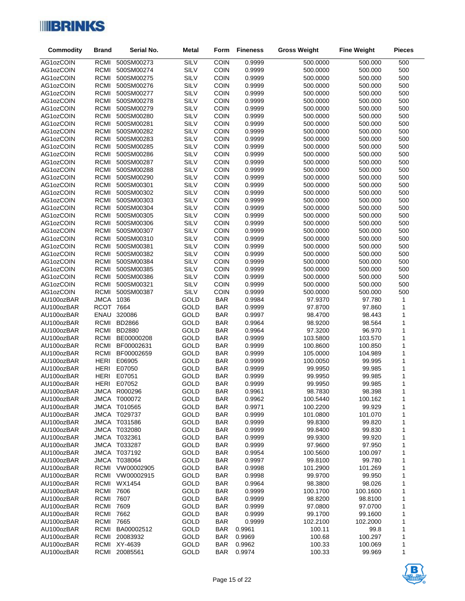

| <b>Commodity</b>         | <b>Brand</b>               | Serial No.               | <b>Metal</b>        | Form                     | <b>Fineness</b>  | <b>Gross Weight</b>  | <b>Fine Weight</b> | <b>Pieces</b>     |
|--------------------------|----------------------------|--------------------------|---------------------|--------------------------|------------------|----------------------|--------------------|-------------------|
| AG1ozCOIN                | <b>RCMI</b>                | 500SM00273               | <b>SILV</b>         | COIN                     | 0.9999           | 500.0000             | 500.000            | 500               |
| AG1ozCOIN                | <b>RCMI</b>                | 500SM00274               | SILV                | COIN                     | 0.9999           | 500.0000             | 500.000            | 500               |
| AG1ozCOIN                | <b>RCMI</b>                | 500SM00275               | SILV                | COIN                     | 0.9999           | 500.0000             | 500.000            | 500               |
| AG1ozCOIN                | RCMI                       | 500SM00276               | SILV                | COIN                     | 0.9999           | 500.0000             | 500.000            | 500               |
| AG1ozCOIN                | <b>RCMI</b>                | 500SM00277               | <b>SILV</b>         | COIN                     | 0.9999           | 500.0000             | 500.000            | 500               |
| AG1ozCOIN                | <b>RCMI</b>                | 500SM00278               | SILV                | COIN                     | 0.9999           | 500.0000             | 500.000            | 500               |
| AG1ozCOIN                | <b>RCMI</b>                | 500SM00279               | SILV                | COIN                     | 0.9999           | 500.0000             | 500.000            | 500               |
| AG1ozCOIN                | <b>RCMI</b>                | 500SM00280               | <b>SILV</b>         | COIN                     | 0.9999           | 500.0000             | 500.000            | 500               |
| AG1ozCOIN                | <b>RCMI</b>                | 500SM00281               | <b>SILV</b>         | COIN                     | 0.9999           | 500.0000             | 500.000            | 500               |
| AG1ozCOIN                | <b>RCMI</b>                | 500SM00282               | SILV                | COIN                     | 0.9999           | 500.0000             | 500.000            | 500               |
| AG1ozCOIN                | <b>RCMI</b>                | 500SM00283               | SILV                | COIN                     | 0.9999           | 500.0000             | 500.000            | 500               |
| AG1ozCOIN                | <b>RCMI</b>                | 500SM00285               | <b>SILV</b>         | COIN                     | 0.9999           | 500.0000             | 500.000            | 500               |
| AG1ozCOIN                | <b>RCMI</b>                | 500SM00286               | SILV                | <b>COIN</b>              | 0.9999           | 500.0000             | 500.000            | 500               |
| AG1ozCOIN                | <b>RCMI</b>                | 500SM00287               | SILV                | COIN                     | 0.9999           | 500.0000             | 500.000            | 500               |
| AG1ozCOIN                | <b>RCMI</b>                | 500SM00288               | <b>SILV</b><br>SILV | COIN                     | 0.9999           | 500.0000             | 500.000            | 500               |
| AG1ozCOIN                | <b>RCMI</b><br><b>RCMI</b> | 500SM00290<br>500SM00301 | SILV                | COIN<br>COIN             | 0.9999           | 500.0000             | 500.000<br>500.000 | 500<br>500        |
| AG1ozCOIN<br>AG1ozCOIN   | <b>RCMI</b>                | 500SM00302               | <b>SILV</b>         | COIN                     | 0.9999<br>0.9999 | 500.0000<br>500.0000 | 500.000            | 500               |
| AG1ozCOIN                | RCMI                       | 500SM00303               | <b>SILV</b>         | COIN                     | 0.9999           | 500.0000             | 500.000            | 500               |
| AG1ozCOIN                | <b>RCMI</b>                | 500SM00304               | SILV                | COIN                     | 0.9999           | 500.0000             | 500.000            | 500               |
| AG1ozCOIN                | <b>RCMI</b>                | 500SM00305               | <b>SILV</b>         | COIN                     | 0.9999           | 500.0000             | 500.000            | 500               |
| AG1ozCOIN                | RCMI                       | 500SM00306               | <b>SILV</b>         | COIN                     | 0.9999           | 500.0000             | 500.000            | 500               |
| AG1ozCOIN                | RCMI                       | 500SM00307               | SILV                | <b>COIN</b>              | 0.9999           | 500.0000             | 500.000            | 500               |
| AG1ozCOIN                | <b>RCMI</b>                | 500SM00310               | <b>SILV</b>         | COIN                     | 0.9999           | 500.0000             | 500.000            | 500               |
| AG1ozCOIN                | <b>RCMI</b>                | 500SM00381               | <b>SILV</b>         | COIN                     | 0.9999           | 500.0000             | 500.000            | 500               |
| AG1ozCOIN                | RCMI                       | 500SM00382               | SILV                | COIN                     | 0.9999           | 500.0000             | 500.000            | 500               |
| AG1ozCOIN                | <b>RCMI</b>                | 500SM00384               | <b>SILV</b>         | COIN                     | 0.9999           | 500.0000             | 500.000            | 500               |
| AG1ozCOIN                | <b>RCMI</b>                | 500SM00385               | <b>SILV</b>         | COIN                     | 0.9999           | 500.0000             | 500.000            | 500               |
| AG1ozCOIN                | <b>RCMI</b>                | 500SM00386               | SILV                | COIN                     | 0.9999           | 500.0000             | 500.000            | 500               |
| AG1ozCOIN                | RCMI                       | 500SM00321               | <b>SILV</b>         | COIN                     | 0.9999           | 500.0000             | 500.000            | 500               |
| AG1ozCOIN                | RCMI                       | 500SM00387               | SILV                | <b>COIN</b>              | 0.9999           | 500.0000             | 500.000            | 500               |
| AU100ozBAR               | JMCA 1036                  |                          | GOLD                | <b>BAR</b>               | 0.9984           | 97.9370              | 97.780             | $\mathbf{1}$      |
| AU100ozBAR               | <b>RCOT 7664</b>           |                          | GOLD                | <b>BAR</b>               | 0.9999           | 97.8700              | 97.860             | 1                 |
| AU100ozBAR               | ENAU                       | 320086                   | GOLD                | <b>BAR</b>               | 0.9997           | 98.4700              | 98.443             | 1                 |
| AU100ozBAR               |                            | RCMI BD2866              | GOLD                | <b>BAR</b>               | 0.9964           | 98.9200              | 98.564             | $\mathbf 1$       |
| AU100ozBAR               | RCMI                       | <b>BD2880</b>            | GOLD                | <b>BAR</b>               | 0.9964           | 97.3200              | 96.970             | 1                 |
| AU100ozBAR               | RCMI                       | BE00000208               | GOLD                | <b>BAR</b>               | 0.9999           | 103.5800             | 103.570            | $\mathbf{1}$      |
| AU100ozBAR               | RCMI                       | BF00002631               | GOLD                | <b>BAR</b>               | 0.9999           | 100.8600             | 100.850            | $\mathbf 1$       |
| AU100ozBAR<br>AU100ozBAR | RCMI<br>HERI               | BF00002659<br>E06905     | GOLD<br>GOLD        | <b>BAR</b><br><b>BAR</b> | 0.9999<br>0.9999 | 105.0000<br>100.0050 | 104.989<br>99.995  | 1<br>$\mathbf{1}$ |
| AU100ozBAR               | HERI                       | E07050                   | GOLD                | <b>BAR</b>               | 0.9999           | 99.9950              | 99.985             | $\mathbf 1$       |
| AU100ozBAR               | HERI                       | E07051                   | GOLD                | <b>BAR</b>               | 0.9999           | 99.9950              | 99.985             | 1                 |
| AU100ozBAR               | <b>HERI</b>                | E07052                   | GOLD                | <b>BAR</b>               | 0.9999           | 99.9950              | 99.985             | $\mathbf{1}$      |
| AU100ozBAR               |                            | <b>JMCA R000296</b>      | GOLD                | <b>BAR</b>               | 0.9961           | 98.7830              | 98.398             | 1                 |
| AU100ozBAR               |                            | JMCA T000072             | GOLD                | <b>BAR</b>               | 0.9962           | 100.5440             | 100.162            | 1                 |
| AU100ozBAR               |                            | JMCA T010565             | GOLD                | <b>BAR</b>               | 0.9971           | 100.2200             | 99.929             | 1                 |
| AU100ozBAR               |                            | <b>JMCA T029737</b>      | GOLD                | <b>BAR</b>               | 0.9999           | 101.0800             | 101.070            | 1                 |
| AU100ozBAR               |                            | JMCA T031586             | GOLD                | <b>BAR</b>               | 0.9999           | 99.8300              | 99.820             | 1                 |
| AU100ozBAR               |                            | JMCA T032080             | GOLD                | <b>BAR</b>               | 0.9999           | 99.8400              | 99.830             | 1                 |
| AU100ozBAR               |                            | JMCA T032361             | GOLD                | <b>BAR</b>               | 0.9999           | 99.9300              | 99.920             | 1                 |
| AU100ozBAR               |                            | JMCA T033287             | GOLD                | <b>BAR</b>               | 0.9999           | 97.9600              | 97.950             | 1                 |
| AU100ozBAR               |                            | JMCA T037192             | GOLD                | <b>BAR</b>               | 0.9954           | 100.5600             | 100.097            | 1                 |
| AU100ozBAR               |                            | JMCA T038064             | GOLD                | <b>BAR</b>               | 0.9997           | 99.8100              | 99.780             | 1                 |
| AU100ozBAR               |                            | RCMI VW00002905          | GOLD                | <b>BAR</b>               | 0.9998           | 101.2900             | 101.269            | 1                 |
| AU100ozBAR               |                            | RCMI VW00002915          | GOLD                | <b>BAR</b>               | 0.9998           | 99.9700              | 99.950             | 1                 |
| AU100ozBAR               |                            | RCMI WX1454              | GOLD                | <b>BAR</b>               | 0.9964           | 98.3800              | 98.026             | 1                 |
| AU100ozBAR               | <b>RCMI 7606</b>           |                          | GOLD                | <b>BAR</b>               | 0.9999           | 100.1700             | 100.1600           | 1                 |
| AU100ozBAR               | <b>RCMI 7607</b>           |                          | GOLD                | <b>BAR</b>               | 0.9999           | 98.8200              | 98.8100            | 1                 |
| AU100ozBAR               | RCMI                       | 7609                     | GOLD                | <b>BAR</b>               | 0.9999           | 97.0800              | 97.0700            | 1                 |
| AU100ozBAR               | RCMI                       | 7662                     | GOLD                | <b>BAR</b>               | 0.9999           | 99.1700              | 99.1600            | 1                 |
| AU100ozBAR               | RCMI                       | 7665                     | GOLD                | <b>BAR</b>               | 0.9999           | 102.2100             | 102.2000           | 1                 |
| AU100ozBAR               | RCMI                       | BA00002512               | GOLD                | <b>BAR</b>               | 0.9961           | 100.11               | 99.8               | 1                 |
| AU100ozBAR               | RCMI                       | 20083932                 | GOLD                | <b>BAR</b>               | 0.9969           | 100.68               | 100.297            | 1                 |
| AU100ozBAR               |                            | RCMI XY-4639             | GOLD                | <b>BAR</b>               | 0.9962           | 100.33               | 100.069            | 1<br>1            |
| AU100ozBAR               | RCMI                       | 20085561                 | GOLD                | <b>BAR</b>               | 0.9974           | 100.33               | 99.969             |                   |

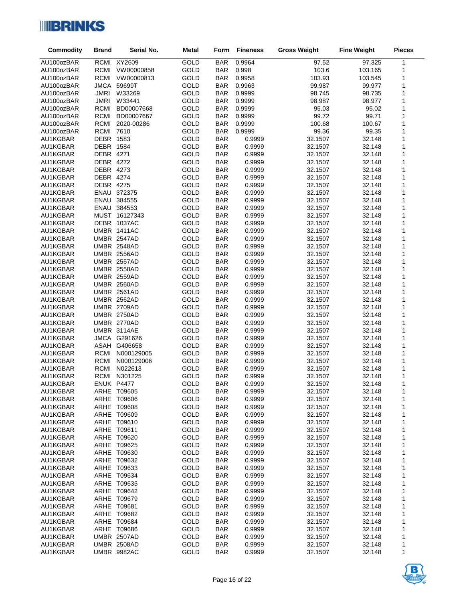

| <b>Commodity</b>     | <b>Brand</b>     | Serial No.                        | <b>Metal</b> | Form                     | <b>Fineness</b>  | <b>Gross Weight</b> | <b>Fine Weight</b> | <b>Pieces</b> |
|----------------------|------------------|-----------------------------------|--------------|--------------------------|------------------|---------------------|--------------------|---------------|
| AU100ozBAR           |                  | RCMI XY2609                       | GOLD         | <b>BAR</b>               | 0.9964           | 97.52               | 97.325             | 1             |
| AU100ozBAR           |                  | RCMI VW00000858                   | GOLD         | BAR                      | 0.998            | 103.6               | 103.165            | 1             |
| AU100ozBAR           |                  | RCMI VW00000813                   | GOLD         | <b>BAR</b>               | 0.9958           | 103.93              | 103.545            | 1             |
| AU100ozBAR           |                  | JMCA 59699T                       | GOLD         | <b>BAR</b>               | 0.9963           | 99.987              | 99.977             | 1             |
| AU100ozBAR           | JMRI             | W33269                            | GOLD         | <b>BAR</b>               | 0.9999           | 98.745              | 98.735             | 1             |
| AU100ozBAR           | <b>JMRI</b>      | W33441                            | GOLD         | <b>BAR</b>               | 0.9999           | 98.987              | 98.977             | 1             |
| AU100ozBAR           |                  | RCMI BD00007668                   | GOLD         | BAR                      | 0.9999           | 95.03               | 95.02              | 1             |
| AU100ozBAR           | RCMI             | BD00007667                        | GOLD         | <b>BAR</b>               | 0.9999           | 99.72               | 99.71              | 1             |
| AU100ozBAR           |                  | RCMI 2020-00286                   | GOLD         | <b>BAR</b>               | 0.9999           | 100.68              | 100.67             | 1             |
| AU100ozBAR           | <b>RCMI 7610</b> |                                   | GOLD         | <b>BAR</b>               | 0.9999           | 99.36               | 99.35              | 1             |
| AU1KGBAR             | DEBR 1583        |                                   | GOLD         | <b>BAR</b>               | 0.9999           | 32.1507             | 32.148             | 1             |
| AU1KGBAR             | DEBR 1584        |                                   | GOLD         | <b>BAR</b>               | 0.9999           | 32.1507             | 32.148             | 1             |
| AU1KGBAR             | DEBR 4271        |                                   | GOLD         | <b>BAR</b>               | 0.9999           | 32.1507             | 32.148             | 1             |
| AU1KGBAR             | DEBR 4272        |                                   | GOLD         | <b>BAR</b>               | 0.9999           | 32.1507             | 32.148             | 1             |
| AU1KGBAR             | DEBR 4273        |                                   | GOLD         | <b>BAR</b>               | 0.9999           | 32.1507             | 32.148             | 1             |
| AU1KGBAR             | DEBR 4274        |                                   | GOLD         | <b>BAR</b>               | 0.9999           | 32.1507             | 32.148             | 1             |
| AU1KGBAR             | DEBR 4275        |                                   | GOLD         | <b>BAR</b>               | 0.9999           | 32.1507             | 32.148             | 1             |
| AU1KGBAR             |                  | ENAU 372375                       | GOLD         | <b>BAR</b>               | 0.9999           | 32.1507             | 32.148             | 1             |
| AU1KGBAR             |                  | ENAU 384555                       | GOLD         | <b>BAR</b>               | 0.9999           | 32.1507             | 32.148             | 1             |
| AU1KGBAR<br>AU1KGBAR |                  | ENAU 384553<br>MUST 16127343      | GOLD<br>GOLD | <b>BAR</b><br><b>BAR</b> | 0.9999<br>0.9999 | 32.1507<br>32.1507  | 32.148<br>32.148   | 1<br>1        |
| AU1KGBAR             |                  | DEBR 1037AC                       | GOLD         | <b>BAR</b>               | 0.9999           | 32.1507             | 32.148             | 1             |
| AU1KGBAR             |                  | <b>UMBR 1411AC</b>                | GOLD         | <b>BAR</b>               | 0.9999           | 32.1507             | 32.148             | 1             |
| AU1KGBAR             |                  | UMBR 2547AD                       | GOLD         | <b>BAR</b>               | 0.9999           | 32.1507             | 32.148             | 1             |
| AU1KGBAR             |                  | UMBR 2548AD                       | GOLD         | <b>BAR</b>               | 0.9999           | 32.1507             | 32.148             | 1             |
| AU1KGBAR             |                  | UMBR 2556AD                       | GOLD         | <b>BAR</b>               | 0.9999           | 32.1507             | 32.148             | 1             |
| AU1KGBAR             |                  | UMBR 2557AD                       | GOLD         | <b>BAR</b>               | 0.9999           | 32.1507             | 32.148             | 1             |
| AU1KGBAR             |                  | UMBR 2558AD                       | GOLD         | <b>BAR</b>               | 0.9999           | 32.1507             | 32.148             | 1             |
| AU1KGBAR             |                  | <b>UMBR 2559AD</b>                | GOLD         | <b>BAR</b>               | 0.9999           | 32.1507             | 32.148             | 1             |
| AU1KGBAR             |                  | <b>UMBR 2560AD</b>                | GOLD         | <b>BAR</b>               | 0.9999           | 32.1507             | 32.148             | 1             |
| AU1KGBAR             |                  | <b>UMBR 2561AD</b>                | GOLD         | <b>BAR</b>               | 0.9999           | 32.1507             | 32.148             | 1             |
| AU1KGBAR             |                  | UMBR 2562AD                       | GOLD         | <b>BAR</b>               | 0.9999           | 32.1507             | 32.148             | 1             |
| AU1KGBAR             |                  | UMBR 2709AD                       | GOLD         | <b>BAR</b>               | 0.9999           | 32.1507             | 32.148             | 1             |
| AU1KGBAR             |                  | UMBR 2750AD                       | GOLD         | <b>BAR</b>               | 0.9999           | 32.1507             | 32.148             | 1             |
| AU1KGBAR             |                  | UMBR 2770AD                       | GOLD         | <b>BAR</b>               | 0.9999           | 32.1507             | 32.148             | 1             |
| AU1KGBAR             |                  | UMBR 3114AE                       | GOLD         | <b>BAR</b>               | 0.9999           | 32.1507             | 32.148             | 1             |
| AU1KGBAR             |                  | JMCA G291626                      | GOLD         | <b>BAR</b>               | 0.9999           | 32.1507             | 32.148             | 1             |
| AU1KGBAR             |                  | ASAH G406658                      | GOLD         | <b>BAR</b>               | 0.9999           | 32.1507             | 32.148             | 1             |
| AU1KGBAR             |                  | RCMI N000129005                   | GOLD         | <b>BAR</b>               | 0.9999           | 32.1507             | 32.148             | 1             |
| AU1KGBAR             | RCMI             | N000129006                        | GOLD         | <b>BAR</b>               | 0.9999           | 32.1507             | 32.148             | 1             |
| AU1KGBAR             |                  | RCMI N022613                      | GOLD         | <b>BAR</b>               | 0.9999           | 32.1507             | 32.148             | 1             |
| AU1KGBAR             |                  | RCMI N301225                      | GOLD         | <b>BAR</b>               | 0.9999           | 32.1507             | 32.148             | 1             |
| AU1KGBAR             | ENUK P4477       |                                   | GOLD         | <b>BAR</b>               | 0.9999           | 32.1507             | 32.148             | 1             |
| AU1KGBAR<br>AU1KGBAR |                  | <b>ARHE T09605</b><br>ARHE T09606 | GOLD<br>GOLD | <b>BAR</b><br><b>BAR</b> | 0.9999<br>0.9999 | 32.1507<br>32.1507  | 32.148<br>32.148   | 1<br>1        |
| AU1KGBAR             |                  | ARHE T09608                       | GOLD         | <b>BAR</b>               | 0.9999           | 32.1507             | 32.148             | 1             |
| AU1KGBAR             |                  | ARHE T09609                       | GOLD         | <b>BAR</b>               | 0.9999           | 32.1507             | 32.148             | 1             |
| AU1KGBAR             |                  | ARHE T09610                       | GOLD         | <b>BAR</b>               | 0.9999           | 32.1507             | 32.148             | 1             |
| AU1KGBAR             |                  | ARHE T09611                       | GOLD         | <b>BAR</b>               | 0.9999           | 32.1507             | 32.148             | 1             |
| AU1KGBAR             |                  | ARHE T09620                       | GOLD         | <b>BAR</b>               | 0.9999           | 32.1507             | 32.148             | 1             |
| AU1KGBAR             |                  | ARHE T09625                       | GOLD         | <b>BAR</b>               | 0.9999           | 32.1507             | 32.148             | 1             |
| AU1KGBAR             |                  | ARHE T09630                       | GOLD         | <b>BAR</b>               | 0.9999           | 32.1507             | 32.148             | 1             |
| AU1KGBAR             |                  | ARHE T09632                       | GOLD         | <b>BAR</b>               | 0.9999           | 32.1507             | 32.148             | 1             |
| AU1KGBAR             |                  | ARHE T09633                       | GOLD         | <b>BAR</b>               | 0.9999           | 32.1507             | 32.148             | 1             |
| AU1KGBAR             |                  | ARHE T09634                       | GOLD         | <b>BAR</b>               | 0.9999           | 32.1507             | 32.148             | 1             |
| AU1KGBAR             |                  | ARHE T09635                       | GOLD         | <b>BAR</b>               | 0.9999           | 32.1507             | 32.148             | 1             |
| AU1KGBAR             |                  | ARHE T09642                       | GOLD         | <b>BAR</b>               | 0.9999           | 32.1507             | 32.148             | 1             |
| AU1KGBAR             |                  | ARHE T09679                       | GOLD         | <b>BAR</b>               | 0.9999           | 32.1507             | 32.148             | 1             |
| AU1KGBAR             |                  | ARHE T09681                       | GOLD         | <b>BAR</b>               | 0.9999           | 32.1507             | 32.148             | 1             |
| AU1KGBAR             |                  | ARHE T09682                       | GOLD         | <b>BAR</b>               | 0.9999           | 32.1507             | 32.148             | 1             |
| AU1KGBAR             |                  | ARHE T09684                       | GOLD         | <b>BAR</b>               | 0.9999           | 32.1507             | 32.148             | 1             |
| AU1KGBAR             |                  | ARHE T09686                       | GOLD         | <b>BAR</b>               | 0.9999           | 32.1507             | 32.148             | 1             |
| AU1KGBAR             |                  | UMBR 2507AD                       | GOLD         | <b>BAR</b>               | 0.9999           | 32.1507             | 32.148             | 1             |
| AU1KGBAR             |                  | UMBR 2508AD                       | GOLD         | <b>BAR</b>               | 0.9999           | 32.1507             | 32.148             | 1             |
| AU1KGBAR             |                  | UMBR 9982AC                       | GOLD         | <b>BAR</b>               | 0.9999           | 32.1507             | 32.148             | 1             |

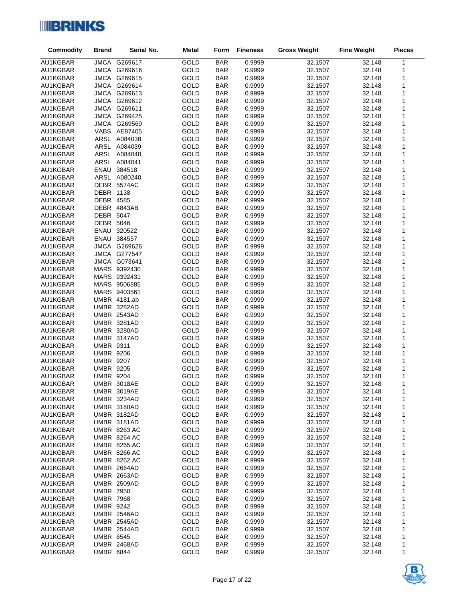

| <b>Commodity</b>     | <b>Brand</b>                         | Serial No.                 | <b>Metal</b> | Form                     | <b>Fineness</b>  | <b>Gross Weight</b> | <b>Fine Weight</b> | <b>Pieces</b>                |
|----------------------|--------------------------------------|----------------------------|--------------|--------------------------|------------------|---------------------|--------------------|------------------------------|
| AU1KGBAR             |                                      | <b>JMCA G269617</b>        | GOLD         | <b>BAR</b>               | 0.9999           | 32.1507             | 32.148             | 1                            |
| AU1KGBAR             |                                      | JMCA G269616               | GOLD         | <b>BAR</b>               | 0.9999           | 32.1507             | 32.148             | 1                            |
| AU1KGBAR             |                                      | JMCA G269615               | GOLD         | <b>BAR</b>               | 0.9999           | 32.1507             | 32.148             | 1                            |
| AU1KGBAR             |                                      | JMCA G269614               | GOLD         | <b>BAR</b>               | 0.9999           | 32.1507             | 32.148             | 1                            |
| AU1KGBAR             |                                      | JMCA G269613               | GOLD         | <b>BAR</b>               | 0.9999           | 32.1507             | 32.148             | $\mathbf{1}$                 |
| AU1KGBAR             |                                      | JMCA G269612               | GOLD         | <b>BAR</b>               | 0.9999           | 32.1507             | 32.148             | $\mathbf{1}$                 |
| AU1KGBAR             |                                      | JMCA G269611               | GOLD         | <b>BAR</b>               | 0.9999           | 32.1507             | 32.148             | 1                            |
| AU1KGBAR             |                                      | JMCA G269425               | GOLD         | <b>BAR</b>               | 0.9999           | 32.1507             | 32.148             | $\mathbf{1}$                 |
| AU1KGBAR             |                                      | JMCA G269569               | GOLD         | <b>BAR</b>               | 0.9999           | 32.1507             | 32.148             | $\mathbf{1}$                 |
| AU1KGBAR             |                                      | VABS AE87405               | GOLD         | <b>BAR</b>               | 0.9999           | 32.1507             | 32.148             | $\mathbf{1}$                 |
| AU1KGBAR             |                                      | ARSL A084038               | GOLD         | <b>BAR</b>               | 0.9999           | 32.1507             | 32.148             | $\mathbf{1}$                 |
| AU1KGBAR             |                                      | ARSL A084039               | GOLD         | <b>BAR</b>               | 0.9999           | 32.1507             | 32.148             | $\mathbf{1}$                 |
| AU1KGBAR             |                                      | ARSL A084040               | GOLD         | <b>BAR</b>               | 0.9999           | 32.1507             | 32.148             | 1                            |
| AU1KGBAR             |                                      | ARSL A084041               | GOLD         | <b>BAR</b>               | 0.9999           | 32.1507             | 32.148             | $\mathbf{1}$                 |
| AU1KGBAR             |                                      | ENAU 384518                | GOLD         | <b>BAR</b>               | 0.9999           | 32.1507             | 32.148             | $\mathbf{1}$                 |
| AU1KGBAR             |                                      | ARSL A080240               | GOLD         | <b>BAR</b>               | 0.9999           | 32.1507             | 32.148             | $\mathbf{1}$                 |
| AU1KGBAR             |                                      | DEBR 5574AC                | GOLD         | <b>BAR</b>               | 0.9999           | 32.1507             | 32.148             | 1                            |
| AU1KGBAR             | DEBR 1138                            |                            | GOLD         | <b>BAR</b>               | 0.9999           | 32.1507             | 32.148             | $\mathbf{1}$                 |
| AU1KGBAR             | DEBR 4585                            | DEBR 4843AB                | GOLD<br>GOLD | <b>BAR</b>               | 0.9999           | 32.1507             | 32.148             | $\mathbf{1}$<br>$\mathbf{1}$ |
| AU1KGBAR<br>AU1KGBAR | DEBR 5047                            |                            | GOLD         | <b>BAR</b><br><b>BAR</b> | 0.9999<br>0.9999 | 32.1507             | 32.148<br>32.148   | $\mathbf{1}$                 |
| AU1KGBAR             | DEBR 5046                            |                            | GOLD         | <b>BAR</b>               | 0.9999           | 32.1507<br>32.1507  | 32.148             | $\mathbf{1}$                 |
| AU1KGBAR             |                                      | ENAU 320522                | <b>GOLD</b>  | <b>BAR</b>               | 0.9999           | 32.1507             | 32.148             | $\mathbf{1}$                 |
| AU1KGBAR             |                                      | ENAU 384557                | GOLD         | <b>BAR</b>               | 0.9999           | 32.1507             | 32.148             | $\mathbf{1}$                 |
| AU1KGBAR             |                                      | JMCA G269626               | GOLD         | <b>BAR</b>               | 0.9999           | 32.1507             | 32.148             | $\mathbf{1}$                 |
| AU1KGBAR             |                                      | JMCA G277547               | GOLD         | <b>BAR</b>               | 0.9999           | 32.1507             | 32.148             | 1                            |
| AU1KGBAR             |                                      | <b>JMCA G073641</b>        | GOLD         | <b>BAR</b>               | 0.9999           | 32.1507             | 32.148             | $\mathbf{1}$                 |
| AU1KGBAR             |                                      | MARS 9392430               | GOLD         | <b>BAR</b>               | 0.9999           | 32.1507             | 32.148             | 1                            |
| AU1KGBAR             |                                      | MARS 9392431               | GOLD         | <b>BAR</b>               | 0.9999           | 32.1507             | 32.148             | 1                            |
| AU1KGBAR             |                                      | MARS 9506885               | GOLD         | <b>BAR</b>               | 0.9999           | 32.1507             | 32.148             | $\mathbf{1}$                 |
| AU1KGBAR             |                                      | MARS 9403561               | GOLD         | <b>BAR</b>               | 0.9999           | 32.1507             | 32.148             | 1                            |
| AU1KGBAR             |                                      | UMBR 4181.ab               | GOLD         | <b>BAR</b>               | 0.9999           | 32.1507             | 32.148             | 1                            |
| AU1KGBAR             |                                      | UMBR 3282AD                | GOLD         | <b>BAR</b>               | 0.9999           | 32.1507             | 32.148             | $\mathbf{1}$                 |
| AU1KGBAR             |                                      | UMBR 2543AD                | GOLD         | <b>BAR</b>               | 0.9999           | 32.1507             | 32.148             | $\mathbf{1}$                 |
| AU1KGBAR             |                                      | UMBR 3281AD                | GOLD         | <b>BAR</b>               | 0.9999           | 32.1507             | 32.148             | $\mathbf{1}$                 |
| AU1KGBAR             |                                      | UMBR 3280AD                | GOLD         | <b>BAR</b>               | 0.9999           | 32.1507             | 32.148             | $\mathbf{1}$                 |
| AU1KGBAR             |                                      | UMBR 3147AD                | GOLD         | <b>BAR</b>               | 0.9999           | 32.1507             | 32.148             | $\mathbf{1}$                 |
| AU1KGBAR             | <b>UMBR 9311</b>                     |                            | GOLD         | <b>BAR</b>               | 0.9999           | 32.1507             | 32.148             | $\mathbf{1}$                 |
| AU1KGBAR             | <b>UMBR 9206</b>                     |                            | GOLD         | <b>BAR</b>               | 0.9999           | 32.1507             | 32.148             | 1<br>$\mathbf{1}$            |
| AU1KGBAR<br>AU1KGBAR | <b>UMBR 9207</b><br><b>UMBR 9205</b> |                            | GOLD<br>GOLD | <b>BAR</b><br><b>BAR</b> | 0.9999<br>0.9999 | 32.1507<br>32.1507  | 32.148<br>32.148   | 1                            |
| AU1KGBAR             | <b>UMBR 9204</b>                     |                            | GOLD         | <b>BAR</b>               | 0.9999           | 32.1507             | 32.148             | 1                            |
| AU1KGBAR             |                                      | <b>UMBR 3018AE</b>         | GOLD         | <b>BAR</b>               | 0.9999           | 32.1507             | 32.148             | $\mathbf{1}$                 |
| AU1KGBAR             |                                      | UMBR 3019AE                | GOLD         | <b>BAR</b>               | 0.9999           | 32.1507             | 32.148             | 1                            |
| AU1KGBAR             |                                      | UMBR 3234AD                | GOLD         | <b>BAR</b>               | 0.9999           | 32.1507             | 32.148             | 1                            |
| AU1KGBAR             |                                      | UMBR 3180AD                | GOLD         | <b>BAR</b>               | 0.9999           | 32.1507             | 32.148             | 1                            |
| AU1KGBAR             |                                      | UMBR 3182AD                | GOLD         | <b>BAR</b>               | 0.9999           | 32.1507             | 32.148             | 1                            |
| AU1KGBAR             |                                      | UMBR 3181AD                | GOLD         | <b>BAR</b>               | 0.9999           | 32.1507             | 32.148             | 1                            |
| AU1KGBAR             |                                      | <b>UMBR 8263 AC</b>        | GOLD         | <b>BAR</b>               | 0.9999           | 32.1507             | 32.148             | 1                            |
| AU1KGBAR             |                                      | <b>UMBR 8264 AC</b>        | GOLD         | <b>BAR</b>               | 0.9999           | 32.1507             | 32.148             | 1                            |
| AU1KGBAR             |                                      | <b>UMBR 8265 AC</b>        | GOLD         | <b>BAR</b>               | 0.9999           | 32.1507             | 32.148             | 1                            |
| AU1KGBAR             |                                      | <b>UMBR 8266 AC</b>        | GOLD         | <b>BAR</b>               | 0.9999           | 32.1507             | 32.148             | 1                            |
| AU1KGBAR             |                                      | <b>UMBR 8262 AC</b>        | GOLD         | <b>BAR</b>               | 0.9999           | 32.1507             | 32.148             | 1                            |
| AU1KGBAR             |                                      | UMBR 2664AD                | GOLD         | <b>BAR</b>               | 0.9999           | 32.1507             | 32.148             | 1                            |
| AU1KGBAR             |                                      | <b>UMBR 2663AD</b>         | GOLD         | <b>BAR</b>               | 0.9999           | 32.1507             | 32.148             | 1                            |
| AU1KGBAR             |                                      | UMBR 2509AD                | GOLD         | <b>BAR</b>               | 0.9999           | 32.1507             | 32.148             | 1                            |
| AU1KGBAR             | <b>UMBR 7950</b>                     |                            | GOLD         | <b>BAR</b>               | 0.9999           | 32.1507             | 32.148             | 1                            |
| AU1KGBAR             | <b>UMBR 7968</b>                     |                            | GOLD         | <b>BAR</b>               | 0.9999           | 32.1507             | 32.148             | 1                            |
| AU1KGBAR             | <b>UMBR 9242</b>                     |                            | GOLD         | <b>BAR</b>               | 0.9999           | 32.1507             | 32.148             | 1                            |
| AU1KGBAR<br>AU1KGBAR |                                      | UMBR 2546AD<br>UMBR 2545AD | GOLD<br>GOLD | <b>BAR</b><br><b>BAR</b> | 0.9999<br>0.9999 | 32.1507<br>32.1507  | 32.148<br>32.148   | 1<br>1                       |
| AU1KGBAR             |                                      | UMBR 2544AD                | GOLD         | <b>BAR</b>               | 0.9999           | 32.1507             | 32.148             | 1                            |
| AU1KGBAR             | <b>UMBR 6545</b>                     |                            | GOLD         | <b>BAR</b>               | 0.9999           | 32.1507             | 32.148             | 1                            |
| AU1KGBAR             |                                      | UMBR 2468AD                | GOLD         | <b>BAR</b>               | 0.9999           | 32.1507             | 32.148             | 1                            |
| AU1KGBAR             | <b>UMBR 6844</b>                     |                            | GOLD         | <b>BAR</b>               | 0.9999           | 32.1507             | 32.148             | 1                            |

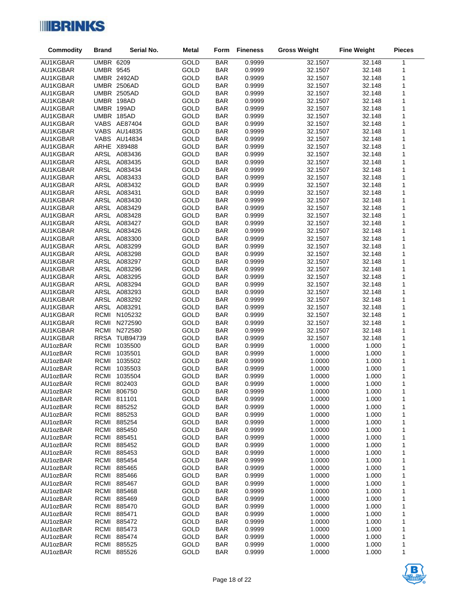

| Commodity            | <b>Brand</b>     | Serial No.                   | <b>Metal</b> | Form                     | <b>Fineness</b>  | <b>Gross Weight</b> | <b>Fine Weight</b> | <b>Pieces</b> |
|----------------------|------------------|------------------------------|--------------|--------------------------|------------------|---------------------|--------------------|---------------|
| AU1KGBAR             | <b>UMBR 6209</b> |                              | GOLD         | <b>BAR</b>               | 0.9999           | 32.1507             | 32.148             | 1             |
| AU1KGBAR             | <b>UMBR 9545</b> |                              | GOLD         | <b>BAR</b>               | 0.9999           | 32.1507             | 32.148             | 1             |
| AU1KGBAR             |                  | <b>UMBR 2492AD</b>           | GOLD         | <b>BAR</b>               | 0.9999           | 32.1507             | 32.148             | 1             |
| AU1KGBAR             |                  | <b>UMBR 2506AD</b>           | GOLD         | <b>BAR</b>               | 0.9999           | 32.1507             | 32.148             | 1             |
| AU1KGBAR             |                  | <b>UMBR 2505AD</b>           | GOLD         | <b>BAR</b>               | 0.9999           | 32.1507             | 32.148             | $\mathbf{1}$  |
| AU1KGBAR             |                  | UMBR 198AD                   | GOLD         | <b>BAR</b>               | 0.9999           | 32.1507             | 32.148             | $\mathbf{1}$  |
| AU1KGBAR             |                  | UMBR 199AD                   | GOLD         | <b>BAR</b>               | 0.9999           | 32.1507             | 32.148             | 1             |
| AU1KGBAR             |                  | UMBR 185AD                   | GOLD         | <b>BAR</b>               | 0.9999           | 32.1507             | 32.148             | 1             |
| AU1KGBAR             |                  | VABS AE87404                 | GOLD         | <b>BAR</b>               | 0.9999           | 32.1507             | 32.148             | $\mathbf{1}$  |
| AU1KGBAR             |                  | <b>VABS AU14835</b>          | GOLD         | <b>BAR</b>               | 0.9999           | 32.1507             | 32.148             | 1             |
| AU1KGBAR             |                  | <b>VABS AU14834</b>          | GOLD         | <b>BAR</b>               | 0.9999           | 32.1507             | 32.148             | 1             |
| AU1KGBAR             |                  | ARHE X89488                  | GOLD         | <b>BAR</b>               | 0.9999           | 32.1507             | 32.148<br>32.148   | 1             |
| AU1KGBAR<br>AU1KGBAR |                  | ARSL A083436<br>ARSL A083435 | GOLD<br>GOLD | <b>BAR</b><br><b>BAR</b> | 0.9999<br>0.9999 | 32.1507<br>32.1507  | 32.148             | 1<br>1        |
| AU1KGBAR             |                  | ARSL A083434                 | GOLD         | <b>BAR</b>               | 0.9999           | 32.1507             | 32.148             | 1             |
| AU1KGBAR             |                  | ARSL A083433                 | GOLD         | <b>BAR</b>               | 0.9999           | 32.1507             | 32.148             | $\mathbf{1}$  |
| AU1KGBAR             |                  | ARSL A083432                 | GOLD         | <b>BAR</b>               | 0.9999           | 32.1507             | 32.148             | 1             |
| AU1KGBAR             |                  | ARSL A083431                 | GOLD         | <b>BAR</b>               | 0.9999           | 32.1507             | 32.148             | 1             |
| AU1KGBAR             |                  | ARSL A083430                 | GOLD         | <b>BAR</b>               | 0.9999           | 32.1507             | 32.148             | $\mathbf{1}$  |
| AU1KGBAR             |                  | ARSL A083429                 | GOLD         | <b>BAR</b>               | 0.9999           | 32.1507             | 32.148             | 1             |
| AU1KGBAR             |                  | ARSL A083428                 | GOLD         | <b>BAR</b>               | 0.9999           | 32.1507             | 32.148             | 1             |
| AU1KGBAR             |                  | ARSL A083427                 | GOLD         | <b>BAR</b>               | 0.9999           | 32.1507             | 32.148             | $\mathbf{1}$  |
| AU1KGBAR             |                  | ARSL A083426                 | GOLD         | <b>BAR</b>               | 0.9999           | 32.1507             | 32.148             | 1             |
| AU1KGBAR             |                  | ARSL A083300                 | GOLD         | <b>BAR</b>               | 0.9999           | 32.1507             | 32.148             | 1             |
| AU1KGBAR             |                  | ARSL A083299                 | GOLD         | <b>BAR</b>               | 0.9999           | 32.1507             | 32.148             | 1             |
| AU1KGBAR             |                  | ARSL A083298                 | GOLD         | <b>BAR</b>               | 0.9999           | 32.1507             | 32.148             | 1             |
| AU1KGBAR             |                  | ARSL A083297                 | GOLD         | <b>BAR</b>               | 0.9999           | 32.1507             | 32.148             | 1             |
| AU1KGBAR             |                  | ARSL A083296                 | GOLD         | <b>BAR</b>               | 0.9999           | 32.1507             | 32.148             | 1             |
| AU1KGBAR             |                  | ARSL A083295                 | GOLD         | <b>BAR</b>               | 0.9999           | 32.1507             | 32.148             | 1<br>1        |
| AU1KGBAR<br>AU1KGBAR |                  | ARSL A083294<br>ARSL A083293 | GOLD<br>GOLD | <b>BAR</b><br><b>BAR</b> | 0.9999<br>0.9999 | 32.1507<br>32.1507  | 32.148<br>32.148   | 1             |
| AU1KGBAR             |                  | ARSL A083292                 | GOLD         | <b>BAR</b>               | 0.9999           | 32.1507             | 32.148             | 1             |
| AU1KGBAR             |                  | ARSL A083291                 | GOLD         | <b>BAR</b>               | 0.9999           | 32.1507             | 32.148             | 1             |
| AU1KGBAR             |                  | RCMI N105232                 | GOLD         | <b>BAR</b>               | 0.9999           | 32.1507             | 32.148             | $\mathbf{1}$  |
| AU1KGBAR             |                  | RCMI N272590                 | GOLD         | <b>BAR</b>               | 0.9999           | 32.1507             | 32.148             | 1             |
| AU1KGBAR             |                  | RCMI N272580                 | GOLD         | <b>BAR</b>               | 0.9999           | 32.1507             | 32.148             | 1             |
| AU1KGBAR             |                  | RRSA TUB94739                | GOLD         | <b>BAR</b>               | 0.9999           | 32.1507             | 32.148             | $\mathbf{1}$  |
| AU1ozBAR             | RCMI             | 1035500                      | GOLD         | <b>BAR</b>               | 0.9999           | 1.0000              | 1.000              | $\mathbf{1}$  |
| AU1ozBAR             |                  | RCMI 1035501                 | GOLD         | <b>BAR</b>               | 0.9999           | 1.0000              | 1.000              | 1             |
| AU1ozBAR             | RCMI             | 1035502                      | GOLD         | <b>BAR</b>               | 0.9999           | 1.0000              | 1.000              | $\mathbf{1}$  |
| AU1ozBAR             | <b>RCMI</b>      | 1035503                      | GOLD         | <b>BAR</b>               | 0.9999           | 1.0000              | 1.000              | 1             |
| AU1ozBAR             | RCMI             | 1035504                      | GOLD         | <b>BAR</b>               | 0.9999           | 1.0000              | 1.000              | 1             |
| AU1ozBAR             |                  | RCMI 802403                  | GOLD         | <b>BAR</b>               | 0.9999           | 1.0000              | 1.000              | $\mathbf{1}$  |
| AU1ozBAR             |                  | RCMI 806750                  | GOLD         | <b>BAR</b>               | 0.9999           | 1.0000              | 1.000              | 1             |
| AU1ozBAR<br>AU1ozBAR | RCMI<br>RCMI     | 811101<br>885252             | GOLD<br>GOLD | <b>BAR</b><br><b>BAR</b> | 0.9999<br>0.9999 | 1.0000<br>1.0000    | 1.000<br>1.000     | 1<br>1        |
| AU1ozBAR             | RCMI             | 885253                       | GOLD         | <b>BAR</b>               | 0.9999           | 1.0000              | 1.000              | 1             |
| AU1ozBAR             |                  | RCMI 885254                  | GOLD         | <b>BAR</b>               | 0.9999           | 1.0000              | 1.000              | 1             |
| AU1ozBAR             | RCMI             | 885450                       | GOLD         | <b>BAR</b>               | 0.9999           | 1.0000              | 1.000              | 1             |
| AU1ozBAR             | RCMI             | 885451                       | GOLD         | <b>BAR</b>               | 0.9999           | 1.0000              | 1.000              | 1             |
| AU1ozBAR             |                  | RCMI 885452                  | GOLD         | <b>BAR</b>               | 0.9999           | 1.0000              | 1.000              | 1             |
| AU1ozBAR             | RCMI             | 885453                       | GOLD         | <b>BAR</b>               | 0.9999           | 1.0000              | 1.000              | 1             |
| AU1ozBAR             | RCMI             | 885454                       | GOLD         | <b>BAR</b>               | 0.9999           | 1.0000              | 1.000              | 1             |
| AU1ozBAR             | RCMI             | 885465                       | GOLD         | <b>BAR</b>               | 0.9999           | 1.0000              | 1.000              | 1             |
| AU1ozBAR             | RCMI             | 885466                       | GOLD         | <b>BAR</b>               | 0.9999           | 1.0000              | 1.000              | 1             |
| AU1ozBAR             | RCMI             | 885467                       | GOLD         | <b>BAR</b>               | 0.9999           | 1.0000              | 1.000              | 1             |
| AU1ozBAR             | RCMI             | 885468                       | GOLD         | <b>BAR</b>               | 0.9999           | 1.0000              | 1.000              | 1             |
| AU1ozBAR             | RCMI             | 885469                       | GOLD         | <b>BAR</b>               | 0.9999           | 1.0000              | 1.000              | 1             |
| AU1ozBAR             | RCMI             | 885470                       | GOLD         | <b>BAR</b>               | 0.9999           | 1.0000              | 1.000              | 1             |
| AU1ozBAR             | RCMI<br>RCMI     | 885471<br>885472             | GOLD<br>GOLD | <b>BAR</b><br><b>BAR</b> | 0.9999<br>0.9999 | 1.0000<br>1.0000    | 1.000              | 1<br>1        |
| AU1ozBAR<br>AU1ozBAR | RCMI             | 885473                       | GOLD         | <b>BAR</b>               | 0.9999           | 1.0000              | 1.000<br>1.000     | 1             |
| AU1ozBAR             | RCMI             | 885474                       | GOLD         | <b>BAR</b>               | 0.9999           | 1.0000              | 1.000              | 1             |
| AU1ozBAR             | RCMI             | 885525                       | GOLD         | <b>BAR</b>               | 0.9999           | 1.0000              | 1.000              | 1             |
| AU1ozBAR             | RCMI             | 885526                       | GOLD         | <b>BAR</b>               | 0.9999           | 1.0000              | 1.000              | 1             |

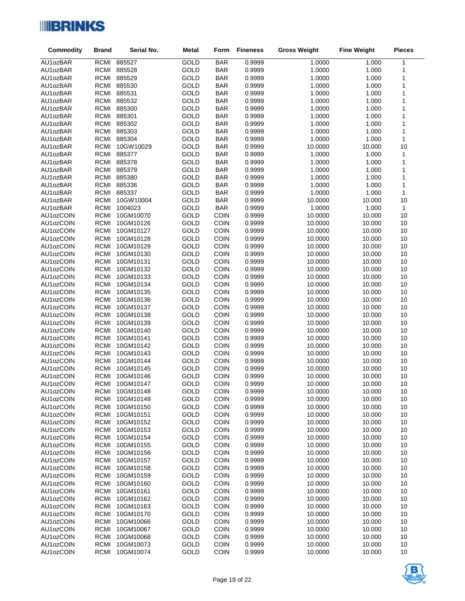

| Commodity              | <b>Brand</b>               | Serial No.             | <b>Metal</b> | Form                       | <b>Fineness</b>  | <b>Gross Weight</b> | <b>Fine Weight</b> | <b>Pieces</b>                |
|------------------------|----------------------------|------------------------|--------------|----------------------------|------------------|---------------------|--------------------|------------------------------|
| AU1ozBAR               | <b>RCMI</b>                | 885527                 | GOLD         | <b>BAR</b>                 | 0.9999           | 1.0000              | 1.000              | $\mathbf 1$                  |
| AU1ozBAR               | RCMI                       | 885528                 | GOLD         | <b>BAR</b>                 | 0.9999           | 1.0000              | 1.000              | 1                            |
| AU1ozBAR               | RCMI                       | 885529                 | GOLD         | <b>BAR</b>                 | 0.9999           | 1.0000              | 1.000              | $\mathbf 1$                  |
| AU1ozBAR               | RCMI                       | 885530                 | GOLD         | <b>BAR</b>                 | 0.9999           | 1.0000              | 1.000              | 1                            |
| AU1ozBAR               | RCMI                       | 885531                 | GOLD         | <b>BAR</b>                 | 0.9999           | 1.0000              | 1.000              | 1                            |
| AU1ozBAR               | RCMI                       | 885532                 | GOLD         | <b>BAR</b>                 | 0.9999           | 1.0000              | 1.000              | 1                            |
| AU1ozBAR               | RCMI                       | 885300                 | GOLD         | <b>BAR</b>                 | 0.9999           | 1.0000              | 1.000              | $\mathbf{1}$                 |
| AU1ozBAR               | RCMI                       | 885301                 | GOLD         | <b>BAR</b>                 | 0.9999           | 1.0000              | 1.000              | 1                            |
| AU1ozBAR               | RCMI                       | 885302                 | GOLD         | <b>BAR</b>                 | 0.9999           | 1.0000              | 1.000              | 1                            |
| AU1ozBAR               | RCMI                       | 885303                 | GOLD         | <b>BAR</b>                 | 0.9999           | 1.0000              | 1.000              | $\mathbf{1}$                 |
| AU1ozBAR               | RCMI                       | 885304                 | GOLD         | <b>BAR</b>                 | 0.9999           | 1.0000              | 1.000              | $\mathbf{1}$                 |
| AU1ozBAR               | <b>RCMI</b>                | 10GW10029              | GOLD         | <b>BAR</b>                 | 0.9999           | 10.0000             | 10.000             | 10                           |
| AU1ozBAR<br>AU1ozBAR   | RCMI                       | 885377<br>RCMI 885378  | GOLD<br>GOLD | <b>BAR</b><br><b>BAR</b>   | 0.9999<br>0.9999 | 1.0000<br>1.0000    | 1.000<br>1.000     | $\mathbf{1}$<br>$\mathbf{1}$ |
| AU1ozBAR               | RCMI                       | 885379                 | GOLD         | <b>BAR</b>                 | 0.9999           | 1.0000              | 1.000              | 1                            |
| AU1ozBAR               | RCMI                       | 885380                 | GOLD         | <b>BAR</b>                 | 0.9999           | 1.0000              | 1.000              | 1                            |
| AU1ozBAR               | RCMI                       | 885336                 | GOLD         | <b>BAR</b>                 | 0.9999           | 1.0000              | 1.000              | 1                            |
| AU1ozBAR               | RCMI                       | 885337                 | GOLD         | <b>BAR</b>                 | 0.9999           | 1.0000              | 1.000              | $\mathbf{1}$                 |
| AU1ozBAR               | <b>RCMI</b>                | 10GW10004              | GOLD         | <b>BAR</b>                 | 0.9999           | 10.0000             | 10.000             | 10                           |
| AU1ozBAR               | <b>RCMI</b>                | 1004023                | GOLD         | <b>BAR</b>                 | 0.9999           | 1.0000              | 1.000              | $\mathbf{1}$                 |
| AU1ozCOIN              | <b>RCMI</b>                | 10GM10070              | GOLD         | <b>COIN</b>                | 0.9999           | 10.0000             | 10.000             | 10                           |
| AU1ozCOIN              | <b>RCMI</b>                | 10GM10126              | GOLD         | <b>COIN</b>                | 0.9999           | 10.0000             | 10.000             | 10                           |
| AU1ozCOIN              | <b>RCMI</b>                | 10GM10127              | GOLD         | <b>COIN</b>                | 0.9999           | 10.0000             | 10.000             | 10                           |
| AU1ozCOIN              | <b>RCMI</b>                | 10GM10128              | GOLD         | <b>COIN</b>                | 0.9999           | 10.0000             | 10.000             | 10                           |
| AU1ozCOIN              | <b>RCMI</b>                | 10GM10129              | GOLD         | <b>COIN</b>                | 0.9999           | 10.0000             | 10.000             | 10                           |
| AU1ozCOIN              | <b>RCMI</b>                | 10GM10130              | GOLD         | COIN                       | 0.9999           | 10.0000             | 10.000             | 10                           |
| AU1ozCOIN              | <b>RCMI</b>                | 10GM10131              | GOLD         | <b>COIN</b>                | 0.9999           | 10.0000             | 10.000             | 10                           |
| AU1ozCOIN              | <b>RCMI</b>                | 10GM10132              | GOLD         | COIN                       | 0.9999           | 10.0000             | 10.000             | 10                           |
| AU1ozCOIN              | <b>RCMI</b>                | 10GM10133              | GOLD         | COIN                       | 0.9999           | 10.0000             | 10.000             | 10                           |
| AU1ozCOIN              | <b>RCMI</b>                | 10GM10134              | GOLD         | <b>COIN</b>                | 0.9999           | 10.0000             | 10.000             | 10                           |
| AU1ozCOIN              | RCMI                       | 10GM10135              | GOLD         | <b>COIN</b>                | 0.9999           | 10.0000             | 10.000             | 10                           |
| AU1ozCOIN              | <b>RCMI</b>                | 10GM10136              | GOLD         | COIN                       | 0.9999           | 10.0000             | 10.000             | 10                           |
| AU1ozCOIN              | <b>RCMI</b>                | 10GM10137              | GOLD         | <b>COIN</b>                | 0.9999           | 10.0000             | 10.000             | 10                           |
| AU1ozCOIN<br>AU1ozCOIN | <b>RCMI</b><br><b>RCMI</b> | 10GM10138<br>10GM10139 | GOLD<br>GOLD | <b>COIN</b><br><b>COIN</b> | 0.9999<br>0.9999 | 10.0000<br>10.0000  | 10.000<br>10.000   | 10<br>10                     |
| AU1ozCOIN              | <b>RCMI</b>                | 10GM10140              | GOLD         | <b>COIN</b>                | 0.9999           | 10.0000             | 10.000             | 10                           |
| AU1ozCOIN              | <b>RCMI</b>                | 10GM10141              | GOLD         | COIN                       | 0.9999           | 10.0000             | 10.000             | 10                           |
| AU1ozCOIN              | <b>RCMI</b>                | 10GM10142              | GOLD         | <b>COIN</b>                | 0.9999           | 10.0000             | 10.000             | 10                           |
| AU1ozCOIN              | <b>RCMI</b>                | 10GM10143              | GOLD         | <b>COIN</b>                | 0.9999           | 10.0000             | 10.000             | 10                           |
| AU1ozCOIN              | <b>RCMI</b>                | 10GM10144              | GOLD         | <b>COIN</b>                | 0.9999           | 10.0000             | 10.000             | 10                           |
| AU1ozCOIN              | <b>RCMI</b>                | 10GM10145              | GOLD         | <b>COIN</b>                | 0.9999           | 10.0000             | 10.000             | 10                           |
| AU1ozCOIN              | <b>RCMI</b>                | 10GM10146              | GOLD         | <b>COIN</b>                | 0.9999           | 10.0000             | 10.000             | 10                           |
| AU1ozCOIN              | RCMI                       | 10GM10147              | GOLD         | <b>COIN</b>                | 0.9999           | 10.0000             | 10.000             | 10                           |
| AU1ozCOIN              | RCMI                       | 10GM10148              | GOLD         | <b>COIN</b>                | 0.9999           | 10.0000             | 10.000             | 10                           |
| AU1ozCOIN              | <b>RCMI</b>                | 10GM10149              | GOLD         | <b>COIN</b>                | 0.9999           | 10.0000             | 10.000             | 10                           |
| AU1ozCOIN              | <b>RCMI</b>                | 10GM10150              | GOLD         | <b>COIN</b>                | 0.9999           | 10.0000             | 10.000             | 10                           |
| AU1ozCOIN              | <b>RCMI</b>                | 10GM10151              | GOLD         | <b>COIN</b>                | 0.9999           | 10.0000             | 10.000             | 10                           |
| AU1ozCOIN              | <b>RCMI</b>                | 10GM10152              | GOLD         | <b>COIN</b>                | 0.9999           | 10.0000             | 10.000             | 10                           |
| AU1ozCOIN              | <b>RCMI</b>                | 10GM10153              | GOLD         | <b>COIN</b>                | 0.9999           | 10.0000             | 10.000             | 10                           |
| AU1ozCOIN              | <b>RCMI</b>                | 10GM10154              | GOLD         | <b>COIN</b>                | 0.9999           | 10.0000             | 10.000             | 10                           |
| AU1ozCOIN              | <b>RCMI</b>                | 10GM10155              | GOLD         | <b>COIN</b>                | 0.9999           | 10.0000             | 10.000             | 10                           |
| AU1ozCOIN              | <b>RCMI</b>                | 10GM10156              | GOLD         | <b>COIN</b>                | 0.9999           | 10.0000             | 10.000             | 10                           |
| AU1ozCOIN              | <b>RCMI</b>                | 10GM10157              | GOLD         | <b>COIN</b>                | 0.9999           | 10.0000             | 10.000             | 10                           |
| AU1ozCOIN              | <b>RCMI</b>                | 10GM10158              | GOLD         | <b>COIN</b>                | 0.9999           | 10.0000             | 10.000             | 10                           |
| AU1ozCOIN<br>AU1ozCOIN | <b>RCMI</b><br><b>RCMI</b> | 10GM10159<br>10GM10160 | GOLD<br>GOLD | <b>COIN</b><br><b>COIN</b> | 0.9999<br>0.9999 | 10.0000<br>10.0000  | 10.000<br>10.000   | 10<br>10                     |
| AU1ozCOIN              | <b>RCMI</b>                | 10GM10161              | GOLD         | <b>COIN</b>                | 0.9999           | 10.0000             | 10.000             | 10                           |
| AU1ozCOIN              | <b>RCMI</b>                | 10GM10162              | GOLD         | <b>COIN</b>                | 0.9999           | 10.0000             | 10.000             | 10                           |
| AU1ozCOIN              | <b>RCMI</b>                | 10GM10163              | GOLD         | <b>COIN</b>                | 0.9999           | 10.0000             | 10.000             | 10                           |
| AU1ozCOIN              | <b>RCMI</b>                | 10GM10170              | GOLD         | <b>COIN</b>                | 0.9999           | 10.0000             | 10.000             | 10                           |
| AU1ozCOIN              | <b>RCMI</b>                | 10GM10066              | GOLD         | <b>COIN</b>                | 0.9999           | 10.0000             | 10.000             | 10                           |
| AU1ozCOIN              | <b>RCMI</b>                | 10GM10067              | GOLD         | <b>COIN</b>                | 0.9999           | 10.0000             | 10.000             | 10                           |
| AU1ozCOIN              | <b>RCMI</b>                | 10GM10068              | GOLD         | <b>COIN</b>                | 0.9999           | 10.0000             | 10.000             | 10                           |
| AU1ozCOIN              | <b>RCMI</b>                | 10GM10073              | GOLD         | <b>COIN</b>                | 0.9999           | 10.0000             | 10.000             | 10                           |
| AU1ozCOIN              | <b>RCMI</b>                | 10GM10074              | GOLD         | <b>COIN</b>                | 0.9999           | 10.0000             | 10.000             | 10                           |

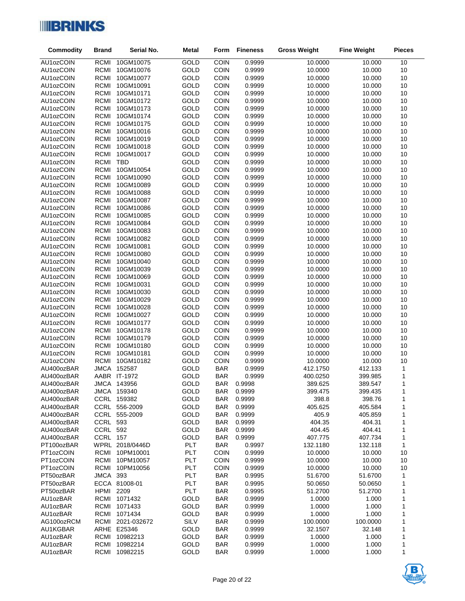

| Commodity                | <b>Brand</b>               | Serial No.                   | <b>Metal</b> | Form                     | <b>Fineness</b>  | <b>Gross Weight</b> | <b>Fine Weight</b> | <b>Pieces</b> |
|--------------------------|----------------------------|------------------------------|--------------|--------------------------|------------------|---------------------|--------------------|---------------|
| AU1ozCOIN                | <b>RCMI</b>                | 10GM10075                    | GOLD         | <b>COIN</b>              | 0.9999           | 10.0000             | 10.000             | 10            |
| AU1ozCOIN                | <b>RCMI</b>                | 10GM10076                    | GOLD         | <b>COIN</b>              | 0.9999           | 10.0000             | 10.000             | 10            |
| AU1ozCOIN                | <b>RCMI</b>                | 10GM10077                    | GOLD         | COIN                     | 0.9999           | 10.0000             | 10.000             | $10$          |
| AU1ozCOIN                | <b>RCMI</b>                | 10GM10091                    | GOLD         | <b>COIN</b>              | 0.9999           | 10.0000             | 10.000             | 10            |
| AU1ozCOIN                | <b>RCMI</b>                | 10GM10171                    | GOLD         | <b>COIN</b>              | 0.9999           | 10.0000             | 10.000             | 10            |
| AU1ozCOIN                | <b>RCMI</b>                | 10GM10172                    | GOLD         | COIN                     | 0.9999           | 10.0000             | 10.000             | 10            |
| AU1ozCOIN                | <b>RCMI</b>                | 10GM10173                    | GOLD         | <b>COIN</b>              | 0.9999           | 10.0000             | 10.000             | 10            |
| AU1ozCOIN                | <b>RCMI</b>                | 10GM10174                    | GOLD         | <b>COIN</b>              | 0.9999           | 10.0000             | 10.000             | 10            |
| AU1ozCOIN                | <b>RCMI</b>                | 10GM10175                    | GOLD         | COIN                     | 0.9999           | 10.0000             | 10.000             | $10$          |
| AU1ozCOIN                | <b>RCMI</b>                | 10GM10016                    | GOLD         | COIN                     | 0.9999           | 10.0000             | 10.000             | 10            |
| AU1ozCOIN                | <b>RCMI</b>                | 10GM10019                    | GOLD         | <b>COIN</b>              | 0.9999           | 10.0000             | 10.000             | 10            |
| AU1ozCOIN<br>AU1ozCOIN   | <b>RCMI</b><br><b>RCMI</b> | 10GM10018<br>10GM10017       | GOLD<br>GOLD | COIN<br><b>COIN</b>      | 0.9999<br>0.9999 | 10.0000<br>10.0000  | 10.000<br>10.000   | $10$<br>10    |
| AU1ozCOIN                | <b>RCMI</b>                | <b>TBD</b>                   | GOLD         | <b>COIN</b>              | 0.9999           | 10.0000             | 10.000             | 10            |
| AU1ozCOIN                | <b>RCMI</b>                | 10GM10054                    | GOLD         | COIN                     | 0.9999           | 10.0000             | 10.000             | $10$          |
| AU1ozCOIN                | <b>RCMI</b>                | 10GM10090                    | GOLD         | <b>COIN</b>              | 0.9999           | 10.0000             | 10.000             | 10            |
| AU1ozCOIN                | <b>RCMI</b>                | 10GM10089                    | GOLD         | COIN                     | 0.9999           | 10.0000             | 10.000             | 10            |
| AU1ozCOIN                | <b>RCMI</b>                | 10GM10088                    | GOLD         | COIN                     | 0.9999           | 10.0000             | 10.000             | 10            |
| AU1ozCOIN                | <b>RCMI</b>                | 10GM10087                    | GOLD         | COIN                     | 0.9999           | 10.0000             | 10.000             | 10            |
| AU1ozCOIN                | <b>RCMI</b>                | 10GM10086                    | GOLD         | <b>COIN</b>              | 0.9999           | 10.0000             | 10.000             | 10            |
| AU1ozCOIN                | <b>RCMI</b>                | 10GM10085                    | GOLD         | COIN                     | 0.9999           | 10.0000             | 10.000             | 10            |
| AU1ozCOIN                | <b>RCMI</b>                | 10GM10084                    | GOLD         | <b>COIN</b>              | 0.9999           | 10.0000             | 10.000             | 10            |
| AU1ozCOIN                | <b>RCMI</b>                | 10GM10083                    | GOLD         | <b>COIN</b>              | 0.9999           | 10.0000             | 10.000             | 10            |
| AU1ozCOIN                | <b>RCMI</b>                | 10GM10082                    | GOLD         | COIN                     | 0.9999           | 10.0000             | 10.000             | 10            |
| AU1ozCOIN                | <b>RCMI</b>                | 10GM10081                    | GOLD         | <b>COIN</b>              | 0.9999           | 10.0000             | 10.000             | 10            |
| AU1ozCOIN                | <b>RCMI</b>                | 10GM10080                    | GOLD         | <b>COIN</b>              | 0.9999           | 10.0000             | 10.000             | 10            |
| AU1ozCOIN                | <b>RCMI</b>                | 10GM10040                    | GOLD         | <b>COIN</b>              | 0.9999           | 10.0000             | 10.000             | 10            |
| AU1ozCOIN                | <b>RCMI</b>                | 10GM10039                    | GOLD         | COIN                     | 0.9999           | 10.0000             | 10.000             | $10$          |
| AU1ozCOIN                | <b>RCMI</b><br><b>RCMI</b> | 10GM10069<br>10GM10031       | GOLD<br>GOLD | COIN<br><b>COIN</b>      | 0.9999<br>0.9999 | 10.0000<br>10.0000  | 10.000<br>10.000   | 10<br>10      |
| AU1ozCOIN<br>AU1ozCOIN   | <b>RCMI</b>                | 10GM10030                    | GOLD         | COIN                     | 0.9999           | 10.0000             | 10.000             | 10            |
| AU1ozCOIN                | <b>RCMI</b>                | 10GM10029                    | GOLD         | <b>COIN</b>              | 0.9999           | 10.0000             | 10.000             | 10            |
| AU1ozCOIN                | <b>RCMI</b>                | 10GM10028                    | GOLD         | <b>COIN</b>              | 0.9999           | 10.0000             | 10.000             | 10            |
| AU1ozCOIN                | <b>RCMI</b>                | 10GM10027                    | GOLD         | COIN                     | 0.9999           | 10.0000             | 10.000             | $10$          |
| AU1ozCOIN                | <b>RCMI</b>                | 10GM10177                    | GOLD         | COIN                     | 0.9999           | 10.0000             | 10.000             | 10            |
| AU1ozCOIN                | <b>RCMI</b>                | 10GM10178                    | GOLD         | <b>COIN</b>              | 0.9999           | 10.0000             | 10.000             | 10            |
| AU1ozCOIN                | <b>RCMI</b>                | 10GM10179                    | GOLD         | COIN                     | 0.9999           | 10.0000             | 10.000             | $10$          |
| AU1ozCOIN                | <b>RCMI</b>                | 10GM10180                    | GOLD         | <b>COIN</b>              | 0.9999           | 10.0000             | 10.000             | 10            |
| AU1ozCOIN                | <b>RCMI</b>                | 10GM10181                    | GOLD         | <b>COIN</b>              | 0.9999           | 10.0000             | 10.000             | 10            |
| AU1ozCOIN                | <b>RCMI</b>                | 10GM10182                    | GOLD         | COIN                     | 0.9999           | 10.0000             | 10.000             | 10            |
| AU400ozBAR               |                            | JMCA 152587                  | GOLD         | <b>BAR</b>               | 0.9999           | 412.1750            | 412.133            | $\mathbf 1$   |
| AU400ozBAR               |                            | AABR IT-1972                 | GOLD         | <b>BAR</b>               | 0.9999           | 400.0250            | 399.985            | $\mathbf{1}$  |
| AU400ozBAR               |                            | JMCA 143956                  | GOLD         | <b>BAR</b>               | 0.9998           | 389.625             | 389.547            | $\mathbf{1}$  |
| AU400ozBAR<br>AU400ozBAR |                            | JMCA 159340                  | GOLD         | BAR                      | 0.9999           | 399.475             | 399.435            | 1             |
| AU400ozBAR               |                            | CCRL 159382<br>CCRL 556-2009 | GOLD<br>GOLD | <b>BAR</b><br><b>BAR</b> | 0.9999<br>0.9999 | 398.8<br>405.625    | 398.76<br>405.584  | 1<br>1        |
| AU400ozBAR               |                            | CCRL 555-2009                | GOLD         | <b>BAR</b>               | 0.9999           | 405.9               | 405.859            | 1             |
| AU400ozBAR               | <b>CCRL 593</b>            |                              | GOLD         | <b>BAR</b>               | 0.9999           | 404.35              | 404.31             | 1             |
| AU400ozBAR               | <b>CCRL 592</b>            |                              | GOLD         | <b>BAR</b>               | 0.9999           | 404.45              | 404.41             | 1             |
| AU400ozBAR               | CCRL 157                   |                              | GOLD         | <b>BAR</b>               | 0.9999           | 407.775             | 407.734            | 1             |
| PT100ozBAR               |                            | WPRL 2018/0446D              | <b>PLT</b>   | <b>BAR</b>               | 0.9997           | 132.1180            | 132.118            | 1             |
| PT1ozCOIN                | RCMI                       | 10PM10001                    | PLT          | <b>COIN</b>              | 0.9999           | 10.0000             | 10.000             | 10            |
| PT1ozCOIN                | <b>RCMI</b>                | 10PM10057                    | PLT          | <b>COIN</b>              | 0.9999           | 10.0000             | 10.000             | 10            |
| PT1ozCOIN                | <b>RCMI</b>                | 10PM10056                    | PLT          | <b>COIN</b>              | 0.9999           | 10.0000             | 10.000             | 10            |
| PT50ozBAR                | <b>JMCA 393</b>            |                              | PLT          | <b>BAR</b>               | 0.9995           | 51.6700             | 51.6700            | 1             |
| PT50ozBAR                |                            | ECCA 81008-01                | PLT          | <b>BAR</b>               | 0.9995           | 50.0650             | 50.0650            | 1             |
| PT50ozBAR                | HPMI                       | 2209                         | PLT          | <b>BAR</b>               | 0.9995           | 51.2700             | 51.2700            | 1             |
| AU1ozBAR                 | <b>RCMI</b>                | 1071432                      | GOLD         | <b>BAR</b>               | 0.9999           | 1.0000              | 1.000              | 1             |
| AU1ozBAR                 | <b>RCMI</b>                | 1071433                      | GOLD         | <b>BAR</b>               | 0.9999           | 1.0000              | 1.000              | 1             |
| AU1ozBAR<br>AG100ozRCM   | <b>RCMI</b><br>RCMI        | 1071434<br>2021-032672       | GOLD<br>SILV | <b>BAR</b><br><b>BAR</b> | 0.9999<br>0.9999 | 1.0000<br>100.0000  | 1.000<br>100.0000  | 1<br>1        |
| AU1KGBAR                 |                            | ARHE E25346                  | GOLD         | <b>BAR</b>               | 0.9999           | 32.1507             | 32.148             | 1             |
| AU1ozBAR                 | RCMI                       | 10982213                     | GOLD         | <b>BAR</b>               | 0.9999           | 1.0000              | 1.000              | 1             |
| AU1ozBAR                 | <b>RCMI</b>                | 10982214                     | GOLD         | <b>BAR</b>               | 0.9999           | 1.0000              | 1.000              | 1             |
| AU1ozBAR                 | RCMI                       | 10982215                     | GOLD         | <b>BAR</b>               | 0.9999           | 1.0000              | 1.000              | 1             |

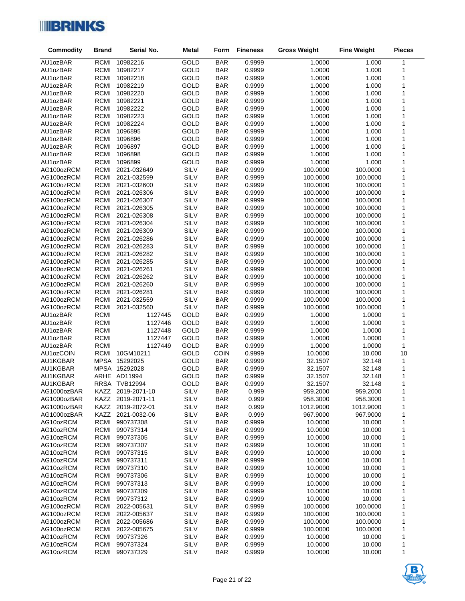

| Commodity              | <b>Brand</b>               | Serial No.             | <b>Metal</b> | Form                     | <b>Fineness</b>  | <b>Gross Weight</b> | <b>Fine Weight</b> | <b>Pieces</b> |
|------------------------|----------------------------|------------------------|--------------|--------------------------|------------------|---------------------|--------------------|---------------|
| AU1ozBAR               | <b>RCMI</b>                | 10982216               | GOLD         | <b>BAR</b>               | 0.9999           | 1.0000              | 1.000              | $\mathbf{1}$  |
| AU1ozBAR               | <b>RCMI</b>                | 10982217               | GOLD         | <b>BAR</b>               | 0.9999           | 1.0000              | 1.000              | 1             |
| AU1ozBAR               | <b>RCMI</b>                | 10982218               | GOLD         | <b>BAR</b>               | 0.9999           | 1.0000              | 1.000              | 1             |
| AU1ozBAR               | RCMI                       | 10982219               | GOLD         | <b>BAR</b>               | 0.9999           | 1.0000              | 1.000              | 1             |
| AU1ozBAR               | RCMI                       | 10982220               | GOLD         | <b>BAR</b>               | 0.9999           | 1.0000              | 1.000              | 1             |
| AU1ozBAR               | <b>RCMI</b>                | 10982221               | GOLD         | <b>BAR</b>               | 0.9999           | 1.0000              | 1.000              | 1             |
| AU1ozBAR               | <b>RCMI</b>                | 10982222               | GOLD         | <b>BAR</b>               | 0.9999           | 1.0000              | 1.000              | 1             |
| AU1ozBAR               | <b>RCMI</b>                | 10982223               | GOLD         | <b>BAR</b>               | 0.9999           | 1.0000              | 1.000              | 1             |
| AU1ozBAR               | <b>RCMI</b>                | 10982224               | GOLD         | <b>BAR</b>               | 0.9999           | 1.0000              | 1.000              | 1             |
| AU1ozBAR               | <b>RCMI</b>                | 1096895                | GOLD         | <b>BAR</b>               | 0.9999           | 1.0000              | 1.000              | 1             |
| AU1ozBAR               | <b>RCMI</b>                | 1096896                | GOLD         | <b>BAR</b>               | 0.9999           | 1.0000              | 1.000              | 1             |
| AU1ozBAR               | <b>RCMI</b>                | 1096897                | GOLD         | <b>BAR</b>               | 0.9999           | 1.0000              | 1.000              | 1             |
| AU1ozBAR<br>AU1ozBAR   | <b>RCMI</b><br><b>RCMI</b> | 1096898<br>1096899     | GOLD<br>GOLD | <b>BAR</b><br><b>BAR</b> | 0.9999<br>0.9999 | 1.0000<br>1.0000    | 1.000<br>1.000     | 1<br>1        |
| AG100ozRCM             | RCMI                       | 2021-032649            | SILV         | <b>BAR</b>               | 0.9999           | 100.0000            | 100.0000           | 1             |
| AG100ozRCM             | <b>RCMI</b>                | 2021-032599            | SILV         | <b>BAR</b>               | 0.9999           | 100.0000            | 100.0000           | 1             |
| AG100ozRCM             | RCMI                       | 2021-032600            | SILV         | <b>BAR</b>               | 0.9999           | 100.0000            | 100.0000           | 1             |
| AG100ozRCM             | <b>RCMI</b>                | 2021-026306            | SILV         | <b>BAR</b>               | 0.9999           | 100.0000            | 100.0000           | 1             |
| AG100ozRCM             | RCMI                       | 2021-026307            | SILV         | <b>BAR</b>               | 0.9999           | 100.0000            | 100.0000           | 1             |
| AG100ozRCM             | RCMI                       | 2021-026305            | SILV         | <b>BAR</b>               | 0.9999           | 100.0000            | 100.0000           | 1             |
| AG100ozRCM             | <b>RCMI</b>                | 2021-026308            | SILV         | <b>BAR</b>               | 0.9999           | 100.0000            | 100.0000           | 1             |
| AG100ozRCM             | RCMI                       | 2021-026304            | SILV         | <b>BAR</b>               | 0.9999           | 100.0000            | 100.0000           | 1             |
| AG100ozRCM             | RCMI                       | 2021-026309            | SILV         | <b>BAR</b>               | 0.9999           | 100.0000            | 100.0000           | 1             |
| AG100ozRCM             | <b>RCMI</b>                | 2021-026286            | SILV         | <b>BAR</b>               | 0.9999           | 100.0000            | 100.0000           | 1             |
| AG100ozRCM             | RCMI                       | 2021-026283            | SILV         | <b>BAR</b>               | 0.9999           | 100.0000            | 100.0000           | 1             |
| AG100ozRCM             | RCMI                       | 2021-026282            | SILV         | <b>BAR</b>               | 0.9999           | 100.0000            | 100.0000           | 1             |
| AG100ozRCM             | <b>RCMI</b>                | 2021-026285            | SILV         | <b>BAR</b>               | 0.9999           | 100.0000            | 100.0000           | 1             |
| AG100ozRCM             | RCMI                       | 2021-026261            | SILV         | <b>BAR</b>               | 0.9999           | 100.0000            | 100.0000           | 1             |
| AG100ozRCM             | RCMI                       | 2021-026262            | SILV         | <b>BAR</b>               | 0.9999           | 100.0000            | 100.0000           | 1             |
| AG100ozRCM             | RCMI                       | 2021-026260            | SILV         | <b>BAR</b>               | 0.9999           | 100.0000            | 100.0000           | 1             |
| AG100ozRCM             | RCMI                       | 2021-026281            | SILV         | <b>BAR</b>               | 0.9999           | 100.0000            | 100.0000           | 1             |
| AG100ozRCM             | RCMI                       | 2021-032559            | SILV         | <b>BAR</b>               | 0.9999           | 100.0000            | 100.0000           | 1             |
| AG100ozRCM<br>AU1ozBAR | <b>RCMI</b><br><b>RCMI</b> | 2021-032560<br>1127445 | SILV<br>GOLD | <b>BAR</b><br><b>BAR</b> | 0.9999<br>0.9999 | 100.0000<br>1.0000  | 100.0000<br>1.0000 | 1<br>1        |
| AU1ozBAR               | <b>RCMI</b>                | 1127446                | GOLD         | <b>BAR</b>               | 0.9999           | 1.0000              | 1.0000             | $\mathbf{1}$  |
| AU1ozBAR               | <b>RCMI</b>                | 1127448                | GOLD         | <b>BAR</b>               | 0.9999           | 1.0000              | 1.0000             | 1             |
| AU1ozBAR               | <b>RCMI</b>                | 1127447                | GOLD         | <b>BAR</b>               | 0.9999           | 1.0000              | 1.0000             | 1             |
| AU1ozBAR               | <b>RCMI</b>                | 1127449                | GOLD         | <b>BAR</b>               | 0.9999           | 1.0000              | 1.0000             | 1             |
| AU1ozCOIN              | RCMI                       | 10GM10211              | GOLD         | <b>COIN</b>              | 0.9999           | 10.0000             | 10.000             | 10            |
| AU1KGBAR               |                            | MPSA 15292025          | GOLD         | <b>BAR</b>               | 0.9999           | 32.1507             | 32.148             | $\mathbf{1}$  |
| AU1KGBAR               |                            | MPSA 15292028          | <b>GOLD</b>  | <b>BAR</b>               | 0.9999           | 32.1507             | 32.148             | $\mathbf{1}$  |
| AU1KGBAR               |                            | ARHE AD11994           | <b>GOLD</b>  | <b>BAR</b>               | 0.9999           | 32.1507             | 32.148             | 1             |
| AU1KGBAR               |                            | RRSA TVB12994          | GOLD         | <b>BAR</b>               | 0.9999           | 32.1507             | 32.148             | 1             |
| AG1000ozBAR            | KAZZ                       | 2019-2071-10           | SILV         | <b>BAR</b>               | 0.999            | 959.2000            | 959.2000           | 1             |
| AG1000ozBAR            | KAZZ                       | 2019-2071-11           | SILV         | <b>BAR</b>               | 0.999            | 958.3000            | 958.3000           | 1             |
| AG1000ozBAR            | KAZZ                       | 2019-2072-01           | SILV         | <b>BAR</b>               | 0.999            | 1012.9000           | 1012.9000          | 1             |
| AG1000ozBAR            | <b>KAZZ</b>                | 2021-0032-06           | SILV         | <b>BAR</b>               | 0.999            | 967.9000            | 967.9000           | 1             |
| AG10ozRCM              | RCMI                       | 990737308              | SILV         | <b>BAR</b>               | 0.9999           | 10.0000             | 10.000             | 1             |
| AG10ozRCM              | <b>RCMI</b>                | 990737314              | SILV         | <b>BAR</b>               | 0.9999           | 10.0000             | 10.000             | 1             |
| AG10ozRCM              | <b>RCMI</b><br><b>RCMI</b> | 990737305              | SILV<br>SILV | <b>BAR</b>               | 0.9999           | 10.0000             | 10.000             | 1             |
| AG10ozRCM<br>AG10ozRCM | RCMI                       | 990737307<br>990737315 | SILV         | <b>BAR</b><br><b>BAR</b> | 0.9999<br>0.9999 | 10.0000<br>10.0000  | 10.000<br>10.000   | 1<br>1        |
| AG10ozRCM              | RCMI                       | 990737311              | SILV         | <b>BAR</b>               | 0.9999           | 10.0000             | 10.000             | 1             |
| AG10ozRCM              | RCMI                       | 990737310              | SILV         | <b>BAR</b>               | 0.9999           | 10.0000             | 10.000             | 1             |
| AG10ozRCM              | RCMI                       | 990737306              | SILV         | <b>BAR</b>               | 0.9999           | 10.0000             | 10.000             | 1             |
| AG10ozRCM              | <b>RCMI</b>                | 990737313              | SILV         | <b>BAR</b>               | 0.9999           | 10.0000             | 10.000             | 1             |
| AG10ozRCM              | RCMI                       | 990737309              | SILV         | <b>BAR</b>               | 0.9999           | 10.0000             | 10.000             | 1             |
| AG10ozRCM              | <b>RCMI</b>                | 990737312              | SILV         | <b>BAR</b>               | 0.9999           | 10.0000             | 10.000             | 1             |
| AG100ozRCM             | <b>RCMI</b>                | 2022-005631            | SILV         | <b>BAR</b>               | 0.9999           | 100.0000            | 100.0000           | 1             |
| AG100ozRCM             | <b>RCMI</b>                | 2022-005637            | SILV         | <b>BAR</b>               | 0.9999           | 100.0000            | 100.0000           | 1             |
| AG100ozRCM             | <b>RCMI</b>                | 2022-005686            | SILV         | <b>BAR</b>               | 0.9999           | 100.0000            | 100.0000           | 1             |
| AG100ozRCM             | <b>RCMI</b>                | 2022-005675            | SILV         | <b>BAR</b>               | 0.9999           | 100.0000            | 100.0000           | 1             |
| AG10ozRCM              | <b>RCMI</b>                | 990737326              | SILV         | <b>BAR</b>               | 0.9999           | 10.0000             | 10.000             | 1             |
| AG10ozRCM              | RCMI                       | 990737324              | SILV         | <b>BAR</b>               | 0.9999           | 10.0000             | 10.000             | 1             |
| AG10ozRCM              | <b>RCMI</b>                | 990737329              | SILV         | <b>BAR</b>               | 0.9999           | 10.0000             | 10.000             | 1             |